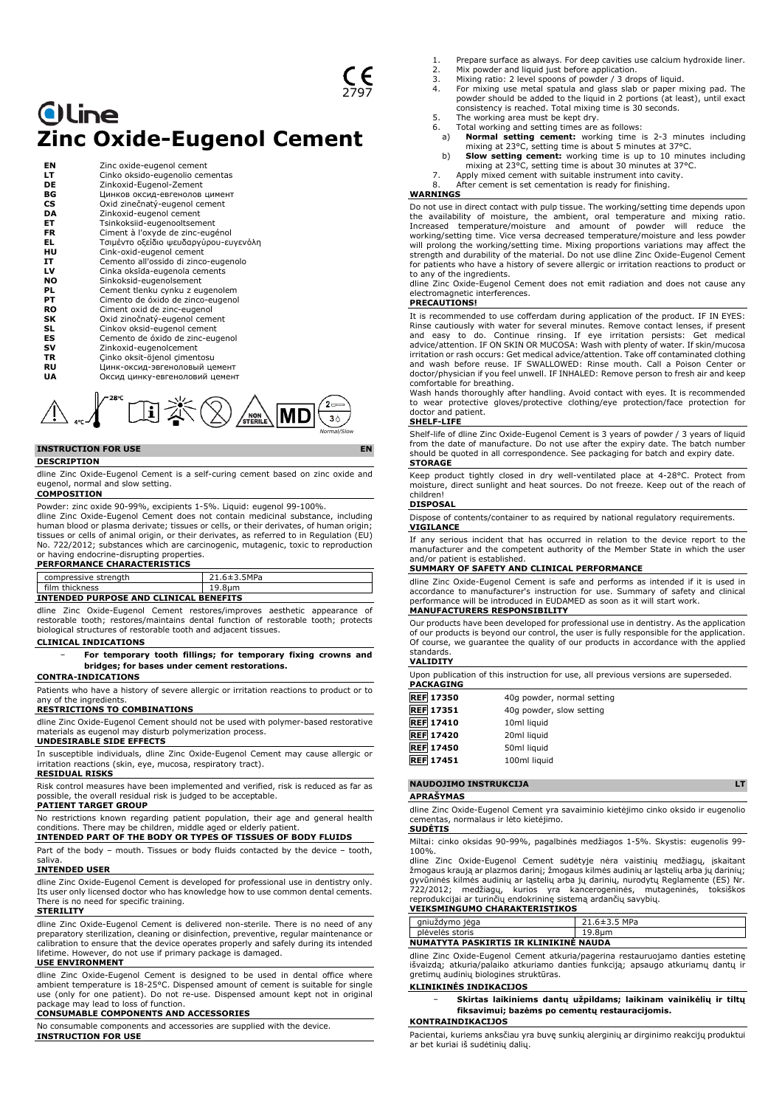# **Oline Zinc Oxide-Eugenol Cement**

| ΕN | Zinc oxide-eugenol cement             |
|----|---------------------------------------|
| LТ | Cinko oksido-eugenolio cementas       |
| DE | Zinkoxid-Eugenol-Zement               |
| ВG | Цинков оксид-евгенолов цимент         |
| СS | Oxid zinečnatý-eugenol cement         |
| DA | Zinkoxid-eugenol cement               |
| EТ | Tsinkoksiid-eugenooltsement           |
| FR | Ciment à l'oxyde de zinc-eugénol      |
| EL | Τσιμέντο οξείδιο ψευδαργύρου-ευγενόλη |
| ΗU | Cink-oxid-eugenol cement              |
| IT | Cemento all'ossido di zinco-eugenolo  |
| LV | Cinka oksīda-eugenola cements         |
| NO | Sinkoksid-eugenolsement               |
| PL | Cement tlenku cynku z eugenolem       |
| PТ | Cimento de óxido de zinco-eugenol     |
| RO | Ciment oxid de zinc-eugenol           |
| SΚ | Oxid zinočnatý-eugenol cement         |
| SL | Cinkov oksid-eugenol cement           |
| ES | Cemento de óxido de zinc-eugenol      |
| sv | Zinkoxid-eugenolcement                |
| TR | Cinko oksit-öjenol cimentosu          |
| RU | Цинк-оксид-эвгеноловый цемент         |
| UA | Оксид цинку-евгеноловий цемент        |



# **INSTRUCTION FOR USE EN**

## **DESCRIPTION**

dline Zinc Oxide-Eugenol Cement is a self-curing cement based on zinc oxide and eugenol, normal and slow setting. **COMPOSITION**

Powder: zinc oxide 90-99%, excipients 1-5%. Liquid: eugenol 99-100%.

dline Zinc Oxide-Eugenol Cement does not contain medicinal substance, including human blood or plasma derivate; tissues or cells, or their derivates, of human origin; tissues or cells of animal origin, or their derivates, as referred to in Regulation (EU) No. 722/2012; substances which are carcinogenic, mutagenic, toxic to reproduction or having endocrine-disrupting properties.

#### **PERFORMANCE CHARACTERISTICS** compressive strength compressive strength 21.6±3.5MPa<br>film thickness 19.8μm **INTENDED PURPOSE AND CLINICAL BENEFITS**

dline Zinc Oxide-Eugenol Cement restores/improves aesthetic appearance of restorable tooth; restores/maintains dental function of restorable tooth; protects biological structures of restorable tooth and adjacent tissues.

#### **CLINICAL INDICATIONS**

− **For temporary tooth fillings; for temporary fixing crowns and bridges; for bases under cement restorations.**

#### **CONTRA-INDICATIONS**

Patients who have a history of severe allergic or irritation reactions to product or to any of the ingredients.

#### **RESTRICTIONS TO COMBINATIONS**

dline Zinc Oxide-Eugenol Cement should not be used with polymer-based restorative materials as eugenol may disturb polymerization process.

# **UNDESIRABLE SIDE EFFECTS**

In susceptible individuals, dline Zinc Oxide-Eugenol Cement may cause allergic or irritation reactions (skin, eye, mucosa, respiratory tract).

# **RESIDUAL RISKS**

Risk control measures have been implemented and verified, risk is reduced as far as possible, the overall residual risk is judged to be acceptable.

#### **PATIENT TARGET GROUP**

No restrictions known regarding patient population, their age and general health conditions. There may be children, middle aged or elderly patient.

# **INTENDED PART OF THE BODY OR TYPES OF TISSUES OF BODY FLUIDS**

Part of the body – mouth. Tissues or body fluids contacted by the device – tooth, saliva.

# **INTENDED USER**

dline Zinc Oxide-Eugenol Cement is developed for professional use in dentistry only. Its user only licensed doctor who has knowledge how to use common dental cements. There is no need for specific training.

# **STERILITY**

dline Zinc Oxide-Eugenol Cement is delivered non-sterile. There is no need of any preparatory sterilization, cleaning or disinfection, preventive, regular maintenance or calibration to ensure that the device operates properly and safely during its intended lifetime. However, do not use if primary package is damaged.

## **USE ENVIRONMENT**

dline Zinc Oxide-Eugenol Cement is designed to be used in dental office where ambient temperature is 18-25°C. Dispensed amount of cement is suitable for single use (only for one patient). Do not re-use. Dispensed amount kept not in original package may lead to loss of function.

# **CONSUMABLE COMPONENTS AND ACCESSORIES**

No consumable components and accessories are supplied with the device. **INSTRUCTION FOR USE**

- 1. Prepare surface as always. For deep cavities use calcium hydroxide liner.
- 2. Mix powder and liquid just before application.<br>3. Mixing ratio: 2 level spoons of powder / 3 dross
- 3. Mixing ratio: 2 level spoons of powder / 3 drops of liquid. 4. For mixing use metal spatula and glass slab or paper mixing pad. The powder should be added to the liquid in 2 portions (at least), until exact consistency is reached. Total mixing time is 30 seconds.
- 5. The working area must be kept dry.<br>6. Total working and setting times are
- 6. Total working and setting times are as follows: a) **Normal setting cement:** working time is 2-3 minutes including
- mixing at 23°C, setting time is about 5 minutes at 37°C.<br>b) **Slow setting cement:** working time is up to 10 minutes including<br>mixing at 23°C, setting time is about 30 minutes at 37°C.
- 
- 7. Apply mixed cement with suitable instrument into cavity.<br>8. After cement is set cementation is ready for finishing. 8. After cement is set cementation is ready for finishing.

## **WARNINGS**

Do not use in direct contact with pulp tissue. The working/setting time depends upon the availability of moisture, the ambient, oral temperature and mixing ratio.<br>Increased temperature/moisture and amount of powder will reduce the<br>working/setting time. Vice versa decreased temperature/moisture and will prolong the working/setting time. Mixing proportions variations may affect the strength and durability of the material. Do not use dline Zinc Oxide-Eugenol Cement for patients who have a history of severe allergic or irritation reactions to product or to any of the ingredients.

dline Zinc Oxide-Eugenol Cement does not emit radiation and does not cause any electromagnetic interferences.

# **PRECAUTIONS!**

It is recommended to use cofferdam during application of the product. IF IN EYES: Rinse cautiously with water for several minutes. Remove contact lenses, if present and easy to do. Continue rinsing. If eye irritation persists: Get medical advice/attention. IF ON SKIN OR MUCOSA: Wash with plenty of water. If skin/mucosa irritation or rash occurs: Get medical advice/attention. Take off contaminated clothing and wash before reuse. IF SWALLOWED: Rinse mouth. Call a Poison Center or doctor/physician if you feel unwell. IF INHALED: Remove person to fresh air and keep

comfortable for breathing. Wash hands thoroughly after handling. Avoid contact with eyes. It is recommended to wear protective gloves/protective clothing/eye protection/face protection for doctor and patient.

#### **SHELF-LIFE**

Shelf-life of dline Zinc Oxide-Eugenol Cement is 3 years of powder / 3 years of liquid from the date of manufacture. Do not use after the expiry date. The batch number should be quoted in all correspondence. See packaging for batch and expiry date. **STORAGE**

Keep product tightly closed in dry well-ventilated place at 4-28°C. Protect from moisture, direct sunlight and heat sources. Do not freeze. Keep out of the reach of children!

## **DISPOSAL**

Dispose of contents/container to as required by national regulatory requirements. **VIGILANCE**

If any serious incident that has occurred in relation to the device report to the manufacturer and the competent authority of the Member State in which the user and/or patient is established.

### **SUMMARY OF SAFETY AND CLINICAL PERFORMANCE**

dline Zinc Oxide-Eugenol Cement is safe and performs as intended if it is used in accordance to manufacturer's instruction for use. Summary of safety and clinical formance will be introduced in EUDAMED as soon as it will start work. **MANUFACTURERS RESPONSIBILITY**

#### Our products have been developed for professional use in dentistry. As the application of our products is beyond our control, the user is fully responsible for the application. Of course, we guarantee the quality of our products in accordance with the applied standards.

# **VALIDITY**

Upon publication of this instruction for use, all previous versions are superseded. **PACKAGING**

| <b>REF 17350</b> | 40g powder, normal setting |
|------------------|----------------------------|
| <b>REF</b> 17351 | 40g powder, slow setting   |
| <b>REF</b> 17410 | 10ml liquid                |
| <b>REF</b> 17420 | 20ml liquid                |
| <b>REF</b> 17450 | 50ml liquid                |
| <b>REF</b> 17451 | 100ml liquid               |

# **NAUDOJIMO INSTRUKCIJA LT APRAŠYMAS**

dline Zinc Oxide-Eugenol Cement yra savaiminio kietėjimo cinko oksido ir eugenolio cementas, normalaus ir lėto kietėjimo. **SUDĖTIS**

Miltai: cinko oksidas 90-99%, pagalbinės medžiagos 1-5%. Skystis: eugenolis 99-

100%. dline Zinc Oxide-Eugenol Cement sudėtyje nėra vaistinių medžiagų, įskaitant žmogaus kraują ar plazmos darinį; žmogaus kilmės audinių ar ląstelių arba jų darinių; gyvūninės kilmės audinių ar ląstelių arba jų darinių, nurodytų Reglamente (ES) Nr. 722/2012; medžiagų, kurios yra kancerogeninės, mutageninės, toksiškos reprodukcijai ar turinčių endokrininę sistemą ardančių savybių.

# **VEIKSMINGUMO CHARAKTERISTIKOS**

| anjuždymo jega                        | $21.6 \pm 3.5$ MPa |
|---------------------------------------|--------------------|
| plėvelės storis                       | 19.8um             |
| NUMATYTA PASKIRTIS IR KLINIKINE NAUDA |                    |

dline Zinc Oxide-Eugenol Cement atkuria/pagerina restauruojamo danties estetinę išvaizdą; atkuria/palaiko atkuriamo danties funkciją; apsaugo atkuriamų dantų ir gretimų audinių biologines struktūras.

# **KLINIKINĖS INDIKACIJOS**

#### − **Skirtas laikiniems dantų užpildams; laikinam vainikėlių ir tiltų fiksavimui; bazėms po cementų restauracijomis. KONTRAINDIKACIJOS**

Pacientai, kuriems anksčiau yra buvę sunkių alerginių ar dirginimo reakcijų produktui ar bet kuriai iš sudėtinių dalių.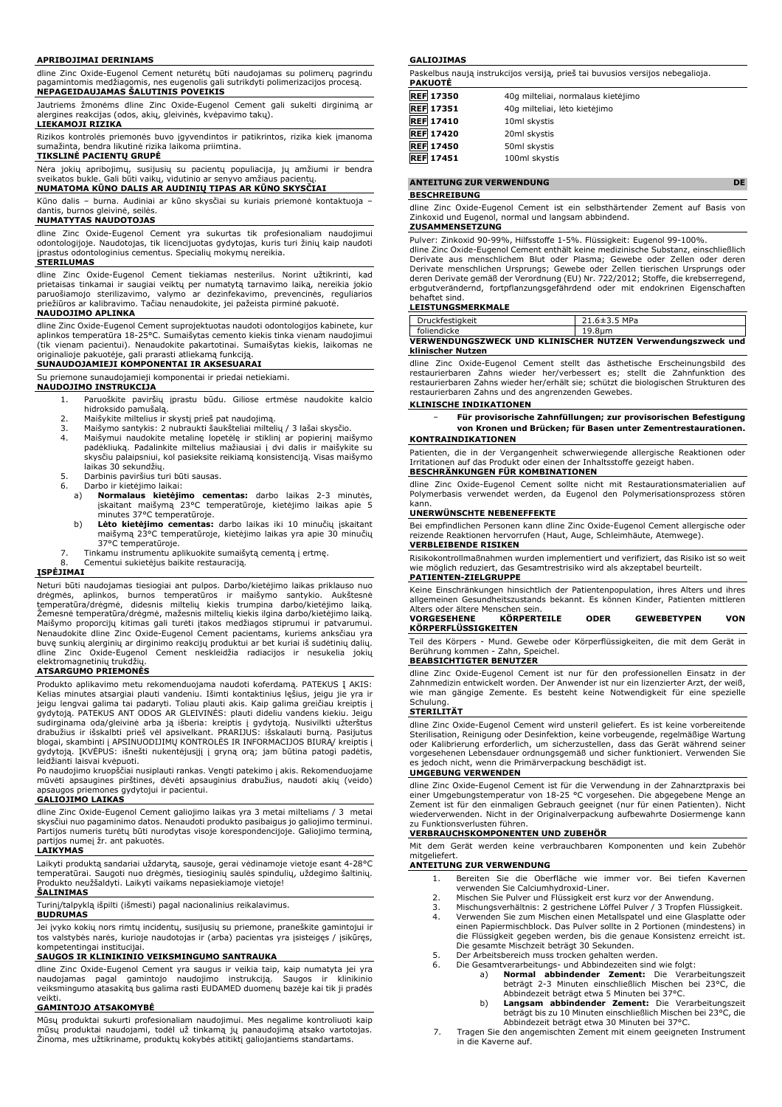#### **APRIBOJIMAI DERINIAMS**

dline Zinc Oxide-Eugenol Cement neturėtų būti naudojamas su polimerų pagrindu pagamintomis medžiagomis, nes eugenolis gali sutrikdyti polimerizacijos procesą. **NEPAGEIDAUJAMAS ŠALUTINIS POVEIKIS**

Jautriems žmonėms dline Zinc Oxide-Eugenol Cement gali sukelti dirginimą ar alergines reakcijas (odos, akių, gleivinės, kvėpavimo takų).

# **LIEKAMOJI RIZIKA**

Rizikos kontrolės priemonės buvo įgyvendintos ir patikrintos, rizika kiek įmanoma sumažinta, bendra likutinė rizika laikoma priimtina. **TIKSLINĖ PACIENTŲ GRUPĖ**

Nėra jokių apribojimų, susijusių su pacientų populiacija, jų amžiumi ir bendra<br>sveikatos bukle. Gali būti vaikų, vidutinio ar senyvo amžiaus pacientų.<br><mark>NUMATOMA KŪNO DALIS AR AUDINIŲ TIPAS AR KŪNO SKYSČIAI</mark>

Kūno dalis – burna. Audiniai ar kūno skysčiai su kuriais priemonė kontaktuoja – dantis, burnos gleivinė, seilės.

**NUMATYTAS NAUDOTOJAS** dline Zinc Oxide-Eugenol Cement yra sukurtas tik profesionaliam naudojimui odontologijoje. Naudotojas, tik licencijuotas gydytojas, kuris turi žinių kaip naudoti

#### įprastus odontologinius cementus. Specialių mokymų nereikia. **STERILUMAS**

dline Zinc Oxide-Eugenol Cement tiekiamas nesterilus. Norint užtikrinti, kad prietaisas tinkamai ir saugiai veiktų per numatytą tarnavimo laiką, nereikia jokio<br>paruošiamojo sterilizavimo, valymo ar dezinfekavimo, prevencinės, reguliarios<br>priežiūros ar kalibravimo. Tačiau nenaudokite, jei pažei

# **NAUDOJIMO APLINKA**

dline Zinc Oxide-Eugenol Cement suprojektuotas naudoti odontologijos kabinete, kur aplinkos temperatūra 18-25°C. Sumaišytas cemento kiekis tinka vienam naudojimui (tik vienam pacientui). Nenaudokite pakartotinai. Sumaišytas kiekis, laikomas ne originalioje pakuotėje, gali prarasti atliekamą funkciją.

# **SUNAUDOJAMIEJI KOMPONENTAI IR AKSESUARAI**

Su priemone sunaudojamieji komponentai ir priedai netiekiami.

#### **NAUDOJIMO INSTRUKCIJA**

- 1. Paruoškite paviršių įprastu būdu. Giliose ertmėse naudokite kalcio hidroksido pamušalą.
- 
- 2. Maišykite miltelius ir skystį prieš pat naudojimą. 3. Maišymo santykis: 2 nubraukti šaukšteliai miltelių / 3 lašai skysčio.
- 4. Maišymui naudokite metalinę lopetėlę ir stiklinį ar popierinį maišymo padėkliuką. Padalinkite miltelius mažiausiai į dvi dalis ir maišykite su skysčiu palaipsniui, kol pasieksite reikiamą konsistenciją. Visas maišymo laikas 30 sekundžių. 5. Darbinis paviršius turi būti sausas.
- 
- 6. Darbo ir kietėjimo laikai:<br>a) **Normalaus kietėji** 
	- a) **Normalaus kietėjimo cementas:** darbo laikas 2-3 minutės, įskaitant maišymą 23°C temperatūroje, kietėjimo laikas apie 5 minutes 37°C temperatūroje.
	- b) **Lėto kietėjimo cementas:** darbo laikas iki 10 minučių įskaitant maišymą 23°C temperatūroje, kietėjimo laikas yra apie 30 minučių 37°C temperatūroje.
- 7. Tinkamu instrumentu aplikuokite sumaišytą cementą į ertmę.<br>8. Cementui sukietėjus baikite restauracija. Cementui sukietėjus baikite restauraciją.

#### **ĮSPĖJIMAI**

Neturi būti naudojamas tiesiogiai ant pulpos. Darbo/kietėjimo laikas priklauso nuo<br>drėgmės, aplinkos, burnos temperatūros ir maišymo santykio. Aukštesnė<br>temperatūra/drėgmė, didesnis miltelių kiekis trumpina dar Žemesnė temperatūra/drėgmė, mažesnis miltelių kiekis ilgina darbo/kietėjimo laiką. Maišymo proporcijų kitimas gali turėti įtakos medžiagos stiprumui ir patvarumui.<br>Nenaudokite dline Zinc Oxide-Eugenol Cement pacientams, kuriems anksčiau yra<br>buvę sunkių alerginių ar dirginimo reakcijų produktui ar bet kur dline Zinc Oxide-Eugenol Cement neskleidžia radiacijos ir nesukelia jokių elektromagnetinių trukdžių.

# **ATSARGUMO PRIEMONĖS**

Produkto aplikavimo metu rekomenduojama naudoti koferdamą. PATEKUS Į AKIS: Kelias minutes atsargiai plauti vandeniu. Išimti kontaktinius lęšius, jeigu jie yra ir jeigu lengvai galima tai padaryti. Toliau plauti akis. Kaip galima greičiau kreiptis į<br>gydytoją. PATEKUS ANT ODOS AR GLEIVINĖS: plauti dideliu vandens kiekiu. Jeigu<br>sudirginama oda/gleivinė arba ją išberia: kreiptis į gydy gydytoją. ĮKVĖPUS: išnešti nukentėjusįjį į gryną orą; jam būtina patogi padėtis, leidžianti laisvai kvėpuoti.

Po naudojimo kruopščiai nusiplauti rankas. Vengti patekimo į akis. Rekomenduojame mūvėti apsaugines pirštines, dėvėti apsauginius drabužius, naudoti akių (veido) apsaugos priemones gydytojui ir pacientui.

## **GALIOJIMO LAIKAS**

dline Zinc Oxide-Eugenol Cement galiojimo laikas yra 3 metai milteliams / 3 metai skysčiui nuo pagaminimo datos. Nenaudoti produkto pasibaigus jo galiojimo terminui. Partijos numeris turėtų būti nurodytas visoje korespondencijoje. Galiojimo terminą, pos numeį žr. ant pakuotės.

#### **LAIKYMAS**

Laikyti produktą sandariai uždarytą, sausoje, gerai vėdinamoje vietoje esant 4-28°C temperatūrai. Saugoti nuo drėgmės, tiesioginių saulės spindulių, uždegimo šaltinių. Produkto neužšaldyti. Laikyti vaikams nepasiekiamoje vietoje! **ŠALINIMAS**

Turinį/talpyklą išpilti (išmesti) pagal nacionalinius reikalavimus.

# **BUDRUMAS**

Jei įvyko kokių nors rimtų incidentų, susijusių su priemone, praneškite gamintojui ir tos valstybės narės, kurioje naudotojas ir (arba) pacientas yra įsisteigęs / įsikūręs, kompetentingai institucijai. **SAUGOS IR KLINIKINIO VEIKSMINGUMO SANTRAUKA**

dline Zinc Oxide-Eugenol Cement yra saugus ir veikia taip, kaip numatyta jei yra<br>naudojamas - pagal - gamintojo - naudojimo - instrukciją. - Saugos - ir - klinikinio<br>veiksmingumo atasakitą bus galima rasti EUDAMED duomenų veikti.

#### **GAMINTOJO ATSAKOMYBĖ**

Mūsų produktai sukurti profesionaliam naudojimui. Mes negalime kontroliuoti kaip mūsų produktai naudojami, todėl už tinkamą jų panaudojimą atsako vartotojas. Žinoma, mes užtikriname, produktų kokybės atitiktį galiojantiems standartams.

#### **GALIOJIMAS**

Paskelbus naują instrukcijos versiją, prieš tai buvusios versijos nebegalioja.

| PAKUOTE          |                                    |  |
|------------------|------------------------------------|--|
| <b>REF 17350</b> | 40q milteliai, normalaus kietėjimo |  |
| <b>REF 17351</b> | 40q milteliai, lėto kietėjimo      |  |
| <b>REF 17410</b> | 10ml skystis                       |  |
| <b>REF</b> 17420 | 20ml skystis                       |  |
| <b>REF 17450</b> | 50ml skystis                       |  |
| <b>REF</b> 17451 | 100ml skystis                      |  |

## **ANTEITUNG ZUR VERWENDUNG DE**

**BESCHREIBUNG**

dline Zinc Oxide-Eugenol Cement ist ein selbsthärtender Zement auf Basis von

Zinkoxid und Eugenol, normal und langsam abbindend.

# **ZUSAMMENSETZUNG**

Pulver: Zinkoxid 90-99%, Hilfsstoffe 1-5%. Flüssigkeit: Eugenol 99-100%. dline Zinc Oxide-Eugenol Cement enthält keine medizinische Substanz, einschließlich

Derivate aus menschlichem Blut oder Plasma; Gewebe oder Zellen oder deren Derivate menschlichen Ursprungs; Gewebe oder Zellen tierischen Ursprungs oder<br>deren Derivate gemäß der Verordnung (EU) Nr. 722/2012; Stoffe, die krebserregend,<br>erbgutverändernd, fortpflanzungsgefährdend oder mit endokri behaftet sind.

# **LEISTUNGSMERKMALE**

| <b>Druckfestigkeit</b> | 21.6±3.5 MPa                                                |
|------------------------|-------------------------------------------------------------|
| foliendicke            | 19.8um                                                      |
|                        | VERWENDUNGSZWECK UND KLINISCHER NUTZEN Verwendungszweck und |
| klinischer Nutzen      |                                                             |

dline Zinc Oxide-Eugenol Cement stellt das ästhetische Erscheinungsbild des restaurierbaren Zahns wieder her/verbessert es; stellt die Zahnfunktion des restaurierbaren Zahns wieder her/erhält sie; schützt die biologischen Strukturen des restaurierbaren Zahns und des angrenzenden Gewebes.

#### **KLINISCHE INDIKATIONEN**

− **Für provisorische Zahnfüllungen; zur provisorischen Befestigung von Kronen und Brücken; für Basen unter Zementrestaurationen.**

## **KONTRAINDIKATIONEN**

Patienten, die in der Vergangenheit schwerwiegende allergische Reaktionen oder Irritationen auf das Produkt oder einen der Inhaltsstoffe gezeigt haben. **BESCHRÄNKUNGEN FÜR KOMBINATIONEN**

dline Zinc Oxide-Eugenol Cement sollte nicht mit Restaurationsmaterialien auf Polymerbasis verwendet werden, da Eugenol den Polymerisationsprozess stören kann.

#### **UNERWÜNSCHTE NEBENEFFEKTE**

Bei empfindlichen Personen kann dline Zinc Oxide-Eugenol Cement allergische oder reizende Reaktionen hervorrufen (Haut, Auge, Schleimhäute, Atemwege). **VERBLEIBENDE RISIKEN**

Risikokontrollmaßnahmen wurden implementiert und verifiziert, das Risiko ist so weit wie möglich reduziert, das Gesamtrestrisiko wird als akzeptabel beurteilt.

#### **PATIENTEN-ZIELGRUPPE**

Keine Einschränkungen hinsichtlich der Patientenpopulation, ihres Alters und ihres allgemeinen Gesundheitszustands bekannt. Es können Kinder, Patienten mittleren Alters oder ältere Menschen sein.<br>
VORGESEHENE KÖRPERT

#### **VORGESEHENE KÖRPERTEILE ODER GEWEBETYPEN VON KÖRPERFLÜSSIGKEITEN**

Teil des Körpers - Mund. Gewebe oder Körperflüssigkeiten, die mit dem Gerät in Berührung kommen - Zahn, Speichel.

# **BEABSICHTIGTER BENUTZER**

dline Zinc Oxide-Eugenol Cement ist nur für den professionellen Einsatz in der Zahnmedizin entwickelt worden. Der Anwender ist nur ein lizenzierter Arzt, der weiß, wie man gängige Zemente. Es besteht keine Notwendigkeit für eine spezielle Schulung.

# **STERILITÄT**

dline Zinc Oxide-Eugenol Cement wird unsteril geliefert. Es ist keine vorbereitende Sterilisation, Reinigung oder Desinfektion, keine vorbeugende, regelmäßige Wartung oder Kalibrierung erforderlich, um sicherzustellen, dass das Gerät während seiner vorgesehenen Lebensdauer ordnungsgemäß und sicher funktioniert. Verwenden Sie es jedoch nicht, wenn die Primärverpackung beschädigt ist.

#### **UMGEBUNG VERWENDEN**

dline Zinc Oxide-Eugenol Cement ist für die Verwendung in der Zahnarztpraxis bei<br>einer Umgebungstemperatur von 18-25 °C vorgesehen. Die abgegebene Menge an<br>Zement ist für den einmaligen Gebrauch geeignet (nur für einen Pat wiederverwenden. Nicht in der Originalverpackung aufbewahrte Dosiermenge kann zu Funktionsverlusten führen.

#### **VERBRAUCHSKOMPONENTEN UND ZUBEHÖR**

Mit dem Gerät werden keine verbrauchbaren Komponenten und kein Zubehör mitgeliefer

- **ANTEITUNG ZUR VERWENDUNG**
	- 1. Bereiten Sie die Oberfläche wie immer vor. Bei tiefen Kavernen verwenden Sie Calciumhydroxid-Liner.
	- 2. Mischen Sie Pulver und Flüssigkeit erst kurz vor der Anwendung.<br>3. Mischungsverhältnis: 2 gestrichene Löffel Pulver / 3 Tropfen Flüs
	- 3. Mischungsverhältnis: 2 gestrichene Löffel Pulver / 3 Tropfen Flüssigkeit. 4. Verwenden Sie zum Mischen einen Metallspatel und eine Glasplatte oder einen Papiermischblock. Das Pulver sollte in 2 Portionen (mindestens) in die Flüssigkeit gegeben werden, bis die genaue Konsistenz erreicht ist. Die gesamte Mischzeit beträgt 30 Sekunden.
	- 5. Der Arbeitsbereich muss trocken gehalten werden.
	-
	- 6. Die Gesamtverarbeitungs- und Abbindezeiten sind wie folgt:<br>a) **Normal abbindender Zement:** Die Verarbeitungszeit<br>beträgt 2-3 Minuten einschließlich Mischen bei 23°C, die<br>Abbindezeit beträgt etwa 5 Minuten bei 37°C.
		- b) **Langsam abbindender Zement:** Die Verarbeitungszeit beträgt bis zu 10 Minuten einschließlich Mischen bei 23°C, die Abbindezeit beträgt etwa 30 Minuten bei 37°C.
	- 7. Tragen Sie den angemischten Zement mit einem geeigneten Instrument in die Kaverne auf.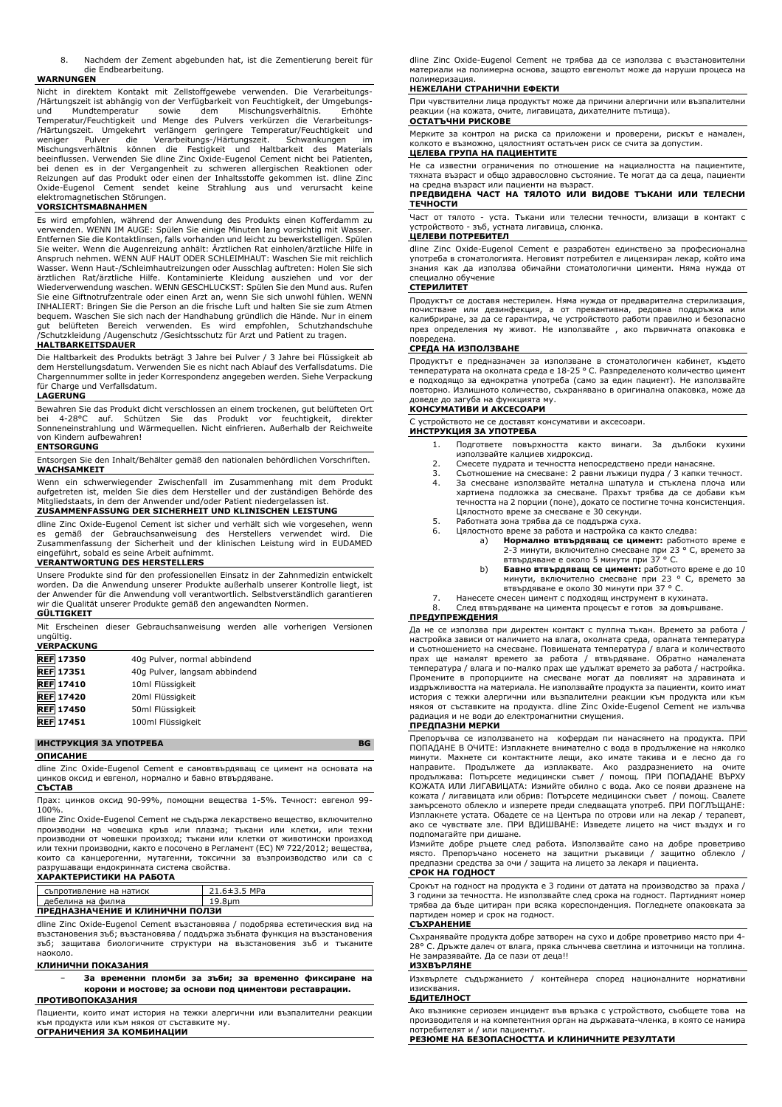8. Nachdem der Zement abgebunden hat, ist die Zementierung bereit für die Endbearbeitung.

## **WARNUNGEN**

Nicht in direktem Kontakt mit Zellstoffgewebe verwenden. Die Verarbeitungs- /Härtungszeit ist abhängig von der Verfügbarkeit von Feuchtigkeit, der Umgebungsund Mundtemperatur sowie dem Mischungsverhältnis. Erhöhte<br>Temperatur/Feuchtigkeit und Menge des Pulvers verkürzen die Verarbeitungs-<br>/Härtungszeit. Umgekehrt verlängern geringere Temperatur/Feuchtigkeit und<br>weniger Pulver Mischungsverhältnis können die Festigkeit und Haltbarkeit des Materials beeinflussen. Verwenden Sie dline Zinc Oxide-Eugenol Cement nicht bei Patienten, bei denen es in der Vergangenheit zu schweren allergischen Reaktionen oder Reizungen auf das Produkt oder einen der Inhaltsstoffe gekommen ist. dline Zinc Oxide-Eugenol Cement sendet keine Strahlung aus und verursacht keine elektromagnetischen Störungen.

# **VORSICHTSMAßNAHMEN**

Es wird empfohlen, während der Anwendung des Produkts einen Kofferdamm zu verwenden. WENN IM AUGE: Spülen Sie einige Minuten lang vorsichtig mit Wasser. Entfernen Sie die Kontaktlinsen, falls vorhanden und leicht zu bewerkstelligen. Spülen Sie weiter. Wenn die Augenreizung anhält: Ärztlichen Rat einholen/ärztliche Hilfe in Anspruch nehmen. WENN AUF HAUT ODER SCHLEIMHAUT: Waschen Sie mit reichlich Wasser. Wenn Haut-/Schleimhautreizungen oder Ausschlag auftreten: Holen Sie sich<br>ärztlichen Rat/ärztliche Hilfe. Kontaminierte Kleidung ausziehen und vor der<br>Wiederverwendung waschen. WENN GESCHLUCKST: Spülen Sie d Sie eine Giftnotrufzentrale oder einen Arzt an, wenn Sie sich unwohl fühlen. WENN INHALIERT: Bringen Sie die Person an die frische Luft und halten Sie sie zum Atmen bequem. Waschen Sie sich nach der Handhabung gründlich die Hände. Nur in einem gut belüfteten Bereich verwenden. Es wird empfohlen, Schutzhandschuhe /Schutzkleidung /Augenschutz /Gesichtsschutz für Arzt und Patient zu tragen. **HALTBARKEITSDAUER**

Die Haltbarkeit des Produkts beträgt 3 Jahre bei Pulver / 3 Jahre bei Flüssigkeit ab dem Herstellungsdatum. Verwenden Sie es nicht nach Ablauf des Verfallsdatums. Die Chargennummer sollte in jeder Korrespondenz angegeben werden. Siehe Verpackung für Charge und Verfallsdatum.

#### **LAGERUNG**

Bewahren Sie das Produkt dicht verschlossen an einem trockenen, gut belüfteten Ort bei 4-28°C auf. Schützen Sie das Produkt vor feuchtigkeit, direkter Sonneneinstrahlung und Wärmequellen. Nicht einfrieren. Außerhalb der Reichweite von Kindern aufbewahren!

#### **ENTSORGUNG**

Entsorgen Sie den Inhalt/Behälter gemäß den nationalen behördlichen Vorschriften. **WACHSAMKEIT**

Wenn ein schwerwiegender Zwischenfall im Zusammenhang mit dem Produkt aufgetreten ist, melden Sie dies dem Hersteller und der zuständigen Behörde des Mitgliedstaats, in dem der Anwender und/oder Patient niedergelassen ist.

# **ZUSAMMENFASSUNG DER SICHERHEIT UND KLINISCHEN LEISTUNG**

dline Zinc Oxide-Eugenol Cement ist sicher und verhält sich wie vorgesehen, wenn es gemäß der Gebrauchsanweisung des Herstellers verwendet wird. Die Zusammenfassung der Sicherheit und der klinischen Leistung wird in EUDAMED eingeführt, sobald es seine Arbeit aufnimmt.

#### **VERANTWORTUNG DES HERSTELLERS**

Unsere Produkte sind für den professionellen Einsatz in der Zahnmedizin entwickelt worden. Da die Anwendung unserer Produkte außerhalb unserer Kontrolle liegt, ist der Anwender für die Anwendung voll verantwortlich. Selbstverständlich garantieren wir die Qualität unserer Produkte gemäß den angewandten Normen.

#### **GÜLTIGKEIT**

Mit Erscheinen dieser Gebrauchsanweisung werden alle vorherigen Versionen ungültig. **VERPACKUNG**

| $\sim$ - $\sim$ - $\sim$ $\sim$ $\sim$ |                               |
|----------------------------------------|-------------------------------|
| <b>REF 17350</b>                       | 40g Pulver, normal abbindend  |
| <b>REF</b> 17351                       | 40g Pulver, langsam abbindend |
| <b>REF</b> 17410                       | 10ml Flüssigkeit              |
| <b>REF</b> 17420                       | 20ml Flüssigkeit              |
| <b>REF</b> 17450                       | 50ml Flüssigkeit              |
| <b>REF</b> 17451                       | 100ml Flüssigkeit             |
|                                        |                               |

# **ИНСТРУКЦИЯ ЗА УПОТРЕБА BG**

**ОПИСАНИЕ**

dline Zinc Oxide-Eugenol Cement е самовтвърдяващ се цимент на основата на цинков оксид и евгенол, нормално и бавно втвърдяване.

#### **СЪСТАВ**

Прах: цинков оксид 90-99%, помощни вещества 1-5%. Течност: евгенол 99- 100%.

dline Zinc Oxide-Eugenol Cement не съдържа лекарствено вещество, включително производни на човешка кръв или плазма; тъкани или клетки, или техни производни от човешки произход; тъкани или клетки от животински произход или техни производни, както е посочено в Регламент (ЕС) № 722/2012; вещества, които са канцерогенни, мутагенни, токсични за възпроизводство или са с разрушаващи ендокринната система свойства.

# **ХАРАКТЕРИСТИКИ НА РАБОТА**

|                                 | съпротивление на натиск | $21.6 \pm 3.5$ MPa |
|---------------------------------|-------------------------|--------------------|
|                                 | дебелина на филма       | 19.8um             |
| ПРЕДНАЗНАЧЕНИЕ И КЛИНИЧНИ ПОЛЗИ |                         |                    |

dline Zinc Oxide-Eugenol Cement възстановява / подобрява естетическия вид на възстановения зъб; възстановява / поддържа зъбната функция на възстановения зъб; защитава биологичните структури на възстановения зъб и тъканите наоколо.

#### **КЛИНИЧНИ ПОКАЗАНИЯ**

− **За временни пломби за зъби; за временно фиксиране на корони и мостове; за основи под циментови реставрации.**

**ПРОТИВОПОКАЗАНИЯ**

Пациенти, които имат история на тежки алергични или възпалителни реакции към продукта или към някоя от съставките му.

**ОГРАНИЧЕНИЯ ЗА КОМБИНАЦИИ**

dline Zinc Oxide-Eugenol Cement не трябва да се използва с възстановителни материали на полимерна основа, защото евгенолът може да наруши процеса на полимеризация.

#### **НЕЖЕЛАНИ СТРАНИЧНИ ЕФЕКТИ**

При чувствителни лица продуктът може да причини алергични или възпалителни реакции (на кожата, очите, лигавицата, дихателните пътища). **ОСТАТЪЧНИ РИСКОВЕ**

Мерките за контрол на риска са приложени и проверени, рискът е намален, колкото е възможно, цялостният остатъчен риск се счита за допустим. **ЦЕЛЕВА ГРУПА НА ПАЦИЕНТИТЕ**

#### Не са известни ограничения по отношение на нациалността на пациентите, тяхната възраст и общо здравословно състояние. Те могат да са деца, пациенти на средна възраст или пациенти на възраст.

**ПРЕДВИДЕНА ЧАСТ НА ТЯЛОТО ИЛИ ВИДОВЕ ТЪКАНИ ИЛИ ТЕЛЕСНИ ТЕЧНОСТИ**

Част от тялото - уста. Тъкани или телесни течности, влизащи в контакт с устройството - зъб, устната лигавица, слюнка.

# **ЦЕЛЕВИ ПОТРЕБИТЕЛ**

dline Zinc Oxide-Eugenol Cement е разработен единствено за професионална употреба в стоматологията. Неговият потребител е лицензиран лекар, който има знания как да използва обичайни стоматологични цименти. Няма нужда от специално обучение

#### **СТЕРИЛИТЕТ**

Продуктът се доставя нестерилен. Няма нужда от предварителна стерилизация, почистване или дезинфекция, а от превантивна, редовна поддръжка или калибриране, за да се гарантира, че устройството работи правилно и безопасно през определения му живот. Не използвайте , ако първичната опаковка е

# повредена. **СРЕДА НА ИЗПОЛЗВАНЕ**

Продуктът е предназначен за използване в стоматологичен кабинет, където температурата на околната среда е 18-25 ° C. Разпределеното количество цимент е подходящо за еднократна употреба (само за един пациент). Не използвайте повторно. Излишното количество, съхранявано в оригинална опаковка, може да доведе до загуба на функцията му.

## **КОНСУМАТИВИ И АКСЕСОАРИ**

С устройството не се доставят консумативи и аксесоари. **ИНСТРУКЦИЯ ЗА УПОТРЕБА**

- - 1. Подгответе повърхността както винаги. За дълбоки кухини използвайте калциев хидроксид.
	- 2. Смесете пудрата и течността непосредствено преди нанасяне.<br>3. Съотношение на смесване: 2 равни лъжици пулра / 3 капки т
	- 3. Съотношение на смесване: 2 равни лъжици пудра / 3 капки течност. За смесване използвайте метална шпатула и стъклена плоча или хартиена подложка за смесване. Прахът трябва да се добави към течността на 2 порции (поне), докато се постигне точна консистенция. Цялостното време за смесване е 30 секунди.
	- 5. Работната зона трябва да се поддържа суха.
	- Цялостното време за работа и настройка са както следва:<br>а) Нормално втвърдяващ се цимент: работно
		- a) **Нормално втвърдяващ се цимент:** работното време е 2-3 минути, включително смесване при 23 ° C, времето за
		- втвърдяване е около 5 минути при 37 ° C. b) **Бавно втвърдяващ се цимент:** работното време е до 10 минути, включително смесване при 23 ° C, времето за втвърдяване е около 30 минути при 37 ° C.
	- 7. Нанесете смесен цимент с подходящ инструмент в кухината.
	- След втвърдяване на цимента процесът е готов за довършване.

# **ПРЕДУПРЕЖДЕНИЯ**

Да не се използва при директен контакт с пулпна тъкан. Времето за работа / настройка зависи от наличието на влага, околната среда, оралната температура и съотношението на смесване. Повишената температура / влага и количеството прах ще намалят времето за работа / втвърдяване. Обратно намалената температура / влага и по-малко прах ще удължат времето за работа / настройка. Промените в пропорциите на смесване могат да повлияят на здравината и издръжливостта на материала. Не използвайте продукта за пациенти, които имат история с тежки алергични или възпалителни реакции към продукта или към някоя от съставките на продукта. dline Zinc Oxide-Eugenol Cement не излъчва радиация и не води до електромагнитни смущения. **ПРЕДПАЗНИ МЕРКИ**

Препоръчва се използването на кофердам пи нанасянето на продукта. ПРИ ПОПАДАНЕ В ОЧИТЕ: Изплакнете внимателно с вода в продължение на няколко минути. Махнете си контактните лещи, ако имате такива и е лесно да го направите. Продължете да изплаквате. Ако раздразнението на очите<br>продължава: Потърсете медицински съвет / помощ. ПРИ ПОПАДАНЕ ВЪРХУ<br>КОЖАТА ИЛИ ЛИГАВИЦАТА: Измийте обилно с вода. Ако се появи дразнене на кожата / лигавицата или обрив: Потърсете медицински съвет / помощ. Свалете замърсеното облекло и изперете преди следващата употреб. ПРИ ПОГЛЪЩАНЕ: Изплакнете устата. Обадете се на Центъра по отрови или на лекар / терапевт, ако се чувствате зле. ПРИ ВДИШВАНЕ: Изведете лицето на чист въздух и го подпомагайте при дишане.

Измийте добре ръцете след работа. Използвайте само на добре проветриво място. Препоръчано носенето на защитни ръкавици / защитно облекло / предпазни средства за очи / защита на лицето за лекаря и пациента.

#### **СРОК НА ГОДНОСТ**

Срокът на годност на продукта е 3 години от датата на производство за праха / 3 години за течността. Не използвайте след срока на годност. Партидният номер трябва да бъде цитиран при всяка кореспонденция. Погледнете опаковката за партиден номер и срок на годност.

#### **СЪХРАНЕНИЕ**

Съхранявайте продукта добре затворен на сухо и добре проветриво място при 4- 28° C. Дръжте далеч от влага, пряка слънчева светлина и източници на топлина. Не замразявайте. Да се пази от деца!!

#### **ИЗХВЪРЛЯНЕ**

Изхвърлете съдържанието / контейнера според националните нормативни изисквания.

#### **БДИТЕЛНОСТ**

Ако възникне сериозен инцидент във връзка с устройството, съобщете това на производителя и на компетентния орган на държавата-членка, в която се намира потребителят и / или пациентът.

**РЕЗЮМЕ НА БЕЗОПАСНОСТТА И КЛИНИЧНИТЕ РЕЗУЛТАТИ**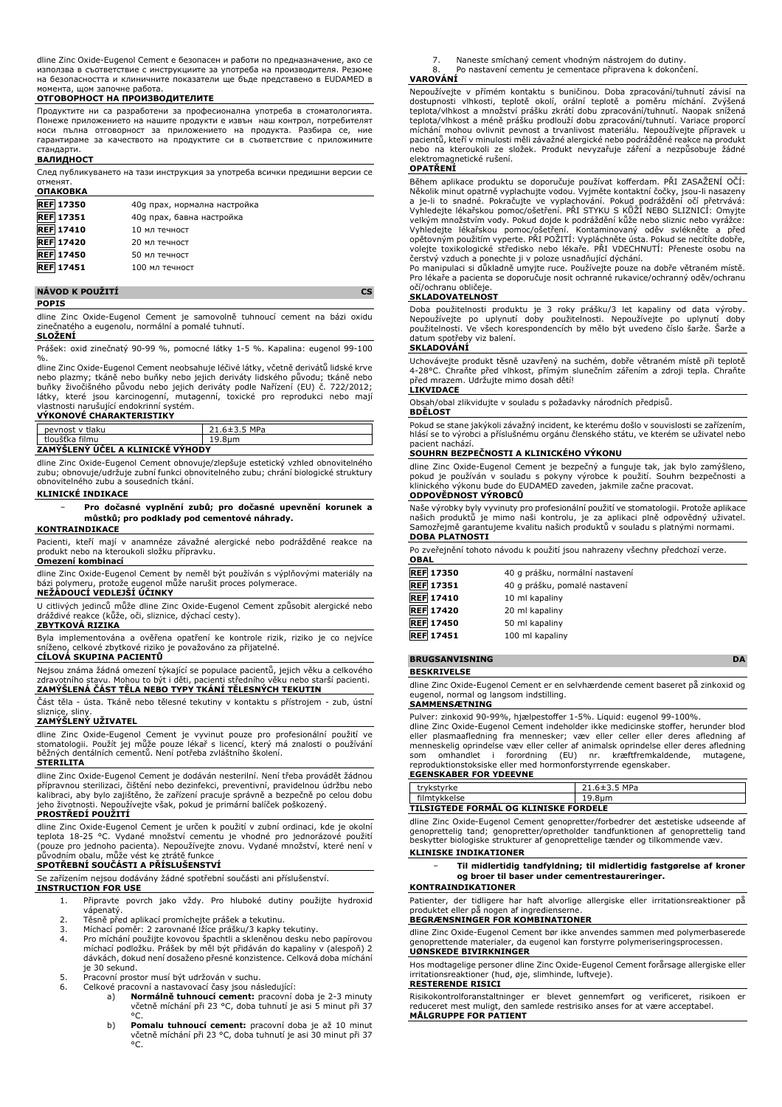dline Zinc Oxide-Eugenol Cement е безопасен и работи по предназначение, ако се използва в съответствие с инструкциите за употреба на производителя. Резюме на безопасността и клиничните показатели ще бъде представено в EUDAMED в момента, щом започне работа.

# **ОТГОВОРНОСТ НА ПРОИЗВОДИТЕЛИТЕ**

Продуктите ни са разработени за професионална употреба в стоматологията. Понеже приложението на нашите продукти е извън наш контрол, потребителят носи пълна отговорност за приложението на продукта. Разбира се, ние гарантираме за качеството на продуктите си в съответствие с приложимите стандарти.

#### **ВАЛИДНОСТ**

След публикуването на тази инструкция за употреба всички предишни версии се отменят.

| <b>ОПАКОВКА</b>  |                              |
|------------------|------------------------------|
| <b>REF 17350</b> | 40g прах, нормална настройка |
| <b>REF 17351</b> | 40g прах, бавна настройка    |
| <b>REF</b> 17410 | 10 мл течност                |
| <b>REF 17420</b> | 20 мл течност                |
| <b>REF 17450</b> | 50 мл течност                |
| <b>REF 17451</b> | 100 мл течност               |

## **NÁVOD K POUŽITÍ CS**

#### **POPIS**

dline Zinc Oxide-Eugenol Cement je samovolně tuhnoucí cement na bázi oxidu zinečnatého a eugenolu, normální a pomalé tuhnutí.

#### **SLOŽENÍ**

Prášek: oxid zinečnatý 90-99 %, pomocné látky 1-5 %. Kapalina: eugenol 99-100

%. dline Zinc Oxide-Eugenol Cement neobsahuje léčivé látky, včetně derivátů lidské krve nebo plazmy; tkáně nebo buňky nebo jejich deriváty lidského původu; tkáně nebo<br>buňky živočišného původu nebo jejich deriváty podle Nařízení (EU) č. 722/2012;<br>látky, které jsou karcinogenní, mutagenní, toxické pro repr vlastnosti narušující endokrinní systém. **VÝKONOVÉ CHARAKTERISTIKY**

| peynost y tlaku                  | $21.6 \pm 3.5$ MPa |  |
|----------------------------------|--------------------|--|
| tloušťka filmu                   | 19.8um             |  |
| ZAMÝŠLENÝ ÚČEL A KLINICKÉ VÝHODY |                    |  |

dline Zinc Oxide-Eugenol Cement obnovuje/zlepšuje estetický vzhled obnovitelného zubu; obnovuje/udržuje zubní funkci obnovitelného zubu; chrání biologické struktury obnovitelného zubu a sousedních tkání.

# **KLINICKÉ INDIKACE**

− **Pro dočasné vyplnění zubů; pro dočasné upevnění korunek a můstků; pro podklady pod cementové náhrady.**

#### **KONTRAINDIKACE**

Pacienti, kteří mají v anamnéze závažné alergické nebo podrážděné reakce na produkt nebo na kteroukoli složku přípravku. **Omezení kombinací**

dline Zinc Oxide-Eugenol Cement by neměl být používán s výplňovými materiály na bázi polymeru, protože eugenol může narušit proces polymerace.

# **NEŽÁDOUCÍ VEDLEJŠÍ ÚČINKY**

U citlivých jedinců může dline Zinc Oxide-Eugenol Cement způsobit alergické nebo dráždivé reakce (kůže, oči, sliznice, dýchací cesty).

# **ZBYTKOVÁ RIZIKA**

Byla implementována a ověřena opatření ke kontrole rizik, riziko je co nejvíce sníženo, celkové zbytkové riziko je považováno za přijatelné.

# **CÍLOVÁ SKUPINA PACIENTŮ**

Nejsou známa žádná omezení týkající se populace pacientů, jejich věku a celkového zdravotního stavu. Mohou to být i děti, pacienti středního věku nebo starší pacienti. **ZAMÝŠLENÁ ČÁST TĚLA NEBO TYPY TKÁNÍ TĚLESNÝCH TEKUTIN**

Část těla - ústa. Tkáně nebo tělesné tekutiny v kontaktu s přístrojem - zub, ústní sliznice, sliny.

#### **ZAMÝŠLENÝ UŽIVATEL**

dline Zinc Oxide-Eugenol Cement je vyvinut pouze pro profesionální použití ve stomatologii. Použít jej může pouze lékař s licencí, který má znalosti o používání běžných dentálních cementů. Není potřeba zvláštního školení. **STERILITA**

dline Zinc Oxide-Eugenol Cement je dodáván nesterilní. Není třeba provádět žádnou přípravnou sterilizaci, čištění nebo dezinfekci, preventivní, pravidelnou údržbu nebo kalibraci, aby bylo zajištěno, že zařízení pracuje správně a bezpečně po celou dobu jeho životnosti. Nepoužívejte však, pokud je primární balíček poškozený.

#### **PROSTŘEDÍ POUŽITÍ**

dline Zinc Oxide-Eugenol Cement je určen k použití v zubní ordinaci, kde je okolní teplota 18-25 °C. Vydané množství cementu je vhodné pro jednorázové použití (pouze pro jednoho pacienta). Nepoužívejte znovu. Vydané množství, které není v původním obalu, může vést ke ztrátě funkce

# **SPOTŘEBNÍ SOUČÁSTI A PŘÍSLUŠENSTVÍ**

Se zařízením nejsou dodávány žádné spotřební součásti ani příslušenství.

# **INSTRUCTION FOR USE**

- 1. Připravte povrch jako vždy. Pro hluboké dutiny použijte hydroxid
- vápenatý. 2. Těsně před aplikací promíchejte prášek a tekutinu.
- 3. Míchací poměr: 2 zarovnané lžíce prášku/3 kapky tekutiny.
- 4. Pro míchání použijte kovovou špachtli a skleněnou desku nebo papírovou míchací podložku. Prášek by měl být přidáván do kapaliny v (alespoň) 2 dávkách, dokud není dosaženo přesné konzistence. Celková doba míchání je 30 sekund.
- 5. Pracovní prostor musí být udržován v suchu. 6. Celkové pracovní a nastavovací časy jsou následující:
	- - a) **Normálně tuhnoucí cement:** pracovní doba je 2-3 minuty včetně míchání při 23 °C, doba tuhnutí je asi 5 minut při 37 °C.
		- b) **Pomalu tuhnoucí cement:** pracovní doba je až 10 minut včetně míchání při 23 °C, doba tuhnutí je asi 30 minut při 37 °C.

7. Naneste smíchaný cement vhodným nástrojem do dutiny. Po nastavení cementu je cementace připravena k dokončení.

# **VAROVÁNÍ**

Nepoužívejte v přímém kontaktu s buničinou. Doba zpracování/tuhnutí závisí na dostupnosti vlhkosti, teplotě okolí, orální teplotě a poměru míchání. Zvýšená teplota/vlhkost a množství prášku zkrátí dobu zpracování/tuhnutí. Naopak snížená teplota/vlhkost a méně prášku prodlouží dobu zpracování/tuhnutí. Variace proporcí míchání mohou ovlivnit pevnost a trvanlivost materiálu. Nepoužívejte přípravek u pacientů, kteří v minulosti měli závažné alergické nebo podrážděné reakce na produkt nebo na kteroukoli ze složek. Produkt nevyzařuje záření a nezpůsobuje žádné elektromagnetické rušení.

# **OPATŘENÍ**

Během aplikace produktu se doporučuje používat kofferdam. PŘI ZASAŽENÍ OČÍ: Několik minut opatrně vyplachujte vodou. Vyjměte kontaktní čočky, jsou-li nasazeny a je-li to snadné. Pokračujte ve vyplachování. Pokud podráždění očí přetrvává: Vyhledejte lékařskou pomoc/ošetření. PŘI STYKU S KŮŽÍ NEBO SLIZNICÍ: Omyjte velkým množstvím vody. Pokud dojde k podráždění kůže nebo sliznic nebo vyrážce:<br>Vyhledejte lékařskou pomoc/ošetření. Kontaminovaný oděv svlékněte a před<br>opětovným použitím vyperte. PŘI POŽITÍ: Vypláchněte ústa. Poku čerstvý vzduch a ponechte ji v poloze usnadňující dýchání.

Po manipulaci si důkladně umyjte ruce. Používejte pouze na dobře větraném místě. Pro lékaře a pacienta se doporučuje nosit ochranné rukavice/ochranný oděv/ochranu očí/ochranu obličeje.

# **SKLADOVATELNOST**

Doba použitelnosti produktu je 3 roky prášku/3 let kapaliny od data výroby. Nepoužívejte po uplynutí doby použitelnosti. Nepoužívejte po uplynutí doby použitelnosti. Ve všech korespondencích by mělo být uvedeno číslo šarže. Šarže a datum spotřeby viz balení.

# **SKLADOVÁNÍ**

Uchovávejte produkt těsně uzavřený na suchém, dobře větraném místě při teplotě 4-28°C. Chraňte před vlhkost, přímým slunečním zářením a zdroji tepla. Chraňte před mrazem. Udržujte mimo dosah dětí!

# **LIKVIDACE**

Obsah/obal zlikvidujte v souladu s požadavky národních předpisů.

# **BDĚLOST**

Pokud se stane jakýkoli závažný incident, ke kterému došlo v souvislosti se zařízením, hlásí se to výrobci a příslušnému orgánu členského státu, ve kterém se uživatel nebo

# pacient nachází. **SOUHRN BEZPEČNOSTI A KLINICKÉHO VÝKONU**

dline Zinc Oxide-Eugenol Cement je bezpečný a funguje tak, jak bylo zamýšleno, pokud je používán v souladu s pokyny výrobce k použití. Souhrn bezpečnosti a klinického výkonu bude do EUDAMED zaveden, jakmile začne pracovat. **ODPOVĚDNOST VÝROBCŮ**

Naše výrobky byly vyvinuty pro profesionální použití ve stomatologii. Protože aplikace<br>našich produktů je mimo naši kontrolu, je za aplikaci plně odpovědný uživatel.<br>Samozřejmě garantujeme kvalitu naších produkt **DOBA PLATNOSTI**

# Po zveřejnění tohoto návodu k použití jsou nahrazeny všechny předchozí verze.

| <b>OBAL</b>      |                                 |
|------------------|---------------------------------|
| <b>REF 17350</b> | 40 g prášku, normální nastavení |
| <b>REF</b> 17351 | 40 g prášku, pomalé nastavení   |
| <b>REF</b> 17410 | 10 ml kapaliny                  |
| <b>REF</b> 17420 | 20 ml kapaliny                  |
| <b>REF</b> 17450 | 50 ml kapaliny                  |
| <b>REF</b> 17451 | 100 ml kapaliny                 |

#### **BRUGSANVISNING DA**

#### **BESKRIVELSE**

dline Zinc Oxide-Eugenol Cement er en selvhærdende cement baseret på zinkoxid og eugenol, normal og langsom indstilling.

# **SAMMENSÆTNING**

Pulver: zinkoxid 90-99%, hjælpestoffer 1-5%. Liquid: eugenol 99-100%.

dline Zinc Oxide-Eugenol Cement indeholder ikke medicinske stoffer, herunder blod eller plasmaafledning fra mennesker; væv eller celler eller deres afledning af menneskelig oprindelse væv eller celler af animalsk oprindelse eller deres afledning som omhandlet i forordning (EU) nr. kræftfremkaldende, mutagene, reproduktionstoksiske eller med hormonforstyrrende egenskaber.

#### **EGENSKABER FOR YDEEVNE**

| trvkstvrke                            | 21.6±3.5 MPa |
|---------------------------------------|--------------|
| filmtykkelse                          | 19.8um       |
| TILSIGTEDE FORMÅL OG KLINISKE FORDELE |              |

dline Zinc Oxide-Eugenol Cement genopretter/forbedrer det æstetiske udseende af genoprettelig tand; genopretter/opretholder tandfunktionen af genoprettelig tand beskytter biologiske strukturer af genoprettelige tænder og tilkommende væv.

# **KLINISKE INDIKATIONER**

− **Til midlertidig tandfyldning; til midlertidig fastgørelse af kroner og broer til baser under cementrestaureringer.**

#### **KONTRAINDIKATIONER**

Patienter, der tidligere har haft alvorlige allergiske eller irritationsreaktioner på produktet eller på nogen af ingredienserne.

#### **BEGRÆNSNINGER FOR KOMBINATIONER**

dline Zinc Oxide-Eugenol Cement bør ikke anvendes sammen med polymerbaserede genoprettende materialer, da eugenol kan forstyrre polymeriseringsprocessen. **UØNSKEDE BIVIRKNINGER**

Hos modtagelige personer dline Zinc Oxide-Eugenol Cement forårsage allergiske eller irritationsreaktioner (hud, øje, slimhinde, luftveje).

## **RESTERENDE RISICI**

Risikokontrolforanstaltninger er blevet gennemført og verificeret, risikoen er reduceret mest muligt, den samlede restrisiko anses for at være acceptabel. **MÅLGRUPPE FOR PATIENT**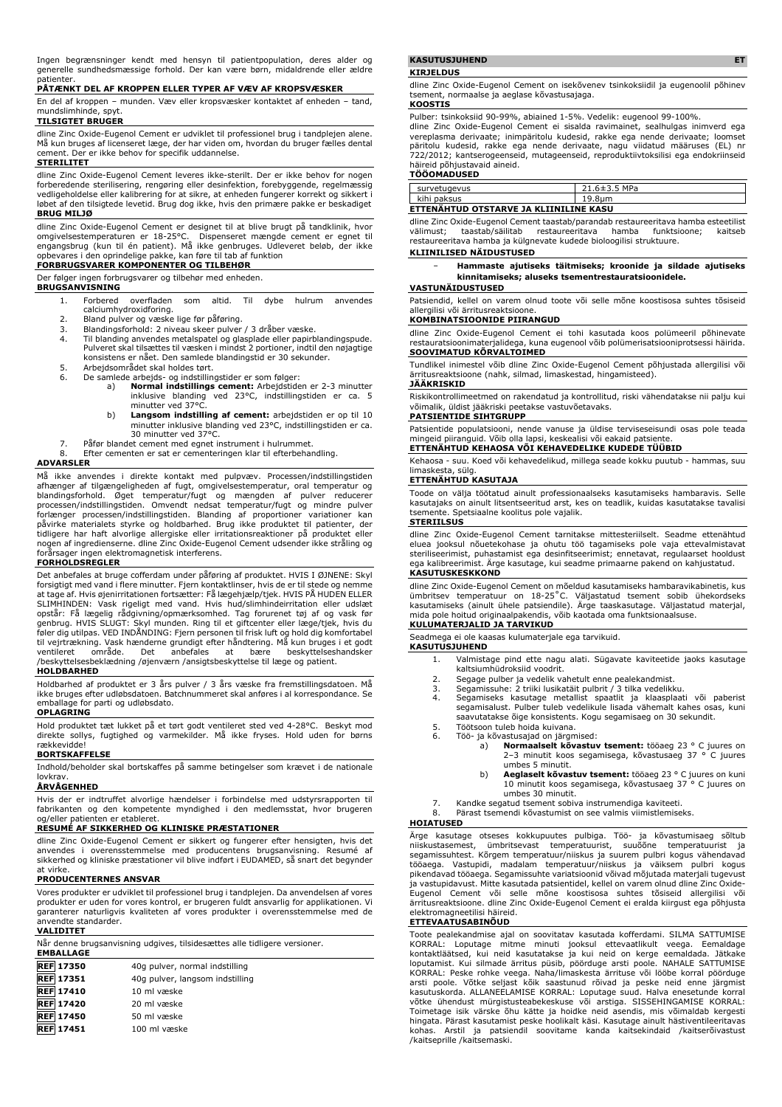Ingen begrænsninger kendt med hensyn til patientpopulation, deres alder og generelle sundhedsmæssige forhold. Der kan være børn, midaldrende eller ældre patienter.

# **PÅTÆNKT DEL AF KROPPEN ELLER TYPER AF VÆV AF KROPSVÆSKER**

En del af kroppen – munden. Væv eller kropsvæsker kontaktet af enheden – tand, mundslimhinde, spyt.

# **TILSIGTET BRUGER**

dline Zinc Oxide-Eugenol Cement er udviklet til professionel brug i tandplejen alene. Må kun bruges af licenseret læge, der har viden om, hvordan du bruger fælles dental cement. Der er ikke behov for specifik uddannelse.

# **STERILITET**

dline Zinc Oxide-Eugenol Cement leveres ikke-sterilt. Der er ikke behov for nogen forberedende sterilisering, rengøring eller desinfektion, forebyggende, regelmæssig vedligeholdelse eller kalibrering for at sikre, at enheden fungerer korrekt og sikkert i løbet af den tilsigtede levetid. Brug dog ikke, hvis den primære pakke er beskadiget **BRUG MILJØ**

dline Zinc Oxide-Eugenol Cement er designet til at blive brugt på tandklinik, hvor omgivelsestemperaturen er 18-25°C. Dispenseret mængde cement er egnet til<br>engangsbrug (kun til én patient). Må ikke genbruges. Udleveret beløb, der ikke<br>opbevares i den oprindelige pakke, kan føre til tab af funktion

# **FORBRUGSVARER KOMPONENTER OG TILBEHØR**

Der følger ingen forbrugsvarer og tilbehør med enheden.

## **BRUGSANVISNING**

- 1. Forbered overfladen som altid. Til dybe hulrum anvendes calciumhydroxidforing.
- 
- 2. Bland pulver og væske lige før påføring. 3. Blandingsforhold: 2 niveau skeer pulver / 3 dråber væske.
- 4. Til blanding anvendes metalspatel og glasplade eller papirblandingspude. Pulveret skal tilsættes til væsken i mindst 2 portioner, indtil den nøjagtige konsistens er nået. Den samlede blandingstid er 30 sekunder.
- 5. Arbejdsområdet skal holdes tørt.<br>6. De samlede arbejds- og indstilling
- 6. De samlede arbejds- og indstillingstider er som følger:<br>a) **Normal indstillings cement:** Arbejdstiden er 2-3 minutter<br>inklusive blanding ved 23°C, indstillingstiden er ca. 5 minutter ved 37°
	- b) **Langsom indstilling af cement:** arbejdstiden er op til 10 minutter inklusive blanding ved 23°C, indstillingstiden er ca. 30 minutter ved 37°C.
	-
- 7. Påfør blandet cement med egnet instrument i hulrummet. 8. Efter cementen er sat er cementeringen klar til efterbehandling.

#### **ADVARSLER**

Må ikke anvendes i direkte kontakt med pulpvæv. Processen/indstillingstiden afhænger af tilgængeligheden af fugt, omgivelsestemperatur, oral temperatur og<br>blandingsforhold. Øget temperatur/fugt og mængden af pulver reducerer<br>processen/indstillingstiden. Omvendt nedsat temperatur/fugt og mindre pul tidligere har haft alvorlige allergiske eller irritationsreaktioner på produktet eller nogen af ingredienserne. dline Zinc Oxide-Eugenol Cement udsender ikke stråling og forårsager ingen elektromagnetisk interferens.

#### **FORHOLDSREGLER**

Det anbefales at bruge cofferdam under păføring af produktet. HVIS I ØJNENE: Skyl<br>forsigtigt med vand i flere minutter. Fjern kontaktlinser, hvis de er til stede og nemme<br>at tage af. Hvis øjenirritationen fortsætter: Få læ SLIMHINDEN: Vask rigeligt med vand. Hvis hud/slimhindeirritation eller udslæt opstår: Få lægelig rådgivning/opmærksomhed. Tag forurenet tøj af og vask før genbrug. HVIS SLUGT: Skyl munden. Ring til et giftcenter eller læge/tjek, hvis du føler dig utilpas. VED INDÅNDING: Fjern personen til frisk luft og hold dig komfortabel til vejrtrækning. Vask hænderne grundigt efter håndtering. Må kun bruges i et godt ventileret område. Det anbefales at bære beskyttelseshandsker /beskyttelsesbeklædning /øjenværn /ansigtsbeskyttelse til læge og patient.

# **HOLDBARHED**

Holdbarhed af produktet er 3 års pulver / 3 års væske fra fremstillingsdatoen. Må ikke bruges efter udløbsdatoen. Batchnummeret skal anføres i al korrespondance. Se emballage for parti og udløbsdato.

## **OPLAGRING**

Hold produktet tæt lukket på et tørt godt ventileret sted ved 4-28°C. Beskyt mod direkte sollys, fugtighed og varmekilder. Må ikke fryses. Hold uden for børns rækkevidde!

# **BORTSKAFFELSE**

Indhold/beholder skal bortskaffes på samme betingelser som krævet i de nationale lovkrav.

# **ÅRVÅGENHED**

Hvis der er indtruffet alvorlige hændelser i forbindelse med udstyrsrapporten til fabrikanten og den kompetente myndighed i den medlemsstat, hvor brugeren og/eller patienten er etableret.

## **RESUMÉ AF SIKKERHED OG KLINISKE PRÆSTATIONER**

dline Zinc Oxide-Eugenol Cement er sikkert og fungerer efter hensigten, hvis det anvendes i overensstemmelse med producentens brugsanvisning. Resumé af sikkerhed og kliniske præstationer vil blive indført i EUDAMED, så snart det begynder at virke.

#### **PRODUCENTERNES ANSVAR**

Vores produkter er udviklet til professionel brug i tandplejen. Da anvendelsen af vores produkter er uden for vores kontrol, er brugeren fuldt ansvarlig for applikationen. Vi garanterer naturligvis kvaliteten af vores produkter i overensstemmelse med de anvendte standarder.

## **VALIDITET**

| Når denne brugsanvisning udgives, tilsidesættes alle tidligere versioner.<br><b>EMBALLAGE</b> |                                 |  |
|-----------------------------------------------------------------------------------------------|---------------------------------|--|
| <b>REF 17350</b>                                                                              | 40q pulver, normal indstilling  |  |
| <b>REF</b> 17351                                                                              | 40q pulver, langsom indstilling |  |
| <b>REF 17410</b>                                                                              | 10 ml væske                     |  |
| <b>REF</b> 17420                                                                              | 20 ml væske                     |  |
| <b>REF 17450</b>                                                                              | 50 ml væske                     |  |
| <b>REF</b> 17451                                                                              | 100 ml væske                    |  |

# **KASUTUSJUHEND**

#### **KIRJELDUS**

dline Zinc Oxide-Eugenol Cement on isekõvenev tsinkoksiidil ja eugenoolil põhinev tsement, normaalse ja aeglase kõvastusajaga.

### **KOOSTIS**

Pulber: tsinkoksiid 90-99%, abiained 1-5%. Vedelik: eugenool 99-100%.

dline Zinc Oxide-Eugenol Cement ei sisalda ravimainet, sealhulgas inimverd ega vereplasma derivaate; inimpäritolu kudesid, rakke ega nende derivaate; loomset päritolu kudesid, rakke ega nende derivaate, nagu viidatud määruses (EL) nr 722/2012; kantserogeenseid, mutageenseid, reproduktiivtoksilisi ega endokriinseid häireid põhjustavaid aineid. **TÖÖOMADUSED**

| survetugevus                           | $21.6 \pm 3.5$ MPa |  |
|----------------------------------------|--------------------|--|
| kihi paksus                            | 19.8um             |  |
| ETTENAHTUD OTSTARVE JA KLIINILINE KASU |                    |  |

| dline Zinc Oxide-Eugenol Cement taastab/parandab restaureeritava hamba esteetilist |  |         |
|------------------------------------------------------------------------------------|--|---------|
| välimust: taastab/säilitab restaureeritava hamba funktsioone:                      |  | kaitseb |
| restaureeritava hamba ja külgnevate kudede bioloogilisi struktuure.                |  |         |

## **KLIINILISED NÄIDUSTUSED**

# − **Hammaste ajutiseks täitmiseks; kroonide ja sildade ajutiseks kinnitamiseks; aluseks tsementrestauratsioonidele.**

**VASTUNÄIDUSTUSED**

Patsiendid, kellel on varem olnud toote või selle mõne koostisosa suhtes tõsiseid allergilisi või ärritusreaktsioone.

#### **KOMBINATSIOONIDE PIIRANGUD**

dline Zinc Oxide-Eugenol Cement ei tohi kasutada koos polümeeril põhinevate restauratsioonimaterjalidega, kuna eugenool võib polümerisatsiooniprotsessi häirida. **SOOVIMATUD KÕRVALTOIMED**

Tundlikel inimestel võib dline Zinc Oxide-Eugenol Cement põhjustada allergilisi või ärritusreaktsioone (nahk, silmad, limaskestad, hingamisteed).

# **JÄÄKRISKID**

Riskikontrollimeetmed on rakendatud ja kontrollitud, riski vähendatakse nii palju kui võimalik, üldist jääkriski peetakse vastuvõetavaks.

#### **PATSIENTIDE SIHTGRUPP**

Patsientide populatsiooni, nende vanuse ja üldise terviseseisundi osas pole teada mingeid piiranguid. Võib olla lapsi, keskealisi või eakaid patsient **ETTENÄHTUD KEHAOSA VÕI KEHAVEDELIKE KUDEDE TÜÜBID**

Kehaosa - suu. Koed või kehavedelikud, millega seade kokku puutub - hammas, suu limaskesta, sülg. **ETTENÄHTUD KASUTAJA**

Toode on välja töötatud ainult professionaalseks kasutamiseks hambaravis. Selle kasutajaks on ainult litsentseeritud arst, kes on teadlik, kuidas kasutatakse tavalisi tsemente. Spetsiaalne koolitus pole vajalik.

# **STERIILSUS**

dline Zinc Oxide-Eugenol Cement tarnitakse mittesteriilselt. Seadme ettenähtud eluea jooksul nõuetekohase ja ohutu töö tagamiseks pole vaja ettevalmistavat steriliseerimist, puhastamist ega desinfitseerimist; ennetavat, regulaarset hooldust ega kalibreerimist. Ärge kasutage, kui seadme primaarne pakend on kahjustatud. **KASUTUSKESKKOND**

dline Zinc Oxide-Eugenol Cement on mõeldud kasutamiseks hambaravikabinetis, kus<br>ümbritsev temperatuur on 18-25°C. Väljastatud tsement sobib ühekordseks<br>kasutamiseks (ainult ühele patsiendile). Ärge taaskasutage. Vä mida pole hoitud originaalpakendis, võib kaotada oma funktsionaalsuse. **KULUMATERJALID JA TARVIKUD**

# Seadmega ei ole kaasas kulumaterjale ega tarvikuid. **KASUTUSJUHEND**

- 1. Valmistage pind ette nagu alati. Sügavate kaviteetide jaoks kasutage kaltsiumhüdroksiid voodrit.
- 2. Segage pulber ja vedelik vahetult enne pealekandmist.
- 
- 3. Segamissuhe: 2 triiki lusikatäit pulbrit / 3 tilka vedelikku. 4. Segamiseks kasutage metallist spaatlit ja klaasplaati või paberist segamisalust. Pulber tuleb vedelikule lisada vähemalt kahes osas, kuni saavutatakse õige konsistents. Kogu segamisaeg on 30 sekundit. 5. Töötsoon tuleb hoida kuivana.
- 
- 6. Töö- ja kõvastusajad on järgmised: a) **Normaalselt kõvastuv tsement:** tööaeg 23 ° C juures on 2–3 minutit koos segamisega, kõvastusaeg 37 ° C juures
	- umbes 5 minutit. b) **Aeglaselt kõvastuv tsement:** tööaeg 23 ° C juures on kuni
	- 10 minutit koos segamisega, kõvastusaeg 37 ° C juures on umbes 30 minutit.
- 7. Kandke segatud tsement sobiva instrumendiga kaviteeti.
- 8. Pärast tsemendi kõvastumist on see valmis viimistlemiseks.

#### **HOIATUSED**

Ärge kasutage otseses kokkupuutes pulbiga. Töö- ja kõvastumisaeg sõltub niiskustasemest, ümbritsevast temperatuurist, suuõõne temperatuurist ja segamissuhtest. Kõrgem temperatuur/niiskus ja suurem pulbri kogus vähendavad<br>tööaega. Vastupidi, madalam temperatuur/niiskus ja väiksem pulbri kogus<br>pikendavad tööaega. Segamissuhte variatsioonid võivad mõjutada mat ärritusreaktsioone. dline Zinc Oxide-Eugenol Cement ei eralda kiirgust ega põhjusta elektromagneetilisi häireid. **ETTEVAATUSABINÕUD**

Toote pealekandmise ajal on soovitatav kasutada kofferdami. SILMA SATTUMISE KORRAL: Loputage mitme minuti jooksul ettevaatlikult veega. Eemaldage kontaktläätsed, kui neid kasutatakse ja kui neid on kerge eemaldada. Jätkake<br>loputamist. Kui silmade ärritus püsib, pöörduge arsti poole. NAHALE SATTUMISE<br>KORRAL: Peske rohke veega. Naha/limaskesta ärrituse või lööbe korra hingata. Pärast kasutamist peske hoolikalt käsi. Kasutage ainult hästiventileeritavas kohas. Arstil ja patsiendil soovitame kanda kaitsekindaid /kaitserõivastust /kaitseprille /kaitsemaski.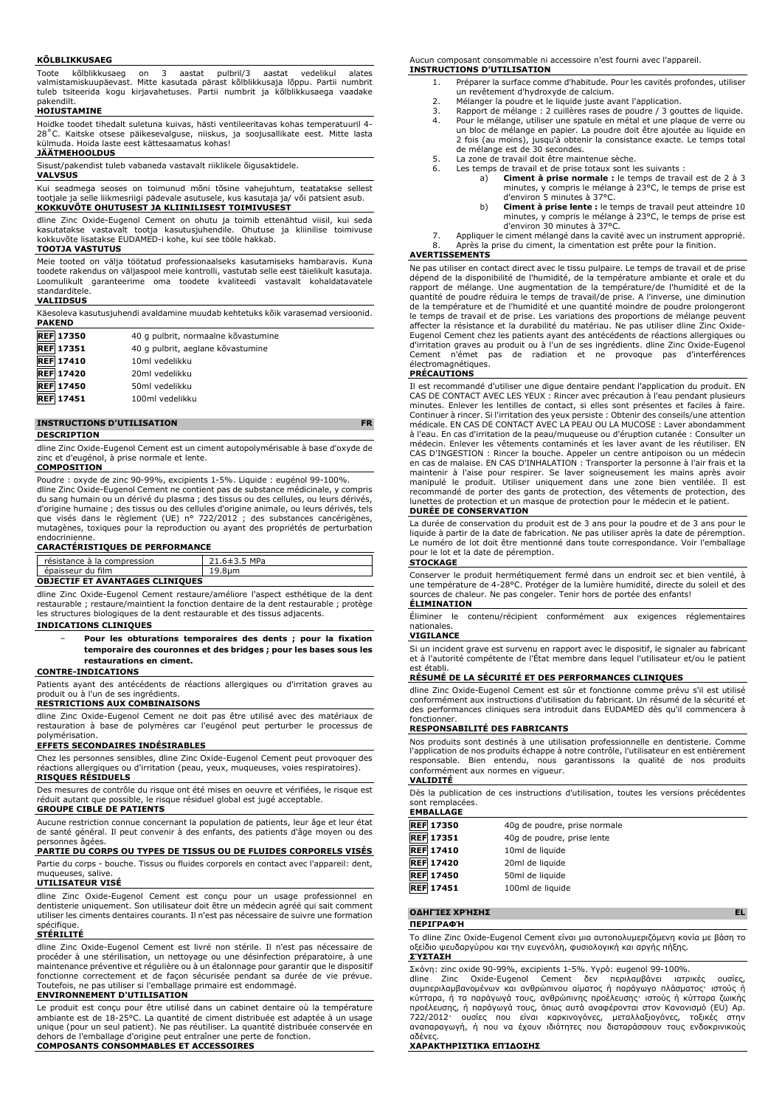#### **KÕLBLIKKUSAEG**

Toote kõlblikkusaeg on 3 aastat pulbril/3 aastat vedelikul alates valmistamiskuupäevast. Mitte kasutada pärast kõlblikkusaja lõppu. Partii numbrit tuleb tsiteerida kogu kirjavahetuses. Partii numbrit ja kõlblikkusaega vaadake pakendilt.

# **HOIUSTAMINE**

Hoidke toodet tihedalt suletuna kuivas, hästi ventileeritavas kohas temperatuuril 4- 28˚C. Kaitske otsese päikesevalguse, niiskus, ja soojusallikate eest. Mitte lasta külmuda. Hoida laste eest kättesaamatus kohas!

# **JÄÄTMEHOOLDUS**

Sisust/pakendist tuleb vabaneda vastavalt riiklikele õigusaktidele.

# **VALVSUS**

Kui seadmega seoses on toimunud mõni tõsine vahejuhtum, teatatakse sellest tootjale ja selle liikmesriigi pädevale asutusele, kus kasutaja ja/ või patsient asub. **KOKKUVÕTE OHUTUSEST JA KLIINILISEST TOIMIVUSEST**

dline Zinc Oxide-Eugenol Cement on ohutu ja toimib ettenähtud viisil, kui seda kasutatakse vastavalt tootja kasutusjuhendile. Ohutuse ja kliinilise toimivuse kokkuvõte lisatakse EUDAMED-i kohe, kui see tööle hakkab.

## **TOOTJA VASTUTUS**

Meie tooted on välja töötatud professionaalseks kasutamiseks hambaravis. Kuna toodete rakendus on väljaspool meie kontrolli, vastutab selle eest täielikult kasutaja. Loomulikult garanteerime oma toodete kvaliteedi vastavalt kohaldatavatele standarditele.

#### **VALIIDSUS**

Käesoleva kasutusjuhendi avaldamine muudab kehtetuks kõik varasemad versioonid. **PAKEND**

| <b>REF 17350</b> | 40 g pulbrit, normaalne kõvastumine |
|------------------|-------------------------------------|
| <b>REF</b> 17351 | 40 g pulbrit, aeglane kõvastumine   |
| <b>REF</b> 17410 | 10ml vedelikku                      |
| <b>REF 17420</b> | 20ml vedelikku                      |
| <b>REF 17450</b> | 50ml vedelikku                      |
| <b>REF</b> 17451 | 100ml vedelikku                     |
|                  |                                     |

# **INSTRUCTIONS D'UTILISATION FR**

**DESCRIPTION**

dline Zinc Oxide-Eugenol Cement est un ciment autopolymérisable à base d'oxyde de et d'eugénol, à prise normale et lente.

# **COMPOSITION**

Poudre : oxyde de zinc 90-99%, excipients 1-5%. Liquide : eugénol 99-100%. dline Zinc Oxide-Eugenol Cement ne contient pas de substance médicinale, y compris du sang humain ou un dérivé du plasma ; des tissus ou des cellules, ou leurs dérivés, d'origine humaine ; des tissus ou des cellules d'origine animale, ou leurs dérivés, tels que visés dans le règlement (UE) n° 722/2012 ; des substances cancérigènes, mutagènes, toxiques pour la reproduction ou ayant des propriétés de perturbation

# endocrinienne. **CARACTÉRISTIQUES DE PERFORMANCE**

| résistance à la compression            | 21.6±3.5 MPa |
|----------------------------------------|--------------|
| épaisseur du film                      | 19.8um       |
| <b>OBJECTIF ET AVANTAGES CLINIQUES</b> |              |

dline Zinc Oxide-Eugenol Cement restaure/améliore l'aspect esthétique de la dent restaurable ; restaure/maintient la fonction dentaire de la dent restaurable ; protège les structures biologiques de la dent restaurable et des tissus adjacents.

# **INDICATIONS CLINIQUES**

− **Pour les obturations temporaires des dents ; pour la fixation temporaire des couronnes et des bridges ; pour les bases sous les restaurations en ciment.**

## **CONTRE-INDICATIONS**

Patients ayant des antécédents de réactions allergiques ou d'irritation graves au produit ou à l'un de ses ingrédients.

# **RESTRICTIONS AUX COMBINAISONS**

dline Zinc Oxide-Eugenol Cement ne doit pas être utilisé avec des matériaux de restauration à base de polymères car l'eugénol peut perturber le processus de polymérisation.

# **EFFETS SECONDAIRES INDÉSIRABLES**

Chez les personnes sensibles, dline Zinc Oxide-Eugenol Cement peut provoquer des réactions allergiques ou d'irritation (peau, yeux, muqueuses, voies respiratoires). **RISQUES RÉSIDUELS**

Des mesures de contrôle du risque ont été mises en oeuvre et vérifiées, le risque est réduit autant que possible, le risque résiduel global est jugé acceptable. **GROUPE CIBLE DE PATIENTS**

Aucune restriction connue concernant la population de patients, leur âge et leur état de santé général. Il peut convenir à des enfants, des patients d'âge moyen ou des ersonnes

# **PARTIE DU CORPS OU TYPES DE TISSUS OU DE FLUIDES CORPORELS VISÉS**

Partie du corps - bouche. Tissus ou fluides corporels en contact avec l'appareil: dent, muqueuses, salive.

#### **UTILISATEUR VISÉ**

dline Zinc Oxide-Eugenol Cement est conçu pour un usage professionnel en dentisterie uniquement. Son utilisateur doit être un médecin agréé qui sait comment utiliser les ciments dentaires courants. Il n'est pas nécessaire de suivre une formation spécifique

#### **STÉRILITÉ**

dline Zinc Oxide-Eugenol Cement est livré non stérile. Il n'est pas nécessaire de procéder à une stérilisation, un nettoyage ou une désinfection préparatoire, à une maintenance préventive et régulière ou à un étalonnage pour garantir que le dispositif fonctionne correctement et de façon sécurisée pendant sa durée de vie prévue. Toutefois, ne pas utiliser si l'emballage primaire est endommagé.

## **ENVIRONNEMENT D'UTILISATION**

Le produit est conçu pour être utilisé dans un cabinet dentaire où la température ambiante est de 18-25°C. La quantité de ciment distribuée est adaptée à un usage unique (pour un seul patient). Ne pas réutiliser. La quantité distribuée conservée en dehors de l'emballage d'origine peut entraîner une perte de fonction. **COMPOSANTS CONSOMMABLES ET ACCESSOIRES**

Aucun composant consommable ni accessoire n'est fourni avec l'appareil. **INSTRUCTIONS D'UTILISATION**

- 1. Préparer la surface comme d'habitude. Pour les cavités profondes, utiliser un revêtement d'hydroxyde de calcium.
- 2. Mélanger la poudre et le liquide juste avant l'application.<br>3. Rapport de mélange : 2 cuillères rases de poudre / 3 gou
- 3. Rapport de mélange : 2 cuillères rases de poudre / 3 gouttes de liquide.<br>4. Pour le mélange, utiliser une spatule en métal et une plaque de verre ou 4. Pour le mélange, utiliser une spatule en métal et une plaque de verre ou un bloc de mélange en papier. La poudre doit être ajoutée au liquide en 2 fois (au moins), jusqu'à obtenir la consistance exacte. Le temps total
- de mélange est de 30 secondes. 5. La zone de travail doit être maintenue sèche.
- 
- 6. Les temps de travail et de prise totaux sont les suivants :<br>a) **Ciment à prise normale :** le temps de trava a) **Ciment à prise normale :** le temps de travail est de 2 à 3 minutes, y compris le mélange à 23°C, le temps de prise est d'environ 5 minutes à 37°C.
	- b) **Ciment à prise lente :** le temps de travail peut atteindre 10 minutes, y compris le mélange à 23°C, le temps de prise est d'environ 30 minutes à 37°C.
- 7. Appliquer le ciment mélangé dans la cavité avec un instrument approprié.<br>8. Après la prise du ciment, la cimentation est prête nour la finition.
- Après la prise du ciment, la cimentation est prête pour la finition.

#### **AVERTISSEMENTS**

Ne pas utiliser en contact direct avec le tissu pulpaire. Le temps de travail et de prise dépend de la disponibilité de l'humidité, de la température ambiante et orale et du rapport de mélange. Une augmentation de la température/de l'humidité et de la<br>quantité de poudre réduira le temps de travail/de prise. A l'inverse, une diminution<br>de la température et de l'humidité et une quantité moindre le temps de travail et de prise. Les variations des proportions de mélange peuvent affecter la résistance et la durabilité du matériau. Ne pas utiliser dline Zinc Oxide-Eugenol Cement chez les patients ayant des antécédents de réactions allergiques ou d'irritation graves au produit ou à l'un de ses ingrédients. dline Zinc Oxide-Eugenol Cement n'émet pas de radiation et ne provoque pas d'interférences électromagnétiques.

#### **PRÉCAUTIONS**

Il est recommandé d'utiliser une digue dentaire pendant l'application du produit. EN CAS DE CONTACT AVEC LES YEUX : Rincer avec précaution à l'eau pendant plusieurs minutes. Enlever les lentilles de contact, si elles sont présentes et faciles à faire. Continuer à rincer. Si l'irritation des yeux persiste : Obtenir des conseils/une attention médicale. EN CAS DE CONTACT AVEC LA PEAU OU LA MUCOSE : Laver abondamment à l'eau. En cas d'irritation de la peau/muqueuse ou d'éruption cutanée : Consulter un médecin. Enlever les vêtements contaminés et les laver avant de les réutiliser. EN CAS D'INGESTION : Rincer la bouche. Appeler un centre antipoison ou un médecin en cas de malaise. EN CAS D'INHALATION : Transporter la personne à l'air frais et la<br>maintenir à l'aise pour respirer. Se laver soigneusement les mains après avoir<br>manipulé le produit. Utiliser uniquement dans une zone bie lunettes de protection et un masque de protection pour le médecin et le patient. **DURÉE DE CONSERVATION**

La durée de conservation du produit est de 3 ans pour la poudre et de 3 ans pour le liquide à partir de la date de fabrication. Ne pas utiliser après la date de péremption. Le numéro de lot doit être mentionné dans toute correspondance. Voir l'emballage pour le lot et la date de péremption.

#### **STOCKAGE**

Conserver le produit hermétiquement fermé dans un endroit sec et bien ventilé, à une température de 4-28°C. Protéger de la lumière humidité, directe du soleil et des sources de chaleur. Ne pas congeler. Tenir hors de portée des enfants! **ÉLIMINATION**

Éliminer le contenu/récipient conformément aux exigences réglementaires nationales.

#### **VIGILANCE**

Si un incident grave est survenu en rapport avec le dispositif, le signaler au fabricant et à l'autorité compétente de l'État membre dans lequel l'utilisateur et/ou le patient est établi.

#### **RÉSUMÉ DE LA SÉCURITÉ ET DES PERFORMANCES CLINIQUES**

dline Zinc Oxide-Eugenol Cement est sûr et fonctionne comme prévu s'il est utilisé conformément aux instructions d'utilisation du fabricant. Un résumé de la sécurité et des performances cliniques sera introduit dans EUDAMED dès qu'il commencera à fonctionne

# **RESPONSABILITÉ DES FABRICANTS**

Nos produits sont destinés à une utilisation professionnelle en dentisterie. Comme l'application de nos produits échappe à notre contrôle, l'utilisateur en est entièrement responsable. Bien entendu, nous garantissons la qualité de nos produits conformément aux normes en vigueur. **VALIDITÉ**

Dès la publication de ces instructions d'utilisation, toutes les versions précédentes sont remplacées.

#### **EMBALLAGE**

| <b>REF 17350</b> | 40g de poudre, prise normale |
|------------------|------------------------------|
| <b>REF</b> 17351 | 40g de poudre, prise lente   |
| <b>REF 17410</b> | 10ml de liquide              |
| <b>REF</b> 17420 | 20ml de liquide              |
| <b>REF</b> 17450 | 50ml de liquide              |
| <b>REF 17451</b> | 100ml de liquide             |

#### **ΟΔΗΓΊΕΣ ΧΡΉΣΗΣ EL**

**ΠΕΡΙΓΡΑΦΉ**

Το dline Zinc Oxide-Eugenol Cement είναι μια αυτοπολυμεριζόμενη κονία με βάση το οξείδιο ψευδαργύρου και την ευγενόλη, φυσιολογική και αργής πήξης. **ΣΎΣΤΑΣΗ**

Σκόνη: zinc oxide 90-99%, excipients 1-5%. Υγρό: eugenol 99-100%.

dline Zinc Oxide-Eugenol Cement δεν περιλαμβάνει ιατρικές ουσίες, συμπεριλαμβανομένων και ανθρώπινου αίματος ή παράγωγο πλάσματος· ιστούς ή κύτταρα, ή τα παράγωγά τους, ανθρώπινης προέλευσης· ιστούς ή κύτταρα ζωικής<br>προέλευσης, ή παράγωγά τους, όπως αυτά αναφέρονται στον Κανονισμό (EU) Aρ.<br>722/2012· ουσίες που είναι καρκινογόνες, μεταλλαξιογόνες, τοξικές στην

# αδένες. **ΧΑΡΑΚΤΗΡΙΣΤΙΚΆ ΕΠΊΔΟΣΗΣ**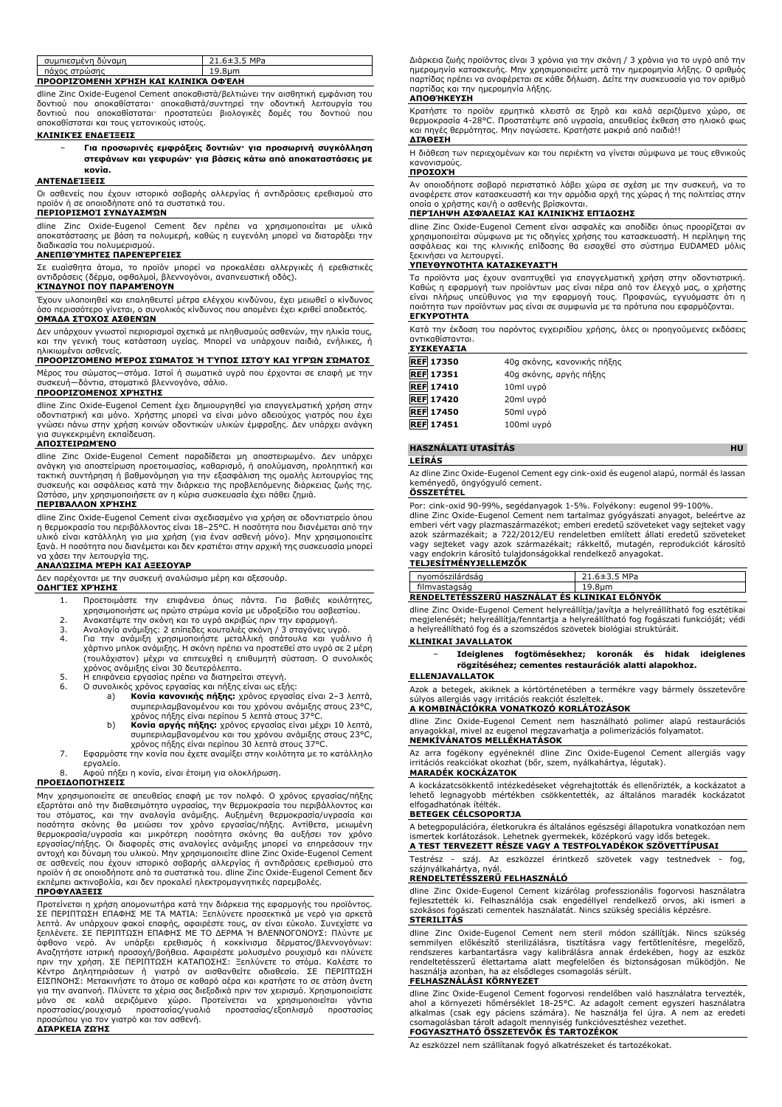| συμπιεσμένη δύναμη                   | 21.6±3.5 MPa |
|--------------------------------------|--------------|
| πάχος στρώσης                        | 19.8um       |
| ΠΡΟΟΡΙΖΌΜΕΝΗ ΧΡΉΣΗ ΚΑΙ ΚΛΙΝΙΚΆ ΟΦΈΛΗ |              |

dline Zinc Oxide-Eugenol Cement αποκαθιστά/βελτιώνει την αισθητική εμφάνιση του δοντιού που αποκαθίσταται· αποκαθιστά/συντηρεί την οδοντική λειτουργία του δοντιού που αποκαθίσταται· προστατεύει βιολογικές δομές του δοντιού που αποκαθίσταται και τους γειτονικούς ιστούς.

# **ΚΛΙΝΙΚΈΣ ΕΝΔΕΊΞΕΙΣ**

#### − **Για προσωρινές εμφράξεις δοντιών· για προσωρινή συγκόλληση στεφάνων και γεφυρών· για βάσεις κάτω από αποκαταστάσεις με κονία.**

#### **ΑΝΤΕΝΔΕΊΞΕΙΣ**

Οι ασθενείς που έχουν ιστορικό σοβαρής αλλεργίας ή αντιδράσεις ερεθισμού στο προϊόν ή σε οποιοδήποτε από τα συστατικά του. **ΠΕΡΙΟΡΙΣΜΟΊ ΣΥΝΔΥΑΣΜΏΝ**

dline Zinc Oxide-Eugenol Cement δεν πρέπει να χρησιμοποιείται με υλικά αποκατάστασης με βάση τα πολυμερή, καθώς η ευγενόλη μπορεί να διαταράξει την διαδικασία του πολυμερισμού.

#### **ΑΝΕΠΙΘΎΜΗΤΕΣ ΠΑΡΕΝΈΡΓΕΙΕΣ**

Σε ευαίσθητα άτομα, το προϊόν μπορεί να προκαλέσει αλλεργικές ή ερεθιστικές αντιδράσεις (δέρμα, οφθαλμοί, βλεννογόνοι, αναπνευστική οδός).

# **ΚΊΝΔΥΝΟΙ ΠΟΥ ΠΑΡΑΜΈΝΟΥΝ**

Έχουν υλοποιηθεί και επαληθευτεί μέτρα ελέγχου κινδύνου, έχει μειωθεί ο κίνδυνος όσο περισσότερο γίνεται, ο συνολικός κίνδυνος που απομένει έχει κριθεί αποδεκτός. **ΟΜΆΔΑ ΣΤΌΧΟΣ ΑΣΘΕΝΏΝ**

# Δεν υπάρχουν γνωστοί περιορισμοί σχετικά με πληθυσμούς ασθενών, την ηλικία τους,

και την γενική τους κατάσταση υγείας. Μπορεί να υπάρχουν παιδιά, ενήλικες, ή ηλικιωμένοι ασθενείς.

# **ΠΡΟΟΡΙΖΌΜΕΝΟ ΜΈΡΟΣ ΣΏΜΑΤΟΣ Ή ΤΎΠΟΣ ΙΣΤΟΎ ΚΑΙ ΥΓΡΏΝ ΣΏΜΑΤΟΣ**

Μέρος του σώματος—στόμα. Ιστοί ή σωματικά υγρά που έρχονται σε επαφή με την συσκευή—δόντια, στοματικό βλεννογόνο, σάλιο.

#### **ΠΡΟΟΡΙΖΌΜΕΝΟΣ ΧΡΉΣΤΗΣ**

dline Zinc Oxide-Eugenol Cement έχει δημιουργηθεί για επαγγελματική χρήση στην οδοντιατρική και μόνο. Χρήστης μπορεί να είναι μόνο αδειούχος γιατρός που έχει γνώσει πάνω στην χρήση κοινών οδοντικών υλικών έμφραξης. Δεν υπάρχει ανάγκη για συγκεκριμένη εκπαίδευση. **ΑΠΟΣΤΕΙΡΩΜΈΝΟ**

dline Zinc Oxide-Eugenol Cement παραδίδεται μη αποστειρωμένο. Δεν υπάρχει ανάγκη για αποστείρωση προετοιμασίας, καθαρισμό, ή απολύμανση, προληπτική και<br>τακτική συντήρηση ή βαθμονόμηση για την εξασφάλιση της ομαλής λειτουργίας της<br>συσκευής και ασφάλειας κατά την διάρκεια της προβλεπόμενης διάρκε Ωστόσο, μην χρησιμοποιήσετε αν η κύρια συσκευασία έχει πάθει ζημιά.

#### **ΠΕΡΙΒΆΛΛΟΝ ΧΡΉΣΗΣ**

dline Zinc Oxide-Eugenol Cement είναι σχεδιασμένο για χρήση σε οδοντιατρείο όπου η θερμοκρασία του περιβάλλοντος είναι 18–25°C. Η ποσότητα που διανέμεται από την υλικό είναι κατάλληλη για μια χρήση (για έναν ασθενή μόνο). Μην χρησιμοποιείτε ξανά. Η ποσότητα που διανέμεται και δεν κρατιέται στην αρχική της συσκευασία μπορεί να χάσει την λειτουργία της.

# **ΑΝΑΛΏΣΙΜΑ ΜΈΡΗ ΚΑΙ ΑΞΕΣΟΥΆΡ**

Δεν παρέχονται με την συσκευή αναλώσιμα μέρη και αξεσουάρ. **ΟΔΗΓΊΕΣ ΧΡΉΣΗΣ**

- 1. Προετοιμάστε την επιφάνεια όπως πάντα. Για βαθιές κοιλότητες, χρησιμοποιήστε ως πρώτο στρώμα κονία με υδροξείδιο του ασβεστίου. 2. Ανακατέψτε την σκόνη και το υγρό ακριβώς πριν την εφαρμογή.
- 
- 3. Αναλογία ανάμιξης: 2 επίπεδες κουταλιές σκόνη / 3 σταγόνες υγρό. 4. Για την ανάμιξη χρησιμοποιήστε μεταλλική σπάτουλα και γυάλινο ή χάρτινο μπλοκ ανάμιξης. Η σκόνη πρέπει να προστεθεί στο υγρό σε 2 μέρη (τουλάχιστον) μέχρι να επιτευχθεί η επιθυμητή σύσταση. Ο συνολικός<br>χρόνος ανάμιξης είναι 30 δευτερόλεπτα.<br>5. Η επιφάνεια εργασίας πρέπει να διατηρείται στεγνή.<br>6. Ο συνολικός χρόνος εργασίας και πήξης είναι ως εξής:
- - - a) **Κονία κανονικής πήξης:** χρόνος εργασίας είναι 2–3 λεπτά, συμπεριλαμβανομένου και του χρόνου ανάμιξης στους 23°C, χρόνος πήξης είναι περίπου 5 λεπτά στους 37°C.
		- b) **Κονία αργής πήξης:** χρόνος εργασίας είναι μέχρι 10 λεπτά, συμπεριλαμβανομένου και του χρόνου ανάμιξης στους 23°C, χρόνος πήξης είναι περίπου 30 λεπτά στους 37°C.
- 7. Εφαρμόστε την κονία που έχετε αναμίξει στην κοιλότητα με το κατάλληλο εργαλείο.

8. Αφού πήξει η κονία, είναι έτοιμη για ολοκλήρωση.

#### **ΠΡΟΕΙΔΟΠΟΙΉΣΕΙΣ**

Μην χρησιμοποιείτε σε απευθείας επαφή με τον πολφό. Ο χρόνος εργασίας/πήξης<br>εξαρτάται από την διαθεσιμότητα υγρασίας, την θερμοκρασία του περιβάλλοντος και<br>του στόματος, και την αναλογία ανάμιξης, Αυξημένη θερμοκρασία/υγρ εκπέμπει ακτινοβολία, και δεν προκαλεί ηλεκτρομαγνητικές παρεμβολές.

#### **ΠΡΟΦΥΛΆΞΕΙΣ**

Προτείνεται η χρήση απομονωτήρα κατά την διάρκεια της εφαρμογής του προϊόντος.<br>ΣΕ ΠΕΡΙΠΤΩΣΗ ΕΠΑΦΗΣ ΜΕ ΤΑ ΜΑΤΙΑ: Ξεπλύνετε προσεκτικά με νερό για αρκετά<br>λεπτά. Αν υπάρχουν φακοί επαφής, αφαιρέστε τους, αν είναι εύκολο. Συν άφθονο νερό. Αν υπάρξει ερεθισμός ή κοκκίνισμα δέρματος/βλεννογόνων: Αναζητήστε ιατρική προσοχή/βοήθεια. Αφαιρέστε μολυσμένο ρουχισμό και πλύνετε πριν την χρήση. ΣΕ ΠΕΡΙΠΤΩΣΗ ΚΑΤΑΠΟΣΗΣ: Ξεπλύνετε το στόμα. Καλέστε το<br>Κέντρο Δηλητηριάσεων ή γιατρό αν αισθανθείτε αδιαθεσία. ΣΕ ΠΕΡΙΠΤΩΣΗ<br>ΕΙΣΠΝΟΗΣ: Μετακινήστε το άτομο σε καθαρό αέρα και κρατήστε το σε στάση άνετη<br>για

# **ΔΙΆΡΚΕΙΑ ΖΩΉΣ**

Διάρκεια ζωής προϊόντος είναι 3 χρόνια για την σκόνη / 3 χρόνια για το υγρό από την ημερομηνία κατασκευής. Μην χρησιμοποιείτε μετά την ημερομηνία λήξης. Ο αριθμός παρτίδας πρέπει να αναφέρεται σε κάθε δήλωση. Δείτε την συσκευασία για τον αριθμό παρτίδας και την ημερομηνία λήξης.

#### **ΑΠΟΘΉΚΕΥΣΗ**

Κρατήστε το προϊόν ερμητικά κλειστό σε ξηρό και καλά αεριζόμενο χώρο, σε θερμοκρασία 4-28°C. Προστατέψτε από υγρασία, απευθείας έκθεση στο ηλιακό φως και πηγές θερμότητας. Μην παγώσετε. Κρατήστε μακριά από παιδιά!! **ΔΙΆΘΕΣΗ**

Η διάθεση των περιεχομένων και του περιέκτη να γίνεται σύμφωνα με τους εθνικούς κανονισμούς.

# **ΠΡΟΣΟΧΉ**

Αν οποιοδήποτε σοβαρό περιστατικό λάβει χώρα σε σχέση με την συσκευή, να το αναφέρετε στον κατασκευαστή και την αρμόδια αρχή της χώρας ή της πολιτείας στην οποία ο χρήστης και/ή ο ασθενής βρίσκονται.

## **ΠΕΡΊΛΗΨΗ ΑΣΦΆΛΕΙΑΣ ΚΑΙ ΚΛΙΝΙΚΉΣ ΕΠΊΔΟΣΗΣ**

dline Zinc Oxide-Eugenol Cement είναι ασφαλές και αποδίδει όπως προορίζεται αν χρησιμοποιείται σύμφωνα με τις οδηγίες χρήσης του κατασκευαστή. Η περίληψη της ασφάλειας και της κλινικής επίδοσης θα εισαχθεί στο σύστημα EUDAMED μόλις ξεκινήσει να λειτουργεί.

# **ΥΠΕΥΘΥΝΌΤΗΤΑ ΚΑΤΑΣΚΕΥΑΣΤΉ**

Τα προϊόντα μας έχουν αναπτυχθεί για επαγγελματική χρήση στην οδοντιατρική.<br>Καθώς η εφαρμογή των προϊόντων μας είναι πέρα από τον έλεγχό μας, ο χρήστης<br>είναι πλήρως υπεύθυνος για την εφαρμογή τους. Προφανώς, εγγυόμαστε ότ **ΕΓΚΥΡΌΤΗΤΑ**

Κατά την έκδοση του παρόντος εγχειριδίου χρήσης, όλες οι προηγούμενες εκδόσεις αντικαθίστανται. **ΣΥΣΚΕΥΑΣΊΑ**

| <b>REF 17350</b> | 40g σκόνης, κανονικής πήξης |
|------------------|-----------------------------|
| <b>REF</b> 17351 | 40g σκόνης, αργής πήξης     |
| <b>REF 17410</b> | 10ml uypo                   |
| <b>REF</b> 17420 | 20ml uypo                   |
| <b>REF</b> 17450 | 50ml uypo                   |
| <b>REF</b> 17451 | 100ml uypo                  |

#### **HASZNÁLATI UTASÍTÁS HU**

## **LEÍRÁS**

Az dline Zinc Oxide-Eugenol Cement egy cink-oxid és eugenol alapú, normál és lassan keményedő, öngyógyuló cement. **ÖSSZETÉTEL**

#### Por: cink-oxid 90-99%, segédanyagok 1-5%. Folyékony: eugenol 99-100%.

dline Zinc Oxide-Eugenol Cement nem tartalmaz gyógyászati anyagot, beleértve az emberi vért vagy plazmaszármazékot; emberi eredetű szöveteket vagy sejteket vagy azok származékait; a 722/2012/EU rendeletben említett állati eredetű szöveteket vagy sejteket vagy azok származékait; rákkeltő, mutagén, reprodukciót károsító vagy endokrin károsító tulajdonságokkal rendelkező anyagokat. **TELJESÍTMÉNYJELLEMZŐK**

| nyomószilárdság                                | 21.6±3.5 MPa       |
|------------------------------------------------|--------------------|
| filmvastagság                                  | 19.8 <sub>um</sub> |
| RENDELTETESSZERU HASZNALAT ÉS KLINIKAI ELÖNYÖK |                    |

dline Zinc Oxide-Eugenol Cement helyreállítja/javítja a helyreállítható fog esztétikai megjelenését; helyreállítja/fenntartja a helyreállítható fog fogászati funkcióját; védi a helyreállítható fog és a szomszédos szövetek biológiai struktúráit.

#### **KLINIKAI JAVALLATOK**

− **Ideiglenes fogtömésekhez; koronák és hidak ideiglenes rögzítéséhez; cementes restaurációk alatti alapokhoz.**

#### **ELLENJAVALLATOK**

Azok a betegek, akiknek a kórtörténetében a termékre vagy bármely összetevőre súlyos allergiás vagy irritációs reakciót észleltek.

# **A KOMBINÁCIÓKRA VONATKOZÓ KORLÁTOZÁSOK**

dline Zinc Oxide-Eugenol Cement nem használható polimer alapú restaurációs anyagokkal, mivel az eugenol megzavarhatja a polimerizációs folyamatot. **NEMKÍVÁNATOS MELLÉKHATÁSOK**

Az arra fogékony egyéneknél dline Zinc Oxide-Eugenol Cement allergiás vagy irritációs reakciókat okozhat (bőr, szem, nyálkahártya, légutak). **MARADÉK KOCKÁZATOK**

A kockázatcsökkentő intézkedéseket végrehajtották és ellenőrizték, a kockázatot a lehető legnagyobb mértékben csökkentették, az általános maradék kockázatot elfogadhatónak ítélték.

#### **BETEGEK CÉLCSOPORTJA**

A betegpopulációra, életkorukra és általános egészségi állapotukra vonatkozóan nem ismertek korlátozások. Lehetnek gyermekek, középkorú vagy idős betegek. **A TEST TERVEZETT RÉSZE VAGY A TESTFOLYADÉKOK SZÖVETTÍPUSAI**

Testrész - száj. Az eszközzel érintkező szövetek vagy testnedvek - fog, szájnyálkahártya, nyál.

#### **RENDELTETÉSSZERŰ FELHASZNÁLÓ**

dline Zinc Oxide-Eugenol Cement kizárólag professzionális fogorvosi használatra fejlesztették ki. Felhasználója csak engedéllyel rendelkező orvos, aki ismeri a szokásos fogászati cementek használatát. Nincs szükség speciális képzésre. **STERILITÁS**

dline Zinc Oxide-Eugenol Cement nem steril módon szállítják. Nincs szükség<br>semmilyen előkészítő sterilizálásra, tisztításra vagy fertőtlenítésre, megelőző,<br>rendszeres karbantartásra vagy kalibrálásra annak érdekében, hogy rendeltetésszerű élettartama alatt megfelelően és biztonságosan működjön. Ne használja azonban, ha az elsődleges csomagolás sérült.

#### **FELHASZNÁLÁSI KÖRNYEZET**

dline Zinc Oxide-Eugenol Cement fogorvosi rendelőben való használatra tervezték, ahol a környezeti hőmérséklet 18-25°C. Az adagolt cement egyszeri használatra alkalmas (csak egy páciens számára). Ne használja fel újra. A nem az eredeti csomagolásban tárolt adagolt mennyiség funkcióvesztéshez vezethet. **FOGYASZTHATÓ ÖSSZETEVŐK ÉS TARTOZÉKOK**

Az eszközzel nem szállítanak fogyó alkatrészeket és tartozékokat.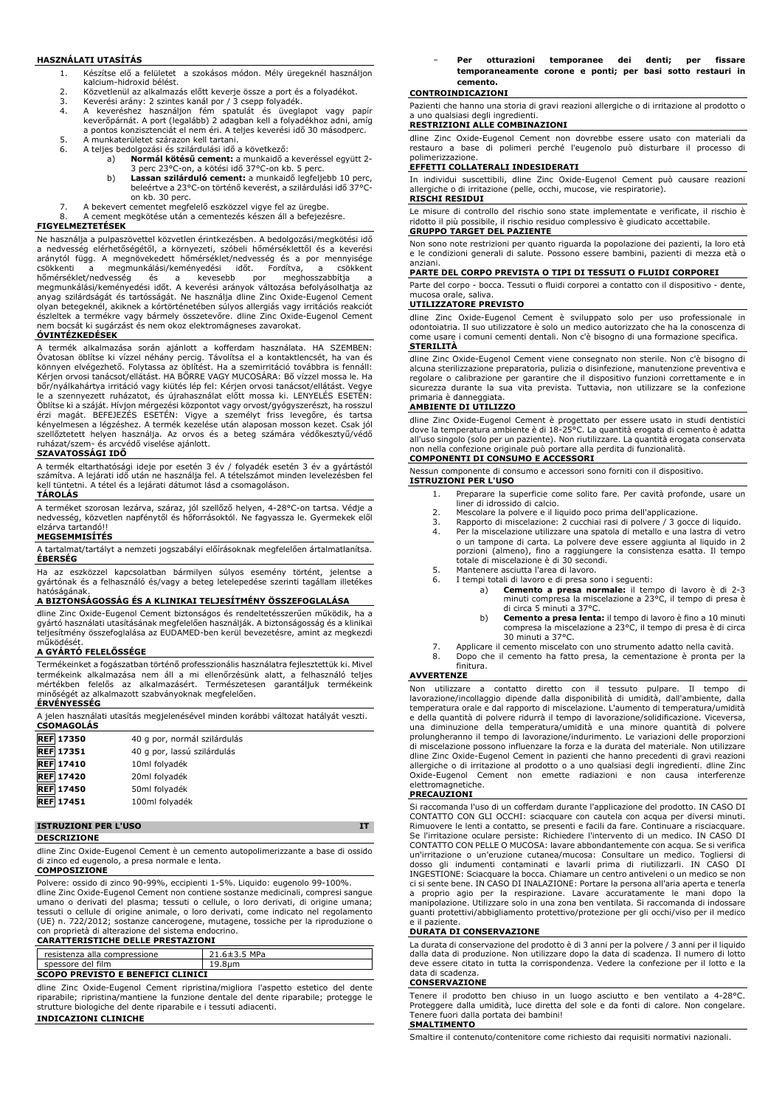#### **HASZNÁLATI UTASÍTÁS**

- 1. Készítse elő a felületet a szokásos módon. Mély üregeknél használjon kalcium-hidroxid bélést.
- 2. Közvetlenül az alkalmazás előtt keverje össze a port és a folyadékot.<br>3. Keverési arány: 2 szintes kanál por / 3 csepp folyadék
- 
- 3. Keverési arány: 2 szintes kanál por / 3 csepp folyadék. 4. A keveréshez használjon fém spatulát és üveglapot vagy papír keverőpárnát. A port (legalább) 2 adagban kell a folyadékhoz adni, amíg a pontos konzisztenciát el nem éri. A teljes keverési idő 30 másodperc.
- 5. A munkaterületet szárazon kell tartani.<br>6. A teljes bedolgozási és szilárdulási idő 6. A teljes bedolgozási és szilárdulási idő a következő:
	- a) **Normál kötésű cement:** a munkaidő a keveréssel együtt 2-
		- 3 perc 23°C-on, a kötési idő 37°C-on kb. 5 perc. b) **Lassan szilárduló cement:** a munkaidő legfeljebb 10 perc,
			- beleértve a 23°C-on történő keverést, a szilárdulási idő 37°Con kb. 30 perc.
- 7. A bekevert cementet megfelelő eszközzel vigye fel az üregbe.<br>8. A cement megkötése után a cementezés készen áll a befejezé 8. A cement megkötése után a cementezés készen áll a befejezésre.

#### **FIGYELMEZTETÉSEK**

Ne használja a pulpaszövettel közvetlen érintkezésben. A bedolgozási/megkötési idő a nedvesség elérhetőségétől, a környezeti, szóbeli hőmérséklettől és a keverési aránytól függ. A megnövekedett hőmérséklet/nedvesség és a por mennyisége csőkkenti a megmunkálási/keményedési időt. Fordítva, a csökkent<br>hőmérséklet/nedvesség és a kevesebb pror meghosszabbítja a<br>megmunkálási/keményedési-időt. A keverési-arányok változása befolyásolhatja az<br>anyag-szilárdságát é olyan betegeknél, akiknek a kórtörténetében súlyos allergiás vagy irritációs reakciót észleltek a termékre vagy bármely összetevőre. dline Zinc Oxide-Eugenol Cement nem bocsát ki sugárzást és nem okoz elektromágneses zavarokat. **ÓVINTÉZKEDÉSEK**

A termék alkalmazása során ajánlott a kofferdam használata. HA SZEMBEN: Óvatosan öblítse ki vízzel néhány percig. Távolítsa el a kontaktlencsét, ha van és könnyen elvégezhető. Folytassa az öblítést. Ha a szemirritáció továbbra is fennáll: Kérjen orvosi tanácsot/ellátást. HA BŐRRE VAGY MUCOSÁRA: Bő vízzel mossa le. Ha bőr/nyálkahártya irritáció vagy kiütés lép fel: Kérjen orvosi tanácsot/ellátást. Vegye<br>le a szennyezett ruházatot, és újrahasználat előtt mossa ki. LENYELÉS ESETÉN:<br>Öblítse ki a száját. Hívjon mérgezési központot vagy orvo szellőztetett helyen használja. Az orvos és a beteg számára védőkesztyű/védő ruházat/szem- és arcvédő viselése ajánlott.

# **SZAVATOSSÁGI IDŐ**

A termék eltarthatósági ideje por esetén 3 év / folyadék esetén 3 év a gyártástól számítva. A lejárati idő után ne használja fel. A tételszámot minden levelezésben fel kell tüntetni. A tétel és a lejárati dátumot lásd a csomagoláson. **TÁROLÁS**

A terméket szorosan lezárva, száraz, jól szellőző helyen, 4-28°C-on tartsa. Védje a nedvesség, közvetlen napfénytől és hőforrásoktól. Ne fagyassza le. Gyermekek elől elzárva tartandó!!

## **MEGSEMMISÍTÉS**

A tartalmat/tartályt a nemzeti jogszabályi előírásoknak megfelelően ártalmatlanítsa. **ÉBERSÉG**

Ha az eszközzel kapcsolatban bármilyen súlyos esemény történt, jelentse a gyártónak és a felhasználó és/vagy a beteg letelepedése szerinti tagállam illetékes hatóságának.

#### **A BIZTONSÁGOSSÁG ÉS A KLINIKAI TELJESÍTMÉNY ÖSSZEFOGLALÁSA**

dline Zinc Oxide-Eugenol Cement biztonságos és rendeltetésszerűen működik, ha a gyártó használati utasításának megfelelően használják. A biztonságosság és a klinikai teljesítmény összefoglalása az EUDAMED-ben kerül bevezetésre, amint az megkezdi működését.

# **A GYÁRTÓ FELELŐSSÉGE**

Termékeinket a fogászatban történő professzionális használatra fejlesztettük ki. Mivel termékeink alkalmazása nem áll a mi ellenőrzésünk alatt, a felhasználó teljes mértékben felelős az alkalmazásért. Természetesen garantáljuk termékeink minőségét az alkalmazott szabványoknak megfelelően. **ÉRVÉNYESSÉG**

| A jelen használati utasítás megjelenésével minden korábbi változat hatályát veszti.<br><b>CSOMAGOLÁS</b> |                              |  |
|----------------------------------------------------------------------------------------------------------|------------------------------|--|
| <b>REF 17350</b>                                                                                         | 40 g por, normál szilárdulás |  |
| <b>REF</b> 17351                                                                                         | 40 g por, lassú szilárdulás  |  |
| <b>REF</b> 17410                                                                                         | 10ml folyadék                |  |
| <b>REF</b> 17420                                                                                         | 20ml folyadék                |  |
| <b>REF 17450</b>                                                                                         | 50ml folyadék                |  |
| <b>REF</b> 17451                                                                                         | 100ml folyadék               |  |

#### **ISTRUZIONI PER L'USO IT**

# **DESCRIZIONE**

dline Zinc Oxide-Eugenol Cement è un cemento autopolimerizzante a base di ossido di zinco ed eugenolo, a presa normale e lenta.

# **COMPOSIZIONE**

Polvere: ossido di zinco 90-99%, eccipienti 1-5%. Liquido: eugenolo 99-100%. dline Zinc Oxide-Eugenol Cement non contiene sostanze medicinali, compresi sangue umano o derivati del plasma; tessuti o cellule, o loro derivati, di origine umana; tessuti o cellule di origine animale, o loro derivati, come indicato nel regolamento (UE) n. 722/2012; sostanze cancerogene, mutagene, tossiche per la riproduzione o

# con proprietà di alterazione del sistema endocrino. **CARATTERISTICHE DELLE PRESTAZIONI**

| resistenza alla compressione             | $21.6 \pm 3.5$ MPa |
|------------------------------------------|--------------------|
| spessore del film                        | 19.8um             |
| <b>SCOPO PREVISTO E BENEFICI CLINICI</b> |                    |

dline Zinc Oxide-Eugenol Cement ripristina/migliora l'aspetto estetico del dente riparabile; ripristina/mantiene la funzione dentale del dente riparabile; protegge le strutture biologiche del dente riparabile e i tessuti adiacenti.

# **INDICAZIONI CLINICHE**

− **Per otturazioni temporanee dei denti; per fissare temporaneamente corone e ponti; per basi sotto restauri in cemento.**

#### **CONTROINDICAZIONI**

Pazienti che hanno una storia di gravi reazioni allergiche o di irritazione al prodotto o a uno qualsiasi degli ingredienti. **RESTRIZIONI ALLE COMBINAZIONI**

dline Zinc Oxide-Eugenol Cement non dovrebbe essere usato con materiali da restauro a base di polimeri perché l'eugenolo può disturbare il processo di

# polimerizzazione. **EFFETTI COLLATERALI INDESIDERATI**

In individui suscettibili, dline Zinc Oxide-Eugenol Cement può causare reazioni allergiche o di irritazione (pelle, occhi, mucose, vie respiratorie). **RISCHI RESIDUI**

Le misure di controllo del rischio sono state implementate e verificate, il rischio è ridotto il più possibile, il rischio residuo complessivo è giudicato accettabile. **GRUPPO TARGET DEL PAZIENTE**

Non sono note restrizioni per quanto riguarda la popolazione dei pazienti, la loro età e le condizioni generali di salute. Possono essere bambini, pazienti di mezza età o anziani.

### **PARTE DEL CORPO PREVISTA O TIPI DI TESSUTI O FLUIDI CORPOREI**

Parte del corpo - bocca. Tessuti o fluidi corporei a contatto con il dispositivo - dente, mucosa orale, saliva.

#### **UTILIZZATORE PREVISTO**

dline Zinc Oxide-Eugenol Cement è sviluppato solo per uso professionale in odontoiatria. Il suo utilizzatore è solo un medico autorizzato che ha la conoscenza di come usare i comuni cementi dentali. Non c'è bisogno di una formazione specifica. **STERILITÀ**

dline Zinc Oxide-Eugenol Cement viene consegnato non sterile. Non c'è bisogno di alcuna sterilizzazione preparatoria, pulizia o disinfezione, manutenzione preventiva e regolare o calibrazione per garantire che il dispositivo funzioni correttamente e in sicurezza durante la sua vita prevista. Tuttavia, non utilizzare se la confezione primaria è danneggiata.

#### **AMBIENTE DI UTILIZZO**

dline Zinc Oxide-Eugenol Cement è progettato per essere usato in studi dentistici dove la temperatura ambiente è di 18-25°C. La quantità erogata di cemento è adatta all'uso singolo (solo per un paziente). Non riutilizzare. La quantità erogata conservata non nella confezione originale può portare alla perdita di funzionalità.

# **COMPONENTI DI CONSUMO E ACCESSORI**

Nessun componente di consumo e accessori sono forniti con il dispositivo. **ISTRUZIONI PER L'USO**

- 1. Preparare la superficie come solito fare. Per cavità profonde, usare un liner di idrossido di calcio.
- 2. Mescolare la polvere e il liquido poco prima dell'applicazione.
- 
- 3. Rapporto di miscelazione: 2 cucchiai rasi di polvere / 3 gocce di liquido. 4. Per la miscelazione utilizzare una spatola di metallo e una lastra di vetro o un tampone di carta. La polvere deve essere aggiunta al liquido in 2 porzioni (almeno), fino a raggiungere la consistenza esatta. Il tempo totale di miscelazione è di 30 secondi.
- 5. Mantenere asciutta l'area di lavoro. 6. I tempi totali di lavoro e di presa sono i seguenti:
	- a) **Cemento a presa normale:** il tempo di lavoro è di 2-3 minuti compresa la miscelazione a 23°C, il tempo di presa è
	- di circa 5 minuti a 37°C. b) **Cemento a presa lenta:** il tempo di lavoro è fino a 10 minuti compresa la miscelazione a 23°C, il tempo di presa è di circa
- 30 minuti a 37°C. 7. Applicare il cemento miscelato con uno strumento adatto nella cavità.
- 
- 8. Dopo che il cemento ha fatto presa, la cementazione è pronta per la finitura.

# **AVVERTENZE**

Non utilizzare a contatto diretto con il tessuto pulpare. Il tempo di lavorazione/incollaggio dipende dalla disponibilità di umidità, dall'ambiente, dalla temperatura orale e dal rapporto di miscelazione. L'aumento di temperatura/umidità e della quantità di polvere ridurrà il tempo di lavorazione/solidificazione. Viceversa, una diminuzione della temperatura/umidità e una minore quantità di polvere prolungheranno il tempo di lavorazione/indurimento. Le variazioni delle proporzioni di miscelazione possono influenzare la forza e la durata del materiale. Non utilizzare dline Zinc Oxide-Eugenol Cement in pazienti che hanno precedenti di gravi reazioni allergiche o di irritazione al prodotto o a uno qualsiasi degli ingredienti. dline Zinc Oxide-Eugenol Cement non emette radiazioni e non causa interferenze elettromagnetiche.

#### **PRECAUZIONI**

Si raccomanda l'uso di un cofferdam durante l'applicazione del prodotto. IN CASO DI CONTATTO CON GLI OCCHI: sciacquare con cautela con acqua per diversi minuti. Rimuovere le lenti a contatto, se presenti e facili da fare. Continuare a risciacquare. Se l'irritazione oculare persiste: Richiedere l'intervento di un medico. IN CASO DI CONTATTO CON PELLE O MUCOSA: lavare abbondantemente con acqua. Se si verifica un'irritazione o un'eruzione cutanea/mucosa: Consultare un medico. Togliersi di dosso gli indumenti contaminati e lavarli prima di riutilizzarli. IN CASO DI INGESTIONE: Sciacquare la bocca. Chiamare un centro antiveleni o un medico se non ci si sente bene. IN CASO DI INALAZIONE: Portare la persona all'aria aperta e tenerla a proprio agio per la respirazione. Lavare accuratamente le mani dopo la manipolazione. Utilizzare solo in una zona ben ventilata. Si raccomanda di indossare guanti protettivi/abbigliamento protettivo/protezione per gli occhi/viso per il medico e il paziente.

#### **DURATA DI CONSERVAZIONE**

La durata di conservazione del prodotto è di 3 anni per la polvere / 3 anni per il liquido dalla data di produzione. Non utilizzare dopo la data di scadenza. Il numero di lotto deve essere citato in tutta la corrispondenza. Vedere la confezione per il lotto e la data di scadenza.

#### **CONSERVAZIONE**

Tenere il prodotto ben chiuso in un luogo asciutto e ben ventilato a 4-28°C. Proteggere dalla umidità, luce diretta del sole e da fonti di calore. Non congelare. Tenere fuori dalla portata dei bambini!

#### **SMALTIMENTO**

Smaltire il contenuto/contenitore come richiesto dai requisiti normativi nazionali.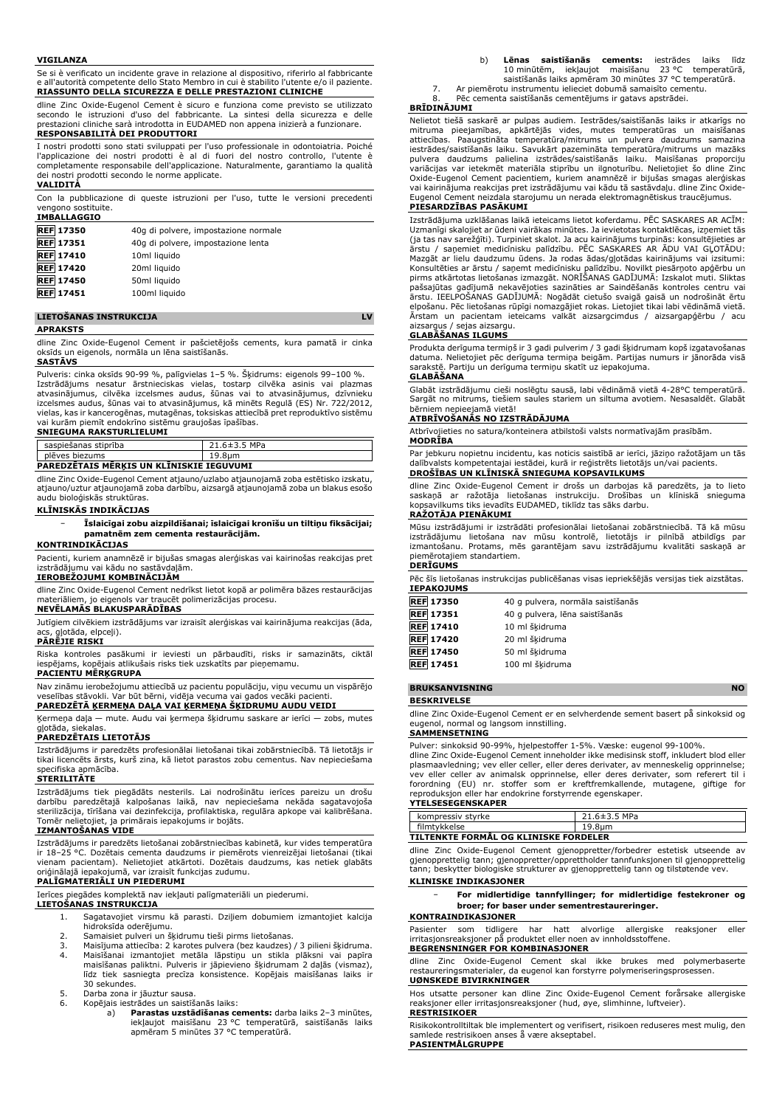#### **VIGILANZA**

Se si è verificato un incidente grave in relazione al dispositivo, riferirlo al fabbricante e all'autorità competente dello Stato Membro in cui è stabilito l'utente e/o il paziente. **RIASSUNTO DELLA SICUREZZA E DELLE PRESTAZIONI CLINICHE**

dline Zinc Oxide-Eugenol Cement è sicuro e funziona come previsto se utilizzato secondo le istruzioni d'uso del fabbricante. La sintesi della sicurezza e delle prestazioni cliniche sarà introdotta in EUDAMED non appena inizierà a funzionare.

# **RESPONSABILITÀ DEI PRODUTTORI**

I nostri prodotti sono stati sviluppati per l'uso professionale in odontoiatria. Poiché l'applicazione dei nostri prodotti è al di fuori del nostro controllo, l'utente è completamente responsabile dell'applicazione. Naturalmente, garantiamo la qualità dei nostri prodotti secondo le norme applicate.

#### **VALIDITÀ**

Con la pubblicazione di queste istruzioni per l'uso, tutte le versioni precedenti vengono sostituite. **IMBALLAGGIO**

| <b>REF 17350</b> | 40g di polvere, impostazione normale |
|------------------|--------------------------------------|
| <b>REF</b> 17351 | 40q di polvere, impostazione lenta   |
| <b>REF</b> 17410 | 10ml liquido                         |
| <b>REF</b> 17420 | 20ml liquido                         |
| <b>REF</b> 17450 | 50ml liquido                         |
| <b>REF</b> 17451 | 100ml liquido                        |
|                  |                                      |

#### **LIETOŠANAS INSTRUKCIJA LV**

#### **APRAKSTS**

dline Zinc Oxide-Eugenol Cement ir pašcietējošs cements, kura pamatā ir cinka oksīds un eigenols, normāla un lēna saistīšanās.

#### **SASTĀVS**

Pulveris: cinka oksīds 90-99 %, palīgvielas 1–5 %. Šķidrums: eigenols 99–100 %. Izstrādājums nesatur ārstnieciskas vielas, tostarp cilvēka asinis vai plazmas<br>atvasinājumus, cilvēka izcelsmes audus, šūnas vai to atvasinājumus, dzīvnieku<br>izcelsmes audus, šūnas vai to atvasinājumus, kā minēts Regulā (ES) vielas, kas ir kancerogēnas, mutagēnas, toksiskas attiecībā pret reproduktīvo sistēmu vai kurām piemīt endokrīno sistēmu graujošas īpašības.

## **SNIEGUMA RAKSTURLIELUMI**

| saspiešanas stiprība                            | 21.6±3.5 MPa |
|-------------------------------------------------|--------------|
| plēves biezums                                  | 19.8um       |
| <b>PAREDZETAIS MERKIS UN KLINISKIE IEGUVUMI</b> |              |

dline Zinc Oxide-Eugenol Cement atjauno/uzlabo atjaunojamā zoba estētisko izskatu, atjauno/uztur atjaunojamā zoba darbību, aizsargā atjaunojamā zoba un blakus esošo audu bioloģiskās struktūras.

# **KLĪNISKĀS INDIKĀCIJAS**

− **Īslaicīgai zobu aizpildīšanai; īslaicīgai kronīšu un tiltiņu fiksācijai; pamatnēm zem cementa restaurācijām.**

**KONTRINDIKĀCIJAS** Pacienti, kuriem anamnēzē ir bijušas smagas alerģiskas vai kairinošas reakcijas pret izstrādājumu vai kādu no sastāvdaļām.

#### **IEROBEŽOJUMI KOMBINĀCIJĀM**

dline Zinc Oxide-Eugenol Cement nedrīkst lietot kopā ar polimēra bāzes restaurācijas materiāliem, jo eigenols var traucēt polimerizācijas procesu.

# **NEVĒLAMĀS BLAKUSPARĀDĪBAS**

Jutīgiem cilvēkiem izstrādājums var izraisīt alerģiskas vai kairinājuma reakcijas (āda, gļotāda, elpceļi).

#### **PĀRĒJIE RISKI**

Riska kontroles pasākumi ir ieviesti un pārbaudīti, risks ir samazināts, ciktāl kopējais atlikušais risks tiek uzskatīts par pieņemamu.

#### **PACIENTU MĒRĶGRUPA**

Nav zināmu ierobežojumu attiecībā uz pacientu populāciju, viņu vecumu un vispārējo veselības stāvokli. Var būt bērni, vidēja vecuma vai gados vecāki pacienti. **PAREDZĒTĀ ĶERMEŅA DAĻA VAI ĶERMEŅA ŠĶIDRUMU AUDU VEIDI**

Ķermeņa daļa — mute. Audu vai ķermeņa šķidrumu saskare ar ierīci — zobs, mutes

# gļotāda, siekalas. **PAREDZĒTAIS LIETOTĀJS**

Izstrādājums ir paredzēts profesionālai lietošanai tikai zobārstniecībā. Tā lietotājs ir tikai licencēts ārsts, kurš zina, kā lietot parastos zobu cementus. Nav nepieciešama specifiska apmācība.

#### **STERILITĀTE**

Izstrādājums tiek piegādāts nesterils. Lai nodrošinātu ierīces pareizu un drošu darbību paredzētajā kalpošanas laikā, nav nepieciešama nekāda sagatavojoša sterilizācija, tīrīšana vai dezinfekcija, profilaktiska, regulāra apkope vai kalibrēšana. Tomēr nelietojiet, ja primārais iepakojums ir bojāts.

#### **IZMANTOŠANAS VIDE**

Izstrādājums ir paredzēts lietošanai zobārstniecības kabinetā, kur vides temperatūra ir 18–25 °C. Dozētais cementa daudzums ir piemērots vienreizējai lietošanai (tikai vienam pacientam). Nelietojiet atkārtoti. Dozētais daudzums, kas netiek glabāts oriģinālajā iepakojumā, var izraisīt funkcijas zudumu.

# **PALĪGMATERIĀLI UN PIEDERUMI**

Ierīces piegādes komplektā nav iekļauti palīgmateriāli un piederumi. **LIETOŠANAS INSTRUKCIJA**

1. Sagatavojiet virsmu kā parasti. Dziļiem dobumiem izmantojiet kalcija hidroksīda oderējumu.

- 
- 2. Samaisiet pulveri un šķidrumu tieši pirms lietošanas. 3. Maisījuma attiecība: 2 karotes pulvera (bez kaudzes) / 3 pilieni šķidruma.
- 4. Maisīšanai izmantojiet metāla lāpstiņu un stikla plāksni vai papīra maisīšanas paliktni. Pulveris ir jāpievieno šķidrumam 2 daļās (vismaz), līdz tiek sasniegta precīza konsistence. Kopējais maisīšanas laiks ir 30 sekundes.
- 5. Darba zona ir jāuztur sausa.<br>6. Kopējais iestrādes un saistīš
- 6. Kopējais iestrādes un saistīšanās laiks:
	- a) **Parastas uzstādīšanas cements:** darba laiks 2–3 minūtes, iekļaujot maisīšanu 23 °C temperatūrā, saistīšanās laiks apmēram 5 minūtes 37 °C temperatūrā.
- b) **Lēnas saistīšanās cements:** iestrādes laiks līdz 10 minūtēm, iekļaujot maisīšanu 23 °C temperatūrā, saistīšanās laiks apmēram 30 minūtes 37 °C temperatūrā.
- 7. Ar piemērotu instrumentu ielieciet dobumā samaisīto cementu. Pēc cementa saistīšanās cementējums ir gatavs apstrādei.

#### **BRĪDINĀJUMI**

Nelietot tiešā saskarē ar pulpas audiem. Iestrādes/saistīšanās laiks ir atkarīgs no mitruma pieejamības, apkārtējās vides, mutes temperatūras un maisīšanas attiecības. Paaugstināta temperatūra/mitrums un pulvera daudzums samazina iestrādes/saistīšanās laiku. Savukārt pazemināta temperatūra/mitrums un mazāks pulvera daudzums palielina izstrādes/saistīšanās laiku. Maisīšanas proporciju variācijas var ietekmēt materiāla stiprību un ilgnoturību. Nelietojiet šo dline Zinc<br>Oxide-Eugenol Cement pacientiem, kuriem anamnēzē ir bijušas smagas alerģiskas<br>vai kairinājuma reakcijas pret izstrādājumu vai kādu tā sas Eugenol Cement neizdala starojumu un nerada elektromagnētiskus traucējumus.

# **PIESARDZĪBAS PASĀKUMI**

Izstrādājuma uzklāšanas laikā ieteicams lietot koferdamu. PĒC SASKARES AR ACĪM: Uzmanīgi skalojiet ar ūdeni vairākas minūtes. Ja ievietotas kontaktlēcas, izņemiet tās (ja tas nav sarežģīti). Turpiniet skalot. Ja acu kairinājums turpinās: konsultējieties ar ārstu / saņemiet medicīnisku palīdzību. PĒC SASKARES AR ĀDU VAI GĻOTĀDU: Mazgāt ar lielu daudzumu ūdens. Ja rodas ādas/gļotādas kairinājums vai izsitumi: Konsultēties ar ārstu / saņemt medicīnisku palīdzību. Novilkt piesārņoto apģērbu un pirms atkārtotas lietošanas izmazgāt. NORĪŠANAS GADĪJUMĀ: Izskalot muti. Sliktas pašsajūtas gadījumā nekavējoties sazināties ar Saindēšanās kontroles centru vai<br>ārstu. IEELPOŠANAS GADĪJUMĀ: Nogādāt cietušo svaigā gaisā un nodrošināt ērtu<br>elpošanu. Pēc lietošanas rūpīgi nomazgājiet rokas. Lietojiet tika Ārstam un pacientam ieteicams valkāt aizsargcimdus / aizsargapģērbu / acu aizsargus / sejas aizsargu.

## **GLABĀŠANAS ILGUMS**

Produkta derīguma termiņš ir 3 gadi pulverim / 3 gadi šķidrumam kopš izgatavošanas datuma. Nelietojiet pēc derīguma termiņa beigām. Partijas numurs ir jānorāda visā sarakstē. Partiju un derīguma termiņu skatīt uz iepakojuma.

#### **GLABĀŠANA**

Glabāt izstrādājumu cieši noslēgtu sausā, labi vēdināmā vietā 4-28°C temperatūrā. Sargāt no mitrums, tiešiem saules stariem un siltuma avotiem. Nesasaldēt. Glabāt bērniem nepieejamā vietā!

#### **ATBRĪVOŠANĀS NO IZSTRĀDĀJUMA**

Atbrīvojieties no satura/konteinera atbilstoši valsts normatīvajām prasībām. **MODRĪBA**

Par jebkuru nopietnu incidentu, kas noticis saistībā ar ierīci, jāziņo ražotājam un tās dalībvalsts kompetentajai iestādei, kurā ir reģistrēts lietotājs un/vai pacients. **DROŠĪBAS UN KLĪNISKĀ SNIEGUMA KOPSAVILKUMS**

dline Zinc Oxide-Eugenol Cement ir drošs un darbojas kā paredzēts, ja to lieto saskaņā ar ražotāja lietošanas instrukciju. Drošības un klīniskā snieguma kopsavilkums tiks ievadīts EUDAMED, tiklīdz tas sāks darbu.

## **RAŽOTĀJA PIENĀKUMI**

Mūsu izstrādājumi ir izstrādāti profesionālai lietošanai zobārstniecībā. Tā kā mūsu izstrādājumu lietošana nav mūsu kontrolē, lietotājs ir pilnībā atbildīgs par izmantošanu. Protams, mēs garantējam savu izstrādājumu kvalitāti saskaņā ar piemērotajiem standartiem.

#### **DERĪGUMS**

Pēc šīs lietošanas instrukcijas publicēšanas visas iepriekšējās versijas tiek aizstātas. **IEPAKOJUMS**

| <b>REF 17350</b> | 40 g pulvera, normāla saistīšanās |
|------------------|-----------------------------------|
| <b>REF</b> 17351 | 40 g pulvera, lēna saistīšanās    |
| <b>REF</b> 17410 | 10 ml šķidruma                    |
| <b>REF 17420</b> | 20 ml šķidruma                    |
| <b>REF</b> 17450 | 50 ml šķidruma                    |
| <b>REF</b> 17451 | 100 ml šķidruma                   |

#### **BRUKSANVISNING NO**

**BESKRIVELSE**

dline Zinc Oxide-Eugenol Cement er en selvherdende sement basert på sinkoksid og eugenol, normal og langsom innstilling.

# **SAMMENSETNING**

Pulver: sinkoksid 90-99%, hjelpestoffer 1-5%. Væske: eugenol 99-100%. dline Zinc Oxide-Eugenol Cement inneholder ikke medisinsk stoff, inkludert blod eller plasmaavledning; vev eller celler, eller deres derivater, av menneskelig opprinnelse;<br>vev eller celler av animalsk opprinnelse, eller deres derivater, som referert til i<br>forordning (EU) nr. stoffer som er kreftfremkallende

#### **YTELSESEGENSKAPER**

| kompressiv stvrke                            | $21.6 \pm 3.5$ MPa |  |  |  |
|----------------------------------------------|--------------------|--|--|--|
| filmtykkelse                                 | 19.8um             |  |  |  |
| <b>TILTENKTE FORMÅL OG KLINISKE FORDELER</b> |                    |  |  |  |

dline Zinc Oxide-Eugenol Cement gjenoppretter/forbedrer estetisk utseende av gjenopprettelig tann; gjenoppretter/opprettholder tannfunksjonen til gjenopprettelig tann; beskytter biologiske strukturer av gjenopprettelig tann og tilstøtende vev. **KLINISKE INDIKASJONER**

# − **For midlertidige tannfyllinger; for midlertidige festekroner og broer; for baser under sementrestaureringer.**

#### **KONTRAINDIKASJONER**

Pasienter som tidligere har hatt alvorlige allergiske reaksjoner eller irritasjonsreaksjoner på produktet eller noen av innholdsstoffene. **BEGRENSNINGER FOR KOMBINASJONER**

#### dline Zinc Oxide-Eugenol Cement skal ikke brukes med polymerbaserte restaureringsmaterialer, da eugenol kan forstyrre polymeriseringsprosessen. **UØNSKEDE BIVIRKNINGER**

Hos utsatte personer kan dline Zinc Oxide-Eugenol Cement forårsake allergiske reaksjoner eller irritasjonsreaksjoner (hud, øye, slimhinne, luftveier). **RESTRISIKOER**

Risikokontrolltiltak ble implementert og verifisert, risikoen reduseres mest mulig, den samlede restrisikoen anses å være akseptabel. **PASIENTMÅLGRUPPE**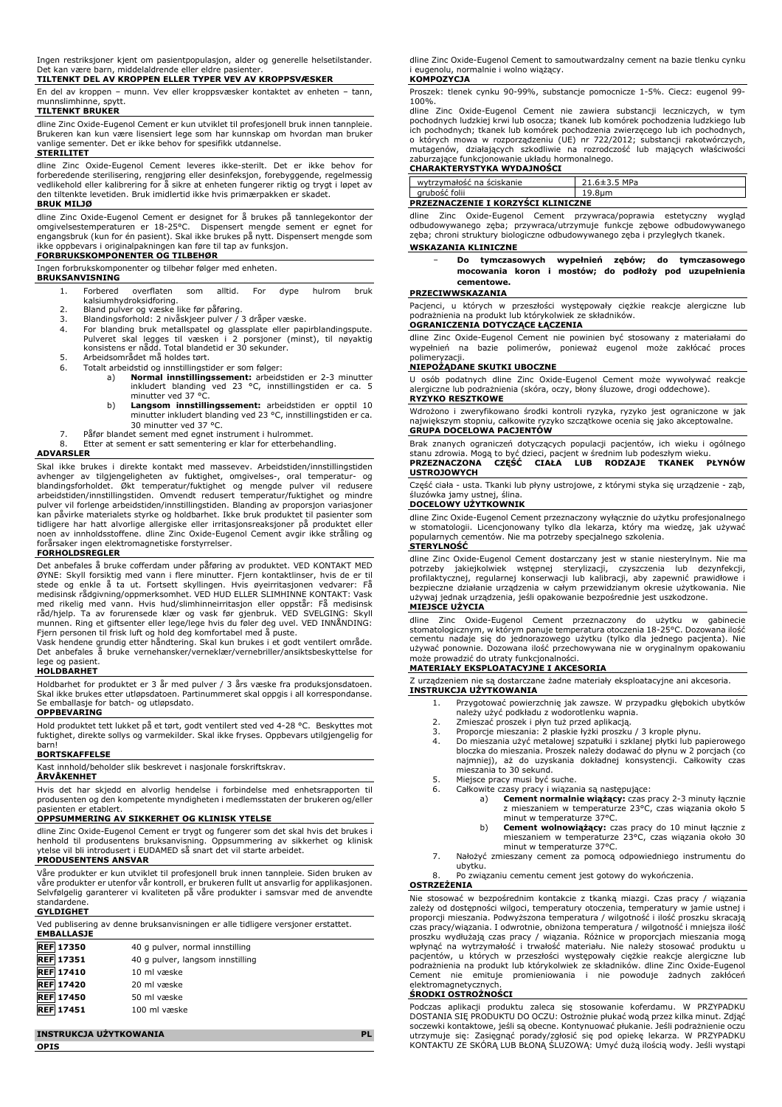Ingen restriksjoner kjent om pasientpopulasjon, alder og generelle helsetilstander. Det kan være barn, middelaldrende eller eldre pasienter.

**TILTENKT DEL AV KROPPEN ELLER TYPER VEV AV KROPPSVÆSKER**

En del av kroppen – munn. Vev eller kroppsvæsker kontaktet av enheten – tann, munnslimhinne, snytt.

# **TILTENKT BRUKER**

dline Zinc Oxide-Eugenol Cement er kun utviklet til profesjonell bruk innen tannpleie. Brukeren kan kun være lisensiert lege som har kunnskap om hvordan man bruker vanlige sementer. Det er ikke behov for spesifikk utdannelse.

#### **STERILITET**

dline Zinc Oxide-Eugenol Cement leveres ikke-sterilt. Det er ikke behov for forberedende sterilisering, rengjøring eller desinfeksjon, forebyggende, regelmessig vedlikehold eller kalibrering for å sikre at enheten fungerer riktig og trygt i løpet av den tiltenkte levetiden. Bruk imidlertid ikke hvis primærpakken er skadet.

#### **BRUK MILJØ**

dline Zinc Oxide-Eugenol Cement er designet for å brukes på tannlegekontor der omgivelsestemperaturen er 18-25°C. Dispensert mengde sement er egnet for engangsbruk (kun for én pasient). Skal ikke brukes på nytt. Dispensert mengde som ikke oppbevars i originalpakningen kan føre til tap av funksjon. **FORBRUKSKOMPONENTER OG TILBEHØR**

# Ingen forbrukskomponenter og tilbehør følger med enheten.

#### **BRUKSANVISNING**

- 1. Forbered overflaten som alltid. For dype hulrom bruk
- 
- kalsiumhydroksidforing.<br>Bland pulver og væske like før påføring.
- 2. Bland pulver og væske like før påføring.<br>3. Blandingsforhold: 2 nivåskjeer pulver / 3 dråper væske.<br>4. For blanding bruk metallspatel og glassplate eller papirblandingspute.<br>Fulveret skal legges til væsken i 2 porsjoner
- 
- 6. Totalt arbeidstid og innstillingstider er som følger:<br>a) **Normal innstillingssement:** arbeids
	- a) **Normal innstillingssement:** arbeidstiden er 2-3 minutter<br>inkludert blanding ved 23 °C, innstillingstiden er ca. 5<br>minutter ved 37 °C.
	- b) **Langsom innstillingssement:** arbeidstiden er opptil 10 minutter inkludert blanding ved 23 °C, innstillingstiden er ca. 30 minutter ved 37 °C.
		-

Påfør blandet sement med egnet instrument i hulrommet. 8. Etter at sement er satt sementering er klar for etterbehandling.

## **ADVARSLER**

Skal ikke brukes i direkte kontakt med massevev. Arbeidstiden/innstillingstiden avhenger av tilgjengeligheten av fuktighet, omgivelses-, oral temperatur- og blandingsforholdet. Økt temperatur/fuktighet og mengde pulver vil redusere arbeidstiden/innstillingstiden. Omvendt redusert temperatur/fuktighet og mindre pulver vil forlenge arbeidstiden/innstillingstiden. Blanding av proporsjon variasjoner kan påvirke materialets styrke og holdbarhet. Ikke bruk produktet til pasienter som tidligere har hatt alvorlige allergiske eller irritasjonsreaksjoner på produktet eller noen av innholdsstoffene. dline Zinc Oxide-Eugenol Cement avgir ikke stråling og forårsaker ingen elektromagnetiske forstyrrelser.

## **FORHOLDSREGLER**

Det anbefales å bruke cofferdam under påføring av produktet. VED KONTAKT MED<br>ØYNE: Skyll forsiktig med vann i flere minutter. Fjern kontaktlinser, hvis de er til<br>stede og enkle å ta ut. Fortsett skyllingen. Hvis øyeirritas med rikelig med vann. Hvis hud/slimhinneirritasjon eller oppstär: Fä medisinsk<br>råd/hjelp. Ta av forurensede klær og vask før gjenbruk. VED SVELGING: Skyll<br>munnen. Ring et giftsenter eller lege/lege hvis du føler deg uvel.

Fjern personen til frisk luft og hold deg komfortabel med å puste.<br>Vask hendene grundig etter håndtering. Skal kun brukes i et godt ventilert område.<br>Det anbefales å bruke vernehansker/verneklær/vernebriller/ansiktsbeskytt lege og pasient.

# **HOLDBARHET**

Holdbarhet for produktet er 3 år med pulver / 3 års væske fra produksjonsdatoen. Skal ikke brukes etter utløpsdatoen. Partinummeret skal oppgis i all korrespondanse. Se emballasje for batch- og utløpsdato.

#### **OPPBEVARING**

Hold produktet tett lukket på et tørt, godt ventilert sted ved 4-28 °C. Beskyttes mot fuktighet, direkte sollys og varmekilder. Skal ikke fryses. Oppbevars utilgjengelig for

# barn! **BORTSKAFFELSE**

Kast innhold/beholder slik beskrevet i nasjonale forskriftskrav.

**ÅRVÅKENHET**

Hvis det har skjedd en alvorlig hendelse i forbindelse med enhetsrapporten til produsenten og den kompetente myndigheten i medlemsstaten der brukeren og/eller pasienten er etablert.

# **OPPSUMMERING AV SIKKERHET OG KLINISK YTELSE**

dline Zinc Oxide-Eugenol Cement er trygt og fungerer som det skal hvis det brukes i henhold til produsentens bruksanvisning. Oppsummering av sikkerhet og klinisk ytelse vil bli introdusert i EUDAMED så snart det vil starte arbeidet. **PRODUSENTENS ANSVAR**

Våre produkter er kun utviklet til profesjonell bruk innen tannpleie. Siden bruken av våre produkter er utenfor vår kontroll, er brukeren fullt ut ansvarlig for applikasjonen. Selvfølgelig garanterer vi kvaliteten på våre produkter i samsvar med de anvendte standardene.

#### **GYLDIGHET**

Ved publisering av denne bruksanvisningen er alle tidligere versjoner erstattet. **EMBALLASJE REF 17350** 40 g pulver, normal innstilling **REF 17351** 40 g pulver, langsom innstilling **REF 17410** 10 ml væske **REF 17420** 20 ml væske **REF 17450** 50 ml væske **REF 17451** 100 ml væske

# **INSTRUKCJA UŻYTKOWANIA PL**

**OPIS**

dline Zinc Oxide-Eugenol Cement to samoutwardzalny cement na bazie tlenku cynku i eugenolu, normalnie i wolno wiążący.

## **KOMPOZYCJA**

Proszek: tlenek cynku 90-99%, substancje pomocnicze 1-5%. Ciecz: eugenol 99- 100%.

dline Zinc Oxide-Eugenol Cement nie zawiera substancji leczniczych, w tym pochodnych ludzkiej krwi lub osocza; tkanek lub komórek pochodzenia ludzkiego lub ich pochodnych; tkanek lub komórek pochodzenia zwierzęcego lub ich pochodnych, o których mowa w rozporządzeniu (UE) nr 722/2012; substancji rakotwórczych, mutagenów, działających szkodliwie na rozrodczość lub mających właściwości zaburzające funkcjonowanie układu hormonalnego.

# **CHARAKTERYSTYKA WYDAJNOŚCI**

|                                           | wytrzymałość na ściskanie | $21.6 \pm 3.5$ MPa |  |  |
|-------------------------------------------|---------------------------|--------------------|--|--|
|                                           | arubość folii             | 19.8um             |  |  |
| <b>PRZEZNACZENIE I KORZYSCI KLINICZNE</b> |                           |                    |  |  |

dline Zinc Oxide-Eugenol Cement przywraca/poprawia estetyczny wygląd odbudowywanego zęba; przywraca/utrzymuje funkcje zębowe odbudowywanego zęba; chroni struktury biologiczne odbudowywanego zęba i przyległych tkanek.

#### **WSKAZANIA KLINICZNE**

− **Do tymczasowych wypełnień zębów; do tymczasowego mocowania koron i mostów; do podłoży pod uzupełnienia cementowe.**

#### **PRZECIWWSKAZANIA**

Pacjenci, u których w przeszłości występowały ciężkie reakcje alergiczne lub podrażnienia na produkt lub którykolwiek ze składników.

# **OGRANICZENIA DOTYCZĄCE ŁĄCZENIA**

dline Zinc Oxide-Eugenol Cement nie powinien być stosowany z materiałami do wypełnień na bazie polimerów, ponieważ eugenol może zakłócać proces polimeryzacji.

#### **NIEPOŻĄDANE SKUTKI UBOCZNE**

U osób podatnych dline Zinc Oxide-Eugenol Cement może wywoływać reakcje alergiczne lub podrażnienia (skóra, oczy, błony śluzowe, drogi oddechowe). **RYZYKO RESZTKOWE**

Wdrożono i zweryfikowano środki kontroli ryzyka, ryzyko jest ograniczone w jak największym stopniu, całkowite ryzyko szczątkowe ocenia się jako akceptowalne.

# **GRUPA DOCELOWA PACJENTÓW**

Brak znanych ograniczeń dotyczących populacji pacjentów, ich wieku i ogólnego stanu zdrowia. Mogą to być dzieci, pacjent w średnim lub podeszłym wieku.<br>PRZEZNACZONA CZĘŚĆ CIAŁA LUB RODZAJE TKANEK F **PRZEZNACZONA CZĘŚĆ CIAŁA LUB RODZAJE TKANEK PŁYNÓW USTROJOWYCH**

Część ciała - usta. Tkanki lub płyny ustrojowe, z którymi styka się urządzenie - ząb, śluzówka jamy ustnej, ślina.

#### **DOCELOWY UŻYTKOWNIK**

dline Zinc Oxide-Eugenol Cement przeznaczony wyłącznie do użytku profesjonalnego w stomatologii. Licencjonowany tylko dla lekarza, który ma wiedzę, jak używać popularnych cementów. Nie ma potrzeby specjalnego szkolenia.

# **STERYLNOŚĆ**

dline Zinc Oxide-Eugenol Cement dostarczany jest w stanie niesterylnym. Nie ma potrzeby jakiejkolwiek wstępnej sterylizacji, czyszczenia lub dezynfekcji,<br>profilaktycznej, regularnej konserwacji lub kalibracji, aby zapewnić prawidłowe i<br>bezpieczne-działanie-urządzenia-w-całym-przewidzianym-okresie-uży używaj jednak urządzenia, jeśli opakowanie bezpośrednie jest uszkodzone. **MIEJSCE UŻYCIA**

dline Zinc Oxide-Eugenol Cement przeznaczony do użytku w gabinecie stomatologicznym, w którym panuje temperatura otoczenia 18-25°C. Dozowana ilość cementu nadaje się do jednorazowego użytku (tylko dla jednego pacjenta). Nie używać ponownie. Dozowana ilość przechowywana nie w oryginalnym opakowaniu może prowadzić do utraty funkcjonalności.

#### **MATERIAŁY EKSPLOATACYJNE I AKCESORIA**

Z urządzeniem nie są dostarczane żadne materiały eksploatacyjne ani akcesoria. **INSTRUKCJA UŻYTKOWANIA**

- 1. Przygotować powierzchnię jak zawsze. W przypadku głębokich ubytków należy użyć podkładu z wodorotlenku wapnia.
- 2. Zmieszać proszek i płyn tuż przed aplikacją.
- 
- 3. Proporcje mieszania: 2 płaskie łyżki proszku / 3 krople płynu. 4. Do mieszania użyć metalowej szpatułki i szklanej płytki lub papierowego bloczka do mieszania. Proszek należy dodawać do płynu w 2 porcjach (co najmniej), aż do uzyskania dokładnej konsystencji. Całkowity czas mieszania to 30 sekund.
- 5. Miejsce pracy musi być suche.<br>6. Całkowite czasy pracy i wiazar Całkowite czasy pracy i wiązania są następujące:
	- a) **Cement normalnie wiążący:** czas pracy 2-3 minuty łącznie z mieszaniem w temperaturze 23°C, czas wiązania około 5 minut w temperaturze 37°C.
	- b) **Cement wolnowiążący:** czas pracy do 10 minut łącznie z mieszaniem w temperaturze 23°C, czas wiązania około 30 minut w temperaturze 37°C.
- 7. Nałożyć zmieszany cement za pomocą odpowiedniego instrumentu do

ubytku. 8. Po związaniu cementu cement jest gotowy do wykończenia.

# **OSTRZEŻENIA**

Nie stosować w bezpośrednim kontakcie z tkanką miazgi. Czas pracy / wiązania zależy od dostępności wilgoci, temperatury otoczenia, temperatury w jamie ustnej i proporcji mieszania. Podwyższona temperatura / wilgotność i ilość proszku skracają czas pracy/wiązania. I odwrotnie, obniżona temperatura / wilgotność i mniejsza ilość proszku wydłużają czas pracy / wiązania. Różnice w proporcjach mieszania mogą<br>wpłynąć na wytrzymałość i trwałość materiału. Nie należy stosować produktu u<br>pacjentów, u których w przeszłości występowały ciężkie reakcje aler elektromagnetycznych.

#### **ŚRODKI OSTROŻNOŚCI**

Podczas aplikacji produktu zaleca się stosowanie koferdamu. W PRZYPADKU DOSTANIA SIĘ PRODUKTU DO OCZU: Ostrożnie płukać wodą przez kilka minut. Zdjąć soczewki kontaktowe, jeśli są obecne. Kontynuować płukanie. Jeśli podrażnienie oczu utrzymuje się: Zasięgnąć porady/zgłosić się pod opiekę lekarza. W PRZYPADKU KONTAKTU ZE SKÓRĄ LUB BŁONĄ ŚLUZOWĄ: Umyć dużą ilością wody. Jeśli wystąpi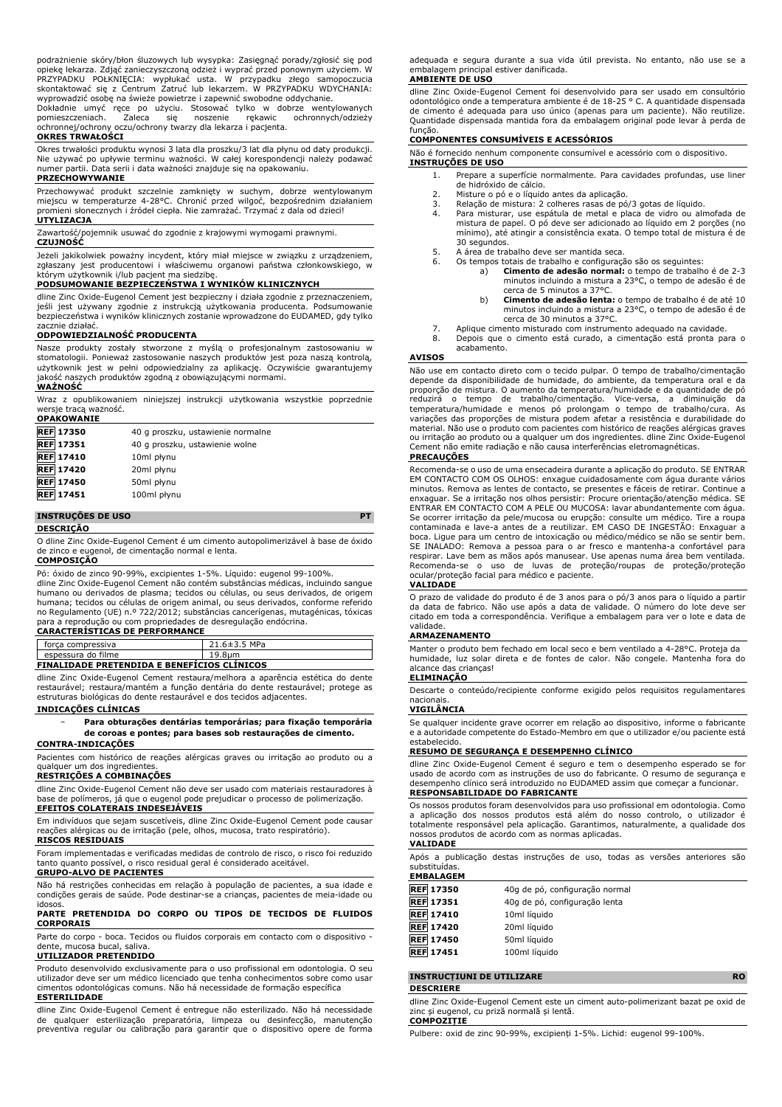podrażnienie skóry/błon śluzowych lub wysypka: Zasięgnąć porady/zgłosić się pod opiekę lekarza. Zdjąć zanieczyszczoną odzież i wyprać przed ponownym użyciem. W PRZYPADKU POŁKNIĘCIA: wypłukać usta. W przypadku złego samopoczucia skontaktować się z Centrum Zatruć lub lekarzem. W PRZYPADKU WDYCHANIA: wyprowadzić osobę na świeże powietrze i zapewnić swobodne oddychanie.

Dokładnie umyć ręce po użyciu. Stosować tylko w dobrze wentylowanych pomieszczeniach. Zaleca się noszenie rękawic ochronnych/odzieży ochronnej/ochrony oczu/ochrony twarzy dla lekarza i pacjenta.

#### **OKRES TRWAŁOŚCI**

Okres trwałości produktu wynosi 3 lata dla proszku/3 lat dla płynu od daty produkcji. Nie używać po upływie terminu ważności. W całej korespondencji należy podawać numer partii. Data serii i data ważności znajduje się na opakowaniu.

# **PRZECHOWYWANIE**

Przechowywać produkt szczelnie zamknięty w suchym, dobrze wentylowanym<br>miejscu w temperaturze 4-28°C. Chronić przed wilgoć, bezpośrednim działaniem<br>promieni słonecznych i źródeł ciepła. Nie zamrażać. Trzymać z dala od dzie **UTYLIZACJA**

Zawartość/pojemnik usuwać do zgodnie z krajowymi wymogami prawnymi.

#### **CZUJNOŚĆ**

Jeżeli jakikolwiek poważny incydent, który miał miejsce w związku z urządzeniem, zgłaszany jest producentowi i właściwemu organowi państwa członkowskiego, w którym użytkownik i/lub pacjent ma siedzibę.

# **PODSUMOWANIE BEZPIECZEŃSTWA I WYNIKÓW KLINICZNYCH**

dline Zinc Oxide-Eugenol Cement jest bezpieczny i działa zgodnie z przeznaczeniem, jeśli jest używany zgodnie z instrukcją użytkowania producenta. Podsumowanie bezpieczeństwa i wyników klinicznych zostanie wprowadzone do EUDAMED, gdy tylko zacznie działać.

#### **ODPOWIEDZIALNOŚĆ PRODUCENTA**

Nasze produkty zostały stworzone z myślą o profesjonalnym zastosowaniu w stomatologii. Ponieważ zastosowanie naszych produktów jest poza naszą kontrolą, użytkownik jest w pełni odpowiedzialny za aplikację. Oczywiście gwarantujemy jakość naszych produktów zgodną z obowiązującymi normami. **WAŻNOŚĆ**

Wraz z opublikowaniem niniejszej instrukcji użytkowania wszystkie poprzednie wersje tracą ważność. **OPAKOWANIE**

| YEARVIIANLE      |                                   |
|------------------|-----------------------------------|
| <b>REF 17350</b> | 40 g proszku, ustawienie normalne |
| <b>REF</b> 17351 | 40 g proszku, ustawienie wolne    |
| <b>REF</b> 17410 | 10ml płynu                        |
| <b>REF 17420</b> | 20ml płynu                        |
| <b>REF 17450</b> | 50ml płynu                        |
| <b>REF 17451</b> | 100ml płynu                       |
|                  |                                   |

# **INSTRUÇÕES DE USO PT**

**DESCRIÇÃO**

O dline Zinc Oxide-Eugenol Cement é um cimento autopolimerizável à base de óxido de zinco e eugenol, de cimentação normal e lenta.

#### **COMPOSIÇÃO**

Pó: óxido de zinco 90-99%, excipientes 1-5%. Líquido: eugenol 99-100%. dline Zinc Oxide-Eugenol Cement não contém substâncias médicas, incluindo sangue humano ou derivados de plasma; tecidos ou células, ou seus derivados, de origem humana; tecidos ou células de origem animal, ou seus derivados, conforme referido no Regulamento (UE) n.º 722/2012; substâncias cancerígenas, mutagénicas, tóxicas para a reprodução ou com propriedades de desregulação endócrina. **CARACTERÍSTICAS DE PERFORMANCE**

| forca compressiva                                  | $21.6 \pm 3.5$ MPa |  |  |  |
|----------------------------------------------------|--------------------|--|--|--|
| espessura do filme                                 | 19.8um             |  |  |  |
| <b>FINALIDADE PRETENDIDA E BENEFICIOS CLÍNICOS</b> |                    |  |  |  |

dline Zinc Oxide-Eugenol Cement restaura/melhora a aparência estética do dente restaurável; restaura/mantém a função dentária do dente restaurável; protege as estruturas biológicas do dente restaurável e dos tecidos adjacentes.

#### **INDICAÇÕES CLÍNICAS**

− **Para obturações dentárias temporárias; para fixação temporária de coroas e pontes; para bases sob restaurações de cimento.**

# **CONTRA-INDICAÇÕES**

Pacientes com histórico de reações alérgicas graves ou irritação ao produto ou a qualquer um dos ingrediente

# **RESTRIÇÕES A COMBINAÇÕES**

dline Zinc Oxide-Eugenol Cement não deve ser usado com materiais restauradores à base de polímeros, já que o eugenol pode prejudicar o processo de polimerização.

# **EFEITOS COLATERAIS INDESEJÁVEIS**

Em indivíduos que sejam suscetíveis, dline Zinc Oxide-Eugenol Cement pode causar reações alérgicas ou de irritação (pele, olhos, mucosa, trato respiratório). **RISCOS RESIDUAIS**

Foram implementadas e verificadas medidas de controlo de risco, o risco foi reduzido tanto quanto possível, o risco residual geral é considerado aceitável.

# **GRUPO-ALVO DE PACIENTES**

Não há restrições conhecidas em relação à população de pacientes, a sua idade e condições gerais de saúde. Pode destinar-se a crianças, pacientes de meia-idade ou idosos.

# **PARTE PRETENDIDA DO CORPO OU TIPOS DE TECIDOS DE FLUIDOS CORPORAIS**

Parte do corpo - boca. Tecidos ou fluidos corporais em contacto com o dispositivo dente, mucosa bucal, saliva.

# **UTILIZADOR PRETENDIDO**

Produto desenvolvido exclusivamente para o uso profissional em odontologia. O seu utilizador deve ser um médico licenciado que tenha conhecimentos sobre como usar cimentos odontológicas comuns. Não há necessidade de formação específica **ESTERILIDADE**

dline Zinc Oxide-Eugenol Cement é entregue não esterilizado. Não há necessidade de qualquer esterilização preparatória, limpeza ou desinfecção, manutenção preventiva regular ou calibração para garantir que o dispositivo opere de forma

adequada e segura durante a sua vida útil prevista. No entanto, não use se a embalagem principal estiver danificada.

## **AMBIENTE DE USO**

dline Zinc Oxide-Eugenol Cement foi desenvolvido para ser usado em consultòrio<br>odontológico onde a temperatura ambiente é de 18-25 °C. A quantidade dispensada<br>de cimento é adequada para uso único (apenas para um paciente). Quantidade dispensada mantida fora da embalagem original pode levar à perda de

# função. **COMPONENTES CONSUMÍVEIS E ACESSÓRIOS**

Não é fornecido nenhum componente consumível e acessório com o dispositivo. **INSTRUÇÕES DE USO**

- 1. Prepare a superfície normalmente. Para cavidades profundas, use liner
	- de hidróxido de cálcio.
	- 2. Misture o pó e o líquido antes da aplicação.
	- 3. Relação de mistura: 2 colheres rasas de pó/3 gotas de líquido. 4. Para misturar, use espátula de metal e placa de vidro ou almofada de mistura de papel. O pó deve ser adicionado ao líquido em 2 porções (no mínimo), até atingir a consistência exata. O tempo total de mistura é de 30 segundos.
- 5. A área de trabalho deve ser mantida seca.<br>6. Os tempos totais de trabalho e configuraçã
	- Os tempos totais de trabalho e configuração são os seguintes:
		- a) **Cimento de adesão normal:** o tempo de trabalho é de 2-3 minutos incluindo a mistura a 23°C, o tempo de adesão é de
		- cerca de 5 minutos a 37°C. b) **Cimento de adesão lenta:** o tempo de trabalho é de até 10 minutos incluindo a mistura a 23°C, o tempo de adesão é de cerca de 30 minutos a 37°C.
- 7. Aplique cimento misturado com instrumento adequado na cavidade.
- Depois que o cimento está curado, a cimentação está pronta para o acabamento.

# **AVISOS**

Não use em contacto direto com o tecido pulpar. O tempo de trabalho/cimentação depende da disponibilidade de humidade, do ambiente, da temperatura oral e da proporção de mistura. O aumento da temperatura/humidade e da quantidade de pó<br>reduzirá o tempo de trabalho/cimentação. Vice-versa, a diminuição da<br>temperatura/humidade e menos pó prolongam o tempo d variações das proporções de mistura podem afetar a resistência e durabilidade do material. Não use o produto com pacientes com histórico de reações alérgicas graves ou irritação ao produto ou a qualquer um dos ingredientes. dline Zinc Oxide-Eugenol Cement não emite radiação e não causa interferências eletromagnéticas. **PRECAUÇÕES**

Recomenda-se o uso de uma ensecadeira durante a aplicação do produto. SE ENTRAR EM CONTACTO COM OS OLHOS: enxague cuidadosamente com água durante vários minutos. Remova as lentes de contacto, se presentes e fáceis de retirar. Continue a<br>enxaguar. Se a irritação nos olhos persistir: Procure orientação/atenção médica. SE<br>ENTRAR EM CONTACTO COM A PELE OU MUCOSA: lavar abundan contaminada e lave-a antes de a reutilizar. EM CASO DE INGESTÃO: Enxaguar a boca. Ligue para um centro de intoxicação ou médico/médico se não se sentir bem. SE INALADO: Remova a pessoa para o ar fresco e mantenha-a confortável para respirar. Lave bem as mãos após manusear. Use apenas numa área bem ventilada. Recomenda-se o uso de luvas de proteção/roupas de proteção/proteção ocular/proteção facial para médico e paciente.

#### **VALIDADE**

O prazo de validade do produto é de 3 anos para o pó/3 anos para o líquido a partir da data de fabrico. Não use após a data de validade. O número do lote deve ser citado em toda a correspondência. Verifique a embalagem para ver o lote e data de validade.

#### **ARMAZENAMENTO**

Manter o produto bem fechado em local seco e bem ventilado a 4-28°C. Proteja da humidade, luz solar direta e de fontes de calor. Não congele. Mantenha fora do alcance das crianças!

#### **ELIMINAÇÃO**

Descarte o conteúdo/recipiente conforme exigido pelos requisitos regulamentares nacionais.

## **VIGILÂNCIA**

Se qualquer incidente grave ocorrer em relação ao dispositivo, informe o fabricante e a autoridade competente do Estado-Membro em que o utilizador e/ou paciente está estabelecido.

#### **RESUMO DE SEGURANÇA E DESEMPENHO CLÍNICO**

dline Zinc Oxide-Eugenol Cement é seguro e tem o desempenho esperado se for usado de acordo com as instruções de uso do fabricante. O resumo de segurança e desempenho clínico será introduzido no EUDAMED assim que começar a funcionar. **RESPONSABILIDADE DO FABRICANTE**

Os nossos produtos foram desenvolvidos para uso profissional em odontologia. Como a aplicação dos nossos produtos está além do nosso controlo, o utilizador é totalmente responsável pela aplicação. Garantimos, naturalmente, a qualidade dos nossos produtos de acordo com as normas aplicadas. **VALIDADE**

Após a publicação destas instruções de uso, todas as versões anteriores são substituídas. **EMBALAGEM**

| ------------     |                                |
|------------------|--------------------------------|
| <b>REF 17350</b> | 40g de pó, configuração normal |
| <b>REF</b> 17351 | 40g de pó, configuração lenta  |
| <b>REF 17410</b> | 10ml líquido                   |
| <b>REF</b> 17420 | 20ml líquido                   |
| <b>REF</b> 17450 | 50ml líquido                   |
| <b>REF</b> 17451 | 100ml líquido                  |
|                  |                                |

#### **INSTRUCȚIUNI DE UTILIZARE RO DESCRIERE**

dline Zinc Oxide-Eugenol Cement este un ciment auto-polimerizant bazat pe oxid de zinc și eugenol, cu priză normală și lentă. **COMPOZIȚIE**

Pulbere: oxid de zinc 90-99%, excipienți 1-5%. Lichid: eugenol 99-100%.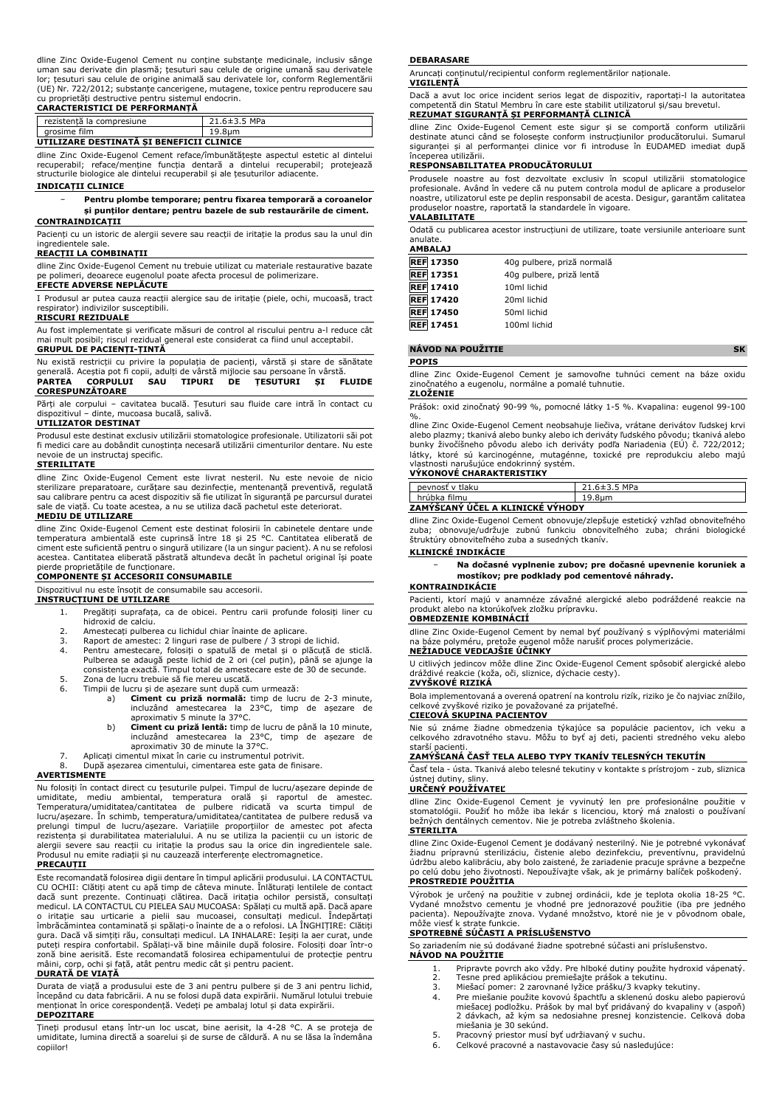dline Zinc Oxide-Eugenol Cement nu conține substanțe medicinale, inclusiv sănge<br>uman sau derivate din plasmă; țesuturi sau celule de origine umană sau derivatele<br>lor; țesuturi sau celule de origine animală sau derivatele l (UE) Nr. 722/2012; substanțe cancerigene, mutagene, toxice pentru reproducere sau

# cu proprietăți destructive pentru sistemul endocrin. **CARACTERISTICI DE PERFORMANȚĂ**

| rezistentă la compresiune                | $21.6 \pm 3.5$ MPa |  |  |
|------------------------------------------|--------------------|--|--|
| arosime film                             | 19.8um             |  |  |
| UTILIZARE DESTINATA SI BENEFICII CLINICE |                    |  |  |

dline Zinc Oxide-Eugenol Cement reface/îmbunătățește aspectul estetic al dintelui recuperabil; reface/menține funcția dentară a dintelui recuperabil; protejează structurile biologice ale dintelui recuperabil și ale țesuturilor adiacente.

# **INDICAȚII CLINICE**

#### − **Pentru plombe temporare; pentru fixarea temporară a coroanelor și punților dentare; pentru bazele de sub restaurările de ciment. CONTRAINDICAȚII**

Pacienți cu un istoric de alergii severe sau reacții de iritație la produs sau la unul din ingredientele sale.

#### **REACȚII LA COMBINAȚII**

dline Zinc Oxide-Eugenol Cement nu trebuie utilizat cu materiale restaurative bazate pe polimeri, deoarece eugenolul poate afecta procesul de polimerizare.

# **EFECTE ADVERSE NEPLĂCUTE**

I Produsul ar putea cauza reacții alergice sau de iritație (piele, ochi, mucoasă, tract respirator) indivizilor susceptibili.

### **RISCURI REZIDUALE**

Au fost implementate și verificate măsuri de control al riscului pentru a-l reduce cât mai mult posibil; riscul rezidual general este considerat ca fiind unul acceptabil. **GRUPUL DE PACIENȚI-ȚINTĂ**

Nu există restricții cu privire la populația de pacienți, vârstă și stare de sănătate<br>generală. Aceștia pot fi copii, adulți de vârstă mijlocie sau persoane în vârstă.<br>**PARTEA - CORPULUI - SAU - TIPURI - DE - ȚESUTURI - ȘI CORESPUNZĂTOARE**

Părți ale corpului – cavitatea bucală. Țesuturi sau fluide care intră în contact cu dispozitivul – dinte, mucoasa bucală, salivă.

## **UTILIZATOR DESTINAT**

Produsul este destinat exclusiv utilizării stomatologice profesionale. Utilizatorii săi pot fi medici care au dobândit cunoștința necesară utilizării cimenturilor dentare. Nu este nevoie de un instructaj specific.

## **STERILITATE**

dline Zinc Oxide-Eugenol Cement este livrat nesteril. Nu este nevoie de nicio sterilizare preparatoare, curățare sau dezinfecție, mentenanță preventivă, regulată sau calibrare pentru ca acest dispozitiv să fie utilizat în siguranță pe parcursul duratei sale de viață. Cu toate acestea, a nu se utiliza dacă pachetul este deteriorat.

#### **MEDIU DE UTILIZARE**

dline Zinc Oxide-Eugenol Cement este destinat folosirii în cabinetele dentare unde temperatura ambientală este cuprinsă între 18 și 25 °C. Cantitatea eliberată de ciment este suficientă pentru o singură utilizare (la un singur pacient). A nu se refolosi acestea. Cantitatea eliberată păstrată altundeva decât în pachetul original își poate pierde proprietățile de funcționare.

## **COMPONENTE ȘI ACCESORII CONSUMABILE**

Dispozitivul nu este însoțit de consumabile sau accesorii.

#### **INSTRUCȚIUNI DE UTILIZARE**

- 1. Pregătiți suprafața, ca de obicei. Pentru carii profunde folosiți liner cu
- hidroxid de calciu. 2. Amestecați pulberea cu lichidul chiar înainte de aplicare.
- 3. Raport de amestec: 2 linguri rase de pulbere / 3 stropi de lichid.<br>4. Pentru amestecare, folosiți o spatulă de metal și o plăcuță de sticlă.<br>Pulberea se adaugă peste lichid de 2 ori (cel puțin), până se ajunge la<br>consis
- 5. Zona de lucru trebuie să fie mereu uscată.
- 6. Timpii de lucru și de așezare sunt după cum urmează:
	- a) **Ciment cu priză normală:** timp de lucru de 2-3 minute,<br>incluzând amestecarea la 23°C, timp de așezare de<br>aproximativ 5 minute la 37°C.
	- b) **Ciment cu priză lentă:** timp de lucru de până la 10 minute,<br>incluzând amestecarea la 23°C, timp de așezare de<br>aproximativ 30 de minute la 37°C.
- 7. Aplicați cimentul mixat în carie cu instrumentul potrivit.
- 8. După așezarea cimentului, cimentarea este gata de finisare.

#### **AVERTISMENTE**

Nu folosiți în contact direct cu țesuturile pulpei. Timpul de lucru/așezare depinde de<br>umiditate, mediu ambiental, temperatura orală și raportul de amestec.<br>Temperatura/umiditatea/cantitatea de pulbere lucru/așezare. In schimb, temperatura/umiditatea/cantitatea de pulbere redusă va<br>prelungi timpul de lucru/așezare. Variațiile proporțiilor de amestec pot afecta<br>rezistența și durabilitatea materialului. A nu se utiliza la Produsul nu emite radiații și nu cauzează interferențe electromagnetice. **PRECAUȚII**

Este recomandată folosirea digii dentare în timpul aplicării produsului. LA CONTACTUL CU OCHII: Clătiți atent cu apă timp de câteva minute. Înlăturați lentilele de contact dacă sunt prezente. Continuați clătirea. Dacă iritația ochilor persistă, consultați medicul. LA CONTACTUL CU PIELEA SAU MUCOASA: Spălați cu multă apă. Dacă apare<br>o iritație sau urticarie a pielii sau mucoasei, consultați medicul. Îndepărtați<br>îmbrăcămintea contaminată și spălați-o înainte de a o gura. Dacă vă simțiți rău, consultați medicul. LA INHALARE: Ieșiți la aer curat, unde puteți respira confortabil. Spălați-vă bine mâinile după folosire. Folosiți doar într-o zonă bine aerisită. Este recomandată folosirea echipamentului de protecție pentru mâini, corp, ochi și față, atât pentru medic cât și pentru pacient.

# **DURATĂ DE VIAȚĂ**

Durata de viață a produsului este de 3 ani pentru pulbere și de 3 ani pentru lichid, începând cu data fabricării. A nu se folosi după data expirării. Numărul lotului trebuie menționat în orice corespondență. Vedeți pe ambalaj lotul și data expirării. **DEPOZITARE**

Țineți produsul etanș într-un loc uscat, bine aerisit, la 4-28 °C. A se proteja de umiditate, lumina directă a soarelui și de surse de căldură. A nu se lăsa la îndemâna copiilor!

#### **DEBARASARE**

Aruncați conținutul/recipientul conform reglementărilor naționale.

#### **VIGILENȚĂ**

Dacă a avut loc orice incident serios legat de dispozitiv, raportați-l la autoritatea competentă din Statul Membru în care este stabilit utilizatorul și/sau brevetul. **REZUMAT SIGURANȚĂ ȘI PERFORMANȚĂ CLINICĂ**

dline Zinc Oxide-Eugenol Cement este sigur și se comportă conform utilizării destinate atunci când se folosește conform instrucțiunilor producătorului. Sumarul siguranței și al performanței clinice vor fi introduse în EUDAMED imediat după începerea utilizării.

# **RESPONSABILITATEA PRODUCĂTORULUI**

Produsele noastre au fost dezvoltate exclusiv în scopul utilizării stomatologice profesionale. Având în vedere că nu putem controla modul de aplicare a produselor noastre, utilizatorul este pe deplin responsabil de acesta. Desigur, garantăm calitatea produselor noastre, raportată la standardele în vigoare. **VALABILITATE**

Odată cu publicarea acestor instrucțiuni de utilizare, toate versiunile anterioare sunt anulate. **AMBALAJ**

| AMBALAJ          |                            |
|------------------|----------------------------|
| <b>REF 17350</b> | 40g pulbere, priză normală |
| <b>REF 17351</b> | 40g pulbere, priză lentă   |
| <b>REF 17410</b> | 10ml lichid                |
| <b>REF 17420</b> | 20ml lichid                |
| <b>REF 17450</b> | 50ml lichid                |
| <b>REF 17451</b> | 100ml lichid               |
|                  |                            |

# **NÁVOD NA POUŽITIE SK**

**POPIS**

dline Zinc Oxide-Eugenol Cement je samovoľne tuhnúci cement na báze oxidu zinočnatého a eugenolu, normálne a pomalé tuhnutie.

#### **ZLOŽENIE**

Prášok: oxid zinočnatý 90-99 %, pomocné látky 1-5 %. Kvapalina: eugenol 99-100

%. dline Zinc Oxide-Eugenol Cement neobsahuje liečiva, vrátane derivátov ľudskej krvi alebo plazmy; tkanivá alebo bunky alebo ich deriváty ľudského pôvodu; tkanivá alebo<br>bunky živočíšneho pôvodu alebo ich deriváty podľa Nariadenia (EÚ) č. 722/2012;<br>látky, ktoré sú karcinogénne, mutagénne, toxické pre

# vlastnosti narušujúce endokrinný systém. **VÝKONOVÉ CHARAKTERISTIKY**

| pevnosť v tlaku                    | 21.6±3.5 MPa |  |  |
|------------------------------------|--------------|--|--|
| hrúbka filmu                       | 19.8um       |  |  |
| ZAMÝŠI'ANÝ LIČEL A KLINICKÉ VÝHODY |              |  |  |

#### **ZAMÝŠĽANÝ ÚČEL A KLINICKÉ VÝHODY**

dline Zinc Oxide-Eugenol Cement obnovuje/zlepšuje estetický vzhľad obnoviteľného zuba; obnovuje/udržuje zubnú funkciu obnoviteľného zuba; chráni biologické štruktúry obnoviteľného zuba a susedných tkanív.

# **KLINICKÉ INDIKÁCIE**

− **Na dočasné vyplnenie zubov; pre dočasné upevnenie koruniek a mostíkov; pre podklady pod cementové náhrady.**

# **KONTRAINDIKÁCIE**

Pacienti, ktorí majú v anamnéze závažné alergické alebo podráždené reakcie na produkt alebo na ktorúkoľvek zložku prípravku.

# **OBMEDZENIE KOMBINÁCIÍ**

dline Zinc Oxide-Eugenol Cement by nemal byť používaný s výplňovými materiálmi na báze polyméru, pretože eugenol môže narušiť proces polymerizácie. **NEŽIADUCE VEDĽAJŠIE ÚČINKY**

U citlivých jedincov môže dline Zinc Oxide-Eugenol Cement spôsobiť alergické alebo dráždivé reakcie (koža, oči, sliznice, dýchacie cesty). **ZVYŠKOVÉ RIZIKÁ**

Bola implementovaná a overená opatrení na kontrolu rizík, riziko je čo najviac znížilo, celkové zvyškové riziko je považované za prijateľné.

# **CIEĽOVÁ SKUPINA PACIENTOV**

Nie sú známe žiadne obmedzenia týkajúce sa populácie pacientov, ich veku a celkového zdravotného stavu. Môžu to byť aj deti, pacienti stredného veku alebo starší pacienti.

# **ZAMÝŠĽANÁ ČASŤ TELA ALEBO TYPY TKANÍV TELESNÝCH TEKUTÍN**

Časť tela - ústa. Tkanivá alebo telesné tekutiny v kontakte s prístrojom - zub, sliznica ústnej dutiny, sliny. **URČENÝ POUŽÍVATEĽ**

dline Zinc Oxide-Eugenol Cement je vyvinutý len pre profesionálne použitie v stomatológii. Použiť ho môže iba lekár s licenciou, ktorý má znalosti o používaní bežných dentálnych cementov. Nie je potreba zvláštneho školenia.

#### **STERILITA**

dline Zinc Oxide-Eugenol Cement je dodávaný nesterilný. Nie je potrebné vykonávať žiadnu prípravnú sterilizáciu, čistenie alebo dezinfekciu, preventívnu, pravidelnú údržbu alebo kalibráciu, aby bolo zaistené, že zariadenie pracuje správne a bezpečne po celú dobu jeho životnosti. Nepoužívajte však, ak je primárny balíček poškodený. **PROSTREDIE POUŽITIA**

# Výrobok je určený na použitie v zubnej ordinácii, kde je teplota okolia 18-25 °C. Vydané množstvo cementu je vhodné pre jednorazové použitie (iba pre jedného pacienta). Nepoužívajte znova. Vydané množstvo, ktoré nie je v pôvodnom obale, môže viesť k strate funkcie. **SPOTREBNÉ SÚČASTI A PRÍSLUŠENSTVO**

So zariadením nie sú dodávané žiadne spotrebné súčasti ani príslušenstvo.

- **NÁVOD NA POUŽITIE**
	- 1. Pripravte povrch ako vždy. Pre hlboké dutiny použite hydroxid vápenatý.<br>2. Tesne pred aplikáciou premiešaite prášok a tekutinu.
	- 2. Tesne pred aplikáciou premiešajte prášok a tekutinu.<br>2. Tesne pred aplikáciou premiešajte prášku/3 kvapky t
	- 3. Miešací pomer: 2 zarovnané lyžice prášku/3 kvapky tekutiny. 4. Pre miešanie použite kovovú špachtľu a sklenenú dosku alebo papierovú miešacej podložku. Prášok by mal byť pridávaný do kvapaliny v (aspoň) 2 dávkach, až kým sa nedosiahne presnej konzistencie. Celková doba miešania je 30 sekúnd.
	- 5. Pracovný priestor musí byť udržiavaný v suchu.<br>6. Celkové pracovné a nastavovacie časy sú nasled
	- 6. Celkové pracovné a nastavovacie časy sú nasledujúce: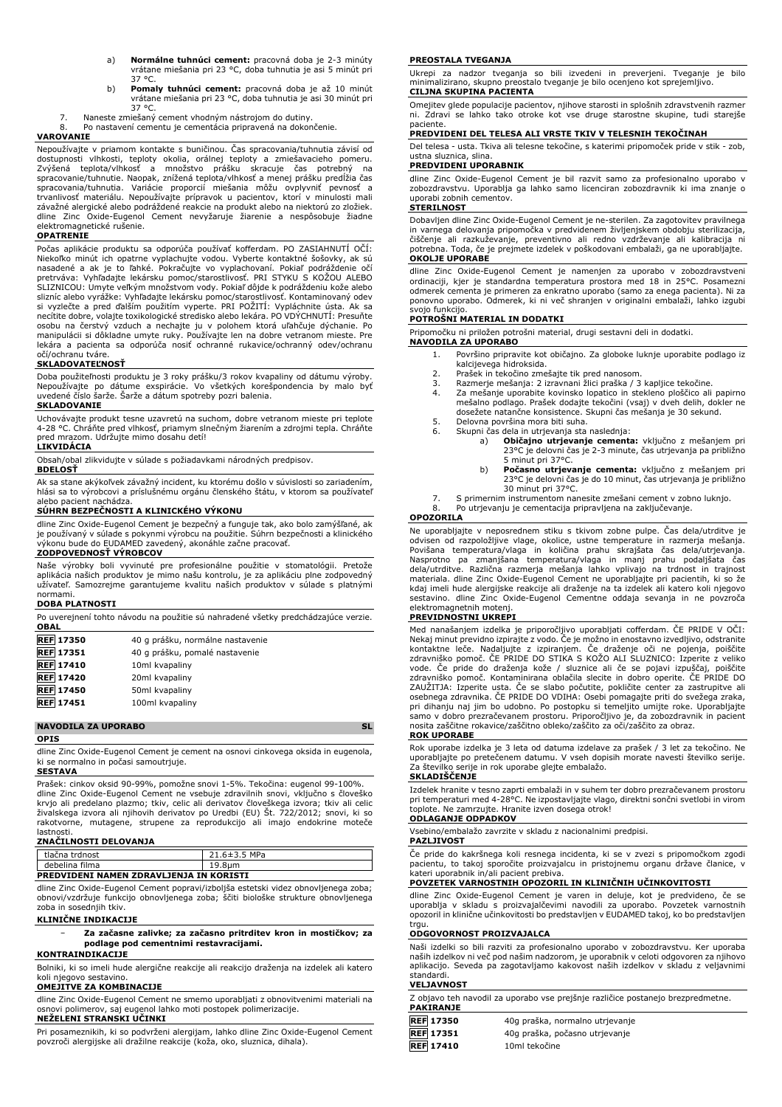- a) **Normálne tuhnúci cement:** pracovná doba je 2-3 minúty vrátane miešania pri 23 °C, doba tuhnutia je asi 5 minút pri 37 °C.
- b) **Pomaly tuhnúci cement:** pracovná doba je až 10 minút vrátane miešania pri 23 °C, doba tuhnutia je asi 30 minút pri 37 °C.
- 7. Naneste zmiešaný cement vhodným nástrojom do dutiny. Po nastavení cementu je cementácia pripravená na dokončenie.

#### **VAROVANIE**

Nepoužívajte v priamom kontakte s buničinou. Čas spracovania/tuhnutia závisí od dostupnosti vlhkosti, teploty okolia, oralnej teploty a zmiešavacieho pomeru.<br>Zvýšená teplota/vlhkosť a množstvo prášku skracuje čas potrebný na<br>spracovanie/tuhnutie. Naopak, znížená teplota/vlhkosť a menej prášku predĺžia spracovania/tuhnutia. Variácie proporcii miešania môžu ovplyvniť pevnosť a<br>trvanlivosť materiálu. Nepoužívajte prípravok u pacientov, ktorí v minulosti mali<br>závažné alergické-alebo-podráždené-reakcie-na-produkt-alebo-na-ni dline Zinc Oxide-Eugenol Cement nevyžaruje žiarenie a nespôsobuje žiadne elektromagnetické rušenie.

# **OPATRENIE**

Počas aplikácie produktu sa odporúča používať kofferdam. PO ZASIAHNUTÍ OČÍ: Niekoľko minút ich opatrne vyplachujte vodou. Vyberte kontaktné šošovky, ak sú nasadené a ak je to ľahké. Pokračujte vo vyplachovaní. Pokiaľ podráždenie oči<br>pretrváva: Vyhľadajte lekársku pomoc/starostlivosť. PRI STYKU S KOŽOU ALEBO<br>SLIZNICOU: Umyte veľkým množstvom vody. Pokiaľ dôjde k podráždeniu k si vyzlečte a pred ďalším použitím vyperte. PRI POŽITÍ: Vypláchnite ústa. Ak sa necítite dobre, volajte toxikologické stredisko alebo lekára. PO VDÝCHNUTÍ: Presuňte osobu na čerstvý vzduch a nechajte ju v polohem ktorá uľahčuje dýchanie. Po manipulácii si dôkladne umyte ruky. Používajte len na dobre vetranom mieste. Pre lekára a pacienta sa odporúča nosiť ochranné rukavice/ochranný odev/ochranu očí/ochranu tváre.

# **SKLADOVATEĽNOSŤ**

Doba použiteľnosti produktu je 3 roky prášku/3 rokov kvapaliny od dátumu výroby. Nepoužívajte po dátume exspirácie. Vo všetkých korešpondencia by malo byť uvedené číslo šarže. Šarže a dátum spotreby pozri balenia. **SKLADOVANIE**

Uchovávajte produkt tesne uzavretú na suchom, dobre vetranom mieste pri teplote 4-28 °C. Chráňte pred vlhkosť, priamym slnečným žiarením a zdrojmi tepla. Chráňte pred mrazom. Udržujte mimo dosahu detí!

#### **LIKVIDÁCIA**

Obsah/obal zlikvidujte v súlade s požiadavkami národných predpisov.

#### **BDELOSŤ**

Ak sa stane akýkoľvek závažný incident, ku ktorému došlo v súvislosti so zariadením, hlási sa to výrobcovi a príslušnému orgánu členského štátu, v ktorom sa používateľ alebo pacient nachádza.

## **SÚHRN BEZPEČNOSTI A KLINICKÉHO VÝKONU**

dline Zinc Oxide-Eugenol Cement je bezpečný a funguje tak, ako bolo zamýšľané, ak je používaný v súlade s pokynmi výrobcu na použitie. Súhrn bezpečnosti a klinického výkonu bude do EUDAMED zavedený, akonáhle začne pracovať.

## **ZODPOVEDNOSŤ VÝROBCOV**

Naše výrobky boli vyvinuté pre profesionálne použitie v stomatológii. Pretože aplikácia našich produktov je mimo našu kontrolu, je za aplikáciu plne zodpovedný užívateľ. Samozrejme garantujeme kvalitu našich produktov v súlade s platnými normami.

#### **DOBA PLATNOSTI**

Po uverejnení tohto návodu na použitie sú nahradené všetky predchádzajúce verzie. **OBAL**

| <b>REF 17350</b> | 40 g prášku, normálne nastavenie |
|------------------|----------------------------------|
| <b>REF</b> 17351 | 40 g prášku, pomalé nastavenie   |
| <b>REF</b> 17410 | 10ml kvapaliny                   |
| <b>REF</b> 17420 | 20ml kvapaliny                   |
| <b>REF</b> 17450 | 50ml kvapaliny                   |
| <b>REF</b> 17451 | 100ml kvapaliny                  |
|                  |                                  |

## **NAVODILA ZA UPORABO** SL

**OPIS**

dline Zinc Oxide-Eugenol Cement je cement na osnovi cinkovega oksida in eugenola, ki se normalno in počasi samoutrjuje. **SESTAVA**

Prašek: cinkov oksid 90-99%, pomožne snovi 1-5%. Tekočina: eugenol 99-100%. dline Zinc Oxide-Eugenol Cement ne vsebuje zdravilnih snovi, vključno s človeško krvjo ali predelano plazmo; tkiv, celic ali derivatov človeškega izvora; tkiv ali celic živalskega izvora ali njihovih derivatov po Uredbi (EU) Št. 722/2012; snovi, ki so rakotvorne, mutagene, strupene za reprodukcijo ali imajo endokrine moteče lastnosti.

## **ZNAČILNOSTI DELOVANJA**

| tlačna trdnost                                 | $21.6 \pm 3.5$ MPa |  |  |
|------------------------------------------------|--------------------|--|--|
| debelina filma                                 | 19.8um             |  |  |
| <b>PREDVIDENI NAMEN ZDRAVLJENJA IN KORISTI</b> |                    |  |  |

dline Zinc Oxide-Eugenol Cement popravi/izboljša estetski videz obnovljenega zoba; obnovi/vzdržuje funkcijo obnovljenega zoba; ščiti biološke strukture obnovljenega zoba in sosednjih tkiv.

# **KLINIČNE INDIKACIJE**

− **Za začasne zalivke; za začasno pritrditev kron in mostičkov; za podlage pod cementnimi restavracijami.**

#### **KONTRAINDIKACIJE**

Bolniki, ki so imeli hude alergične reakcije ali reakcijo draženja na izdelek ali katero koli njegovo sestavino.

## **OMEJITVE ZA KOMBINACIJE**

dline Zinc Oxide-Eugenol Cement ne smemo uporabljati z obnovitvenimi materiali na osnovi polimerov, saj eugenol lahko moti postopek polimerizacije. **NEŽELENI STRANSKI UČINKI**

Pri posameznikih, ki so podvrženi alergijam, lahko dline Zinc Oxide-Eugenol Cement povzroči alergijske ali dražilne reakcije (koža, oko, sluznica, dihala).

#### **PREOSTALA TVEGANJA**

Ukrepi za nadzor tveganja so bili izvedeni in preverjeni. Tveganje je bilo minimalizirano, skupno preostalo tveganje je bilo ocenjeno kot sprejemljivo. **CILJNA SKUPINA PACIENTA**

Omejitev glede populacije pacientov, njihove starosti in splošnih zdravstvenih razmer ni. Zdravi se lahko tako otroke kot vse druge starostne skupine, tudi starejše paciente.

#### **PREDVIDENI DEL TELESA ALI VRSTE TKIV V TELESNIH TEKOČINAH**

Del telesa - usta. Tkiva ali telesne tekočine, s katerimi pripomoček pride v stik - zob, ustna sluznica, slina.

# **PREDVIDENI UPORABNIK**

dline Zinc Oxide-Eugenol Cement je bil razvit samo za profesionalno uporabo v zobozdravstvu. Uporablja ga lahko samo licenciran zobozdravnik ki ima znanje o uporabi zobnih cementov.

## **STERILNOST**

Dobavljen dline Zinc Oxide-Eugenol Cement je ne-sterilen. Za zagotovitev pravilnega in varnega delovanja pripomočka v predvidenem življenjskem obdobju sterilizacija, čiščenje ali razkuževanje, preventivno ali redno vzdrževanje ali kalibracija ni potrebna. Toda, če je prejmete izdelek v poškodovani embalaži, ga ne uporabljajte. **OKOLJE UPORABE**

dline Zinc Oxide-Eugenol Cement je namenjen za uporabo v zobozdravstveni ordinaciji, kjer je standardna temperatura prostora med 18 in 25°C. Posamezni odmerek cementa je primeren za enkratno uporabo (samo za enega pacienta). Ni za ponovno uporabo. Odmerek, ki ni več shranjen v originalni embalaži, lahko izgubi svojo funkcijo.

#### **POTROŠNI MATERIAL IN DODATKI**

Pripomočku ni priložen potrošni material, drugi sestavni deli in dodatki. **NAVODILA ZA UPORABO**

- 1. Površino pripravite kot običajno. Za globoke luknje uporabite podlago iz kalcijevega hidroksida.
	-
	- 2. Prašek in tekočino zmešajte tik pred nanosom. 3. Razmerje mešanja: 2 izravnani žlici praška / 3 kapljice tekočine.
	- 4. Za mešanje uporabite kovinsko lopatico in stekleno ploščico ali papirno mešalno podlago. Prašek dodajte tekočini (vsaj) v dveh delih, dokler ne dosežete natančne konsistence. Skupni čas mešanja je 30 sekund.
	- 5. Delovna površina mora biti suha.<br>6. Skupni čas dela in utrievania sta 6. Skupni čas dela in utrjevanja sta naslednja:
		- a) **Običajno utrjevanje cementa:** vključno z mešanjem pri 23°C je delovni čas je 2-3 minute, čas utrjevanja pa približno
			- 5 minut pri 37°C. b) **Počasno utrjevanje cementa:** vključno z mešanjem pri
		- 23°C je delovni čas je do 10 minut, čas utrjevanja je približno 30 minut pri 37°C.
	- 7. S primernim instrumentom nanesite zmešani cement v zobno luknjo.<br>8. Po utrievanju je cementacija pripravljena na zaključevanje
- 8. Po utrjevanju je cementacija pripravljena na zaključevanje.

# **OPOZORILA**

Ne uporabljajte v neposrednem stiku s tkivom zobne pulpe. Čas dela/utrditve je odvisen od razpoložljive vlage, okolice, ustne temperature in razmerja mešanja. Povišana temperatura/vlaga in količina prahu skrajšata čas dela/utrjevanja. Nasprotno pa zmanjšana temperatura/vlaga in manj prahu podaljšata čas dela/utrditve. Različna razmerja mešanja lahko vplivajo na trdnost in trajnost materiala. dline Zinc Oxide-Eugenol Cement ne uporabljajte pri pacientih, ki so že kdaj imeli hude alergijske reakcije ali draženje na ta izdelek ali katero koli njegovo sestavino. dline Zinc Oxide-Eugenol Cementne oddaja sevanja in ne povzroča elektromagnetnih motenj.

#### **PREVIDNOSTNI UKREPI**

Med nanašanjem izdelka je priporočljivo uporabljati cofferdam. CE PRIDE V OCI:<br>Nekaj minut previdno izpirajte z vodo. Če je možno in enostavno izvedljivo, odstranite<br>kontaktne leče. Nadaljujte z izpiranjem. Če draženje oči vode. Če pride do draženja kože / sluznice ali če se pojavi izpuščaj, poiščite zdravniško pomoč. Kontaminirana oblačila slecite in dobro operite. CE PRIDE DO<br>ZAUŽITJA: Izperite usta. Če se slabo počutite, pokličite center za zastrupitve ali<br>osebnega zdravnika. ČE PRIDE DO VDIHA: Osebi pomagajte priti pri dihanju naj jim bo udobno. Po postopku si temeljito umijte roke. Uporabljajte samo v dobro prezračevanem prostoru. Priporočljivo je, da zobozdravnik in pacient nosita zaščitne rokavice/zaščitno obleko/zaščito za oči/zaščito za obraz.

#### **ROK UPORABE**

Rok uporabe izdelka je 3 leta od datuma izdelave za prašek / 3 let za tekočino. Ne uporabljajte po pretečenem datumu. V vseh dopisih morate navesti številko serije. Za številko serije in rok uporabe glejte embalažo.

#### **SKLADIŠČENJE**

Izdelek hranite v tesno zaprti embalaži in v suhem ter dobro prezračevanem prostoru pri temperaturi med 4-28°C. Ne izpostavljajte vlago, direktni sončni svetlobi in virom toplote. Ne zamrzujte. Hranite izven dosega otrok!

# **ODLAGANJE ODPADKOV**

Vsebino/embalažo zavrzite v skladu z nacionalnimi predpisi.

**PAZLJIVOST**

Če pride do kakršnega koli resnega incidenta, ki se v zvezi s pripomočkom zgodi pacientu, to takoj sporočite proizvajalcu in pristojnemu organu države članice, v kateri uporabnik in/ali pacient prebiva.

## **POVZETEK VARNOSTNIH OPOZORIL IN KLINIČNIH UČINKOVITOSTI**

dline Zinc Oxide-Eugenol Cement je varen in deluje, kot je predvideno, če se uporablja v skladu s proizvajalčevimi navodili za uporabo. Povzetek varnostnih opozoril in klinične učinkovitosti bo predstavljen v EUDAMED takoj, ko bo predstavljen trgu.

#### **ODGOVORNOST PROIZVAJALCA**

Naši izdelki so bili razviti za profesionalno uporabo v zobozdravstvu. Ker uporaba naših izdelkov ni več pod našim nadzorom, je uporabnik v celoti odgovoren za njihovo aplikacijo. Seveda pa zagotavljamo kakovost naših izdelkov v skladu z veljavnimi standardi.

## **VELJAVNOST**

|                  |  |  | Z objavo teh navodil za uporabo vse prejšnje različice postanejo brezpredmetne. |
|------------------|--|--|---------------------------------------------------------------------------------|
| <b>DAKTDANIE</b> |  |  |                                                                                 |

| <b>REF 17350</b> | 40g praška, normalno utrjevanje |
|------------------|---------------------------------|
| <b>REF</b> 17351 | 40g praška, počasno utrjevanje  |
| <b>REF</b> 17410 | 10ml tekočine                   |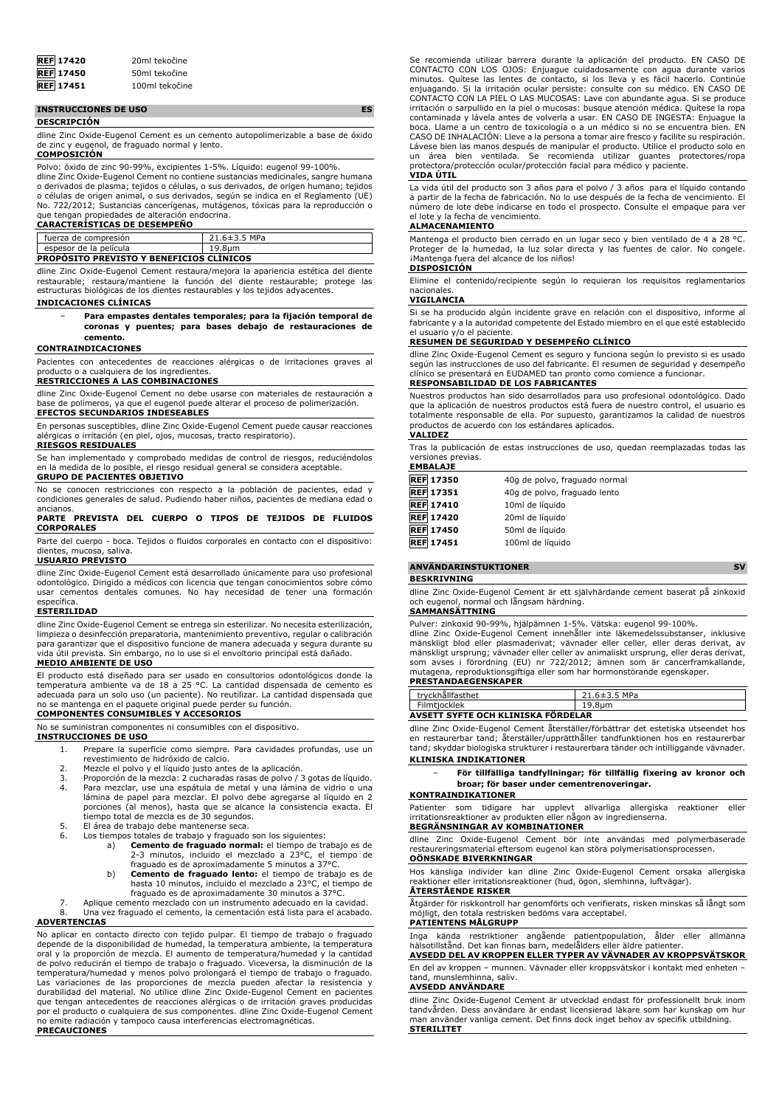| <b>REF</b> 17420 | 20ml tekočine  |
|------------------|----------------|
| <b>REF</b> 17450 | 50ml tekočine  |
| <b>REF</b> 17451 | 100ml tekočine |

#### **INSTRUCCIONES DE USO ES**

#### **DESCRIPCIÓN**

dline Zinc Oxide-Eugenol Cement es un cemento autopolimerizable a base de óxido de zinc y eugenol, de fraguado normal y lento.

# **COMPOSICIÓN**

Polvo: óxido de zinc 90-99%, excipientes 1-5%. Líquido: eugenol 99-100%.

dline Zinc Oxide-Eugenol Cement no contiene sustancias medicinales, sangre humana o derivados de plasma; tejidos o células, o sus derivados, de origen humano; tejidos<br>o células de origen animal, o sus derivados, según se indica en el Reglamento (UE)<br>No. 722/2012; Sustancias cancerígenas, mutágenos, tóxi

## **CARACTERÍSTICAS DE DESEMPEÑO**

|                                                 | fuerza de compresión   | $21.6 \pm 3.5$ MPa |
|-------------------------------------------------|------------------------|--------------------|
|                                                 | espesor de la película | 19.8um             |
| <b>PROPOSITO PREVISTO Y BENEFICIOS CLINICOS</b> |                        |                    |

dline Zinc Oxide-Eugenol Cement restaura/mejora la apariencia estética del diente restaurable; restaura/mantiene la función del diente restaurable; protege las estructuras biológicas de los dientes restaurables y los tejidos adyacentes. **INDICACIONES CLÍNICAS**

## − **Para empastes dentales temporales; para la fijación temporal de coronas y puentes; para bases debajo de restauraciones de cemento.**

#### **CONTRAINDICACIONES**

Pacientes con antecedentes de reacciones alérgicas o de irritaciones graves al

# producto o a cualquiera de los ingredientes. **RESTRICCIONES A LAS COMBINACIONES**

dline Zinc Oxide-Eugenol Cement no debe usarse con materiales de restauración a base de polímeros, ya que el eugenol puede alterar el proceso de polimerización. **EFECTOS SECUNDARIOS INDESEABLES**

En personas susceptibles, dline Zinc Oxide-Eugenol Cement puede causar reacciones alérgicas o irritación (en piel, ojos, mucosas, tracto respiratorio).

# **RIESGOS RESIDUALES**

Se han implementado y comprobado medidas de control de riesgos, reduciéndolos en la medida de lo posible, el riesgo residual general se considera aceptable.

#### **GRUPO DE PACIENTES OBJETIVO**

No se conocen restricciones con respecto a la población de pacientes, edad y condiciones generales de salud. Pudiendo haber niños, pacientes de mediana edad o ancianos.

#### **PARTE PREVISTA DEL CUERPO O TIPOS DE TEJIDOS DE FLUIDOS CORPORALES**

Parte del cuerpo - boca. Tejidos o fluidos corporales en contacto con el dispositivo: dientes, mucosa, saliva.

#### **USUARIO PREVISTO**

dline Zinc Oxide-Eugenol Cement está desarrollado únicamente para uso profesional odontológico. Dirigido a médicos con licencia que tengan conocimientos sobre cómo usar cementos dentales comunes. No hay necesidad de tener una formación específica.

## **ESTERILIDAD**

dline Zinc Oxide-Eugenol Cement se entrega sin esterilizar. No necesita esterilización, limpieza o desinfección preparatoria, mantenimiento preventivo, regular o calibración para garantizar que el dispositivo funcione de manera adecuada y segura durante su vida útil prevista. Sin embargo, no lo use si el envoltorio principal está dañado.

# **MEDIO AMBIENTE DE USO**

El producto está diseñado para ser usado en consultorios odontológicos donde la temperatura ambiente va de 18 a 25 °C. La cantidad dispensada de cemento es adecuada para un solo uso (un paciente). No reutilizar. La cantidad dispensada que no se mantenga en el paquete original puede perder su función. **COMPONENTES CONSUMIBLES Y ACCESORIOS**

No se suministran componentes ni consumibles con el dispositivo.

#### **INSTRUCCIONES DE USO**

- 1. Prepare la superficie como siempre. Para cavidades profundas, use un revestimiento de hidróxido de calcio.
- 
- 2. Mezcle el polvo y el líquido justo antes de la aplicación. 3. Proporción de la mezcla: 2 cucharadas rasas de polvo / 3 gotas de líquido. 4. Para mezclar, use una espátula de metal y una lámina de vidrio o una lámina de papel para mezclar. El polvo debe agregarse al líquido en 2
- porciones (al menos), hasta que se alcance la consistencia exacta. El tiempo total de mezcla es de 30 segundos.
- 5. El área de trabajo debe mantenerse seca.
- 6. Los tiempos totales de trabajo y fraguado son los siguientes:
	- a) **Cemento de fraguado normal:** el tiempo de trabajo es de 2-3 minutos, incluido el mezclado a 23°C, el tiempo de fraguado es de aproximadamente 5 minutos a 37°C.
		- b) **Cemento de fraguado lento:** el tiempo de trabajo es de hasta 10 minutos, incluido el mezclado a 23°C, el tiempo de fraguado es de aproximadamente 30 minutos a 37°C.

7. Aplique cemento mezclado con un instrumento adecuado en la cavidad. 8. Una vez fraguado el cemento, la cementación está lista para el acabado. **ADVERTENCIAS**

No aplicar en contacto directo con tejido pulpar. El tiempo de trabajo o fraguado depende de la disponibilidad de humedad, la temperatura ambiente, la temperatura oral y la proporción de mezcla. El aumento de temperatura/humedad y la cantidad de polvo reducirán el tiempo de trabajo o fraguado. Viceversa, la disminución de la temperatura/humedad y menos polvo prolongará el tiempo de trabajo o fraguado.<br>Las variaciones de las proporciones de mezcla pueden afectar la resistencia y<br>durabilidad del material. No utilice dline Zinc Oxide-Eugenol Ceme que tengan antecedentes de reacciones alérgicas o de irritación graves producidas por el producto o cualquiera de sus componentes. dline Zinc Oxide-Eugenol Cement no emite radiación y tampoco causa interferencias electromagnéticas. **PRECAUCIONES**

Se recomienda utilizar barrera durante la aplicación del producto. EN CASO DE CONTACTO CON LOS OJOS: Enjuague cuidadosamente con agua durante varios minutos. Quítese las lentes de contacto, si los lleva y es fácil hacerlo. Continúe enjuagando. Si la irritación ocular persiste: consulte con su médico. EN CASO DE CONTACTO CON LA PIEL O LAS MUCOSAS: Lave con abundante agua. Si se produce irritación o sarpullido en la piel o mucosas: busque atención médica. Quítese la ropa contaminada y lávela antes de volverla a usar. EN CASO DE INGESTA: Enjuague boca. Llame a un centro de toxicología o a un médico si no se encuentra bien. EN CASO DE INHALACIÓN: Lleve a la persona a tomar aire fresco y facilite su respiración. Lávese bien las manos después de manipular el producto. Utilice el producto solo en un área bien ventilada. Se recomienda utilizar guantes protectores/ropa protectora/protección ocular/protección facial para médico y paciente.

#### **VIDA ÚTIL**

La vida útil del producto son 3 años para el polvo / 3 años para el líquido contando a partir de la fecha de fabricación. No lo use después de la fecha de vencimiento. El número de lote debe indicarse en todo el prospecto. Consulte el empaque para ver el lote y la fecha de vencimiento.

#### **ALMACENAMIENTO**

Mantenga el producto bien cerrado en un lugar seco y bien ventilado de 4 a 28 °C. Proteger de la humedad, la luz solar directa y las fuentes de calor. No congele. iMantenga fuera del alcance de los niños!

#### **DISPOSICIÓN**

Elimine el contenido/recipiente según lo requieran los requisitos reglamentarios

# nacionales. **VIGILANCIA**

Si se ha producido algún incidente grave en relación con el dispositivo, informe al fabricante y a la autoridad competente del Estado miembro en el que esté establecido el usuario y/o el paciente.

#### **RESUMEN DE SEGURIDAD Y DESEMPEÑO CLÍNICO**

dline Zinc Oxide-Eugenol Cement es seguro y funciona según lo previsto si es usado según las instrucciones de uso del fabricante. El resumen de seguridad y desempeño clínico se presentará en EUDAMED tan pronto como comience a funcionar.

# **RESPONSABILIDAD DE LOS FABRICANTES**

Nuestros productos han sido desarrollados para uso profesional odontológico. Dado que la aplicación de nuestros productos está fuera de nuestro control, el usuario es totalmente responsable de ella. Por supuesto, garantizamos la calidad de nuestros productos de acuerdo con los estándares aplicados.

#### **VALIDEZ**

Tras la publicación de estas instrucciones de uso, quedan reemplazadas todas las versiones previas.

| <b>EMBALAJE</b> |  |
|-----------------|--|
|-----------------|--|

| <b>REF 17350</b> | 40g de polvo, fraguado normal |
|------------------|-------------------------------|
| <b>REF</b> 17351 | 40g de polvo, fraguado lento  |
| <b>REF</b> 17410 | 10ml de líquido               |
| <b>REF</b> 17420 | 20ml de líquido               |
| <b>REF 17450</b> | 50ml de líquido               |
| <b>REF</b> 17451 | 100ml de líquido              |

## **ANVÄNDARINSTUKTIONER SV**

#### **BESKRIVNING**

dline Zinc Oxide-Eugenol Cement är ett självhärdande cement baserat på zinkoxid och eugenol, normal och långsam härdning.

# **SAMMANSÄTTNING**

Pulver: zinkoxid 90-99%, hjälpämnen 1-5%. Vätska: eugenol 99-100%.

dline Zinc Oxide-Eugenol Cement innehåller inte läkemedelssubstanser, inklusive mänskligt blod eller plasmaderivat; vävnader eller celler, eller deras derivat, av mänskligt ursprung; vävnader eller celler av animaliskt ursprung, eller deras derivat, som avses i förordning (EU) nr 722/2012; ämnen som är cancerframkallande, mutagena, reproduktionsgiftiga eller som har hormonstörande egenskaper. **PRESTANDAEGENSKAPER**

| <b>FRESTAINDALGENSRAFLR</b>         |                    |  |
|-------------------------------------|--------------------|--|
| tryckhållfasthet                    | $21.6 \pm 3.5$ MPa |  |
| Filmtiocklek                        | 19.8um             |  |
| AVEETT EVETE OCH VI INIEVA EÖDDELAD |                    |  |

#### **AVSETT SYFTE OCH KLINISKA FÖRDELAR** dline Zinc Oxide-Eugenol Cement återställer/förbättrar det estetiska utseendet hos

en restaurerbar tand; återställer/upprätthåller tandfunktionen hos en restaurerbar tand; skyddar biologiska strukturer i restaurerbara tänder och intilliggande vävnader. **KLINISKA INDIKATIONER**

− **För tillfälliga tandfyllningar; för tillfällig fixering av kronor och broar; för baser under cementrenoveringar.**

#### **KONTRAINDIKATIONER**

Patienter som tidigare har upplevt allvarliga allergiska reaktioner eller irritationsreaktioner av produkten eller någon av ingredienserna.

# **BEGRÄNSNINGAR AV KOMBINATIONER**

dline Zinc Oxide-Eugenol Cement bör inte användas med polymerbaserade restaureringsmaterial eftersom eugenol kan störa polymerisationsprocessen. **OÖNSKADE BIVERKNINGAR**

Hos känsliga individer kan dline Zinc Oxide-Eugenol Cement orsaka allergiska reaktioner eller irritationsreaktioner (hud, ögon, slemhinna, luftvägar).

#### **ÅTERSTÅENDE RISKER**

Åtgärder för riskkontroll har genomförts och verifierats, risken minskas så långt som möjligt, den totala restrisken bedöms vara acceptabel.

## **PATIENTENS MÅLGRUPP**

Inga kända restriktioner angående patientpopulation, ålder eller allmänna hälsotillstånd. Det kan finnas barn, medelålders eller äldre patienter. **AVSEDD DEL AV KROPPEN ELLER TYPER AV VÄVNADER AV KROPPSVÄTSKOR**

En del av kroppen – munnen. Vävnader eller kroppsvätskor i kontakt med enheten – tand, munslemhinna, saliv.

# **AVSEDD ANVÄNDARE**

dline Zinc Oxide-Eugenol Cement är utvecklad endast för professionellt bruk inom tandvården. Dess användare är endast licensierad läkare som har kunskap om hur man använder vanliga cement. Det finns dock inget behov av specifik utbildning. **STERILITET**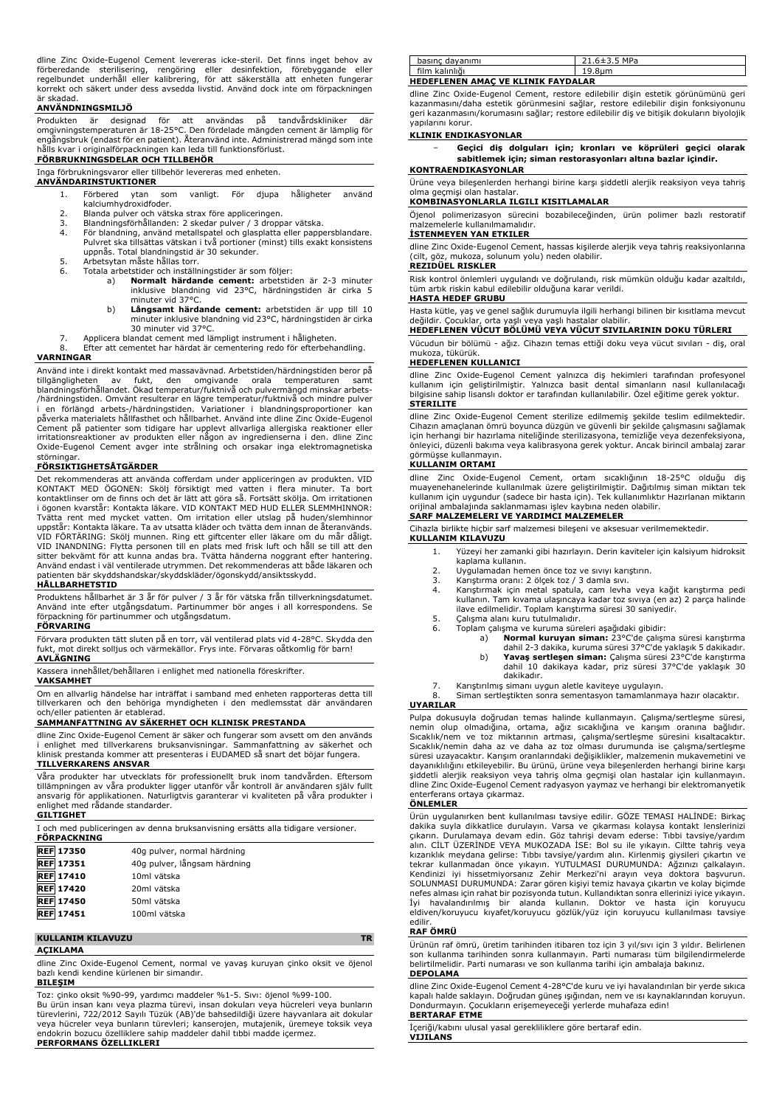dline Zinc Oxide-Eugenol Cement levereras icke-steril. Det finns inget behov av förberedande sterilisering, rengöring eller desinfektion, förebyggande eller regelbundet underhåll eller kalibrering, för att säkerställa att enheten fungerar korrekt och säkert under dess avsedda livstid. Använd dock inte om förpackningen är skadad.

## **ANVÄNDNINGSMILJÖ**

Produkten är designad för att användas på tandvårdskliniker där omgivningstemperaturen är 18-25°C. Den fördelade mängden cement är lämplig för engångsbruk (endast för en patient). Återanvänd inte. Administrerad mängd som inte hålls kvar i originalförpackningen kan leda till funktionsförlust.

# **FÖRBRUKNINGSDELAR OCH TILLBEHÖR**

Inga förbrukningsvaror eller tillbehör levereras med enheten. **ANVÄNDARINSTUKTIONER**

- - 1. Förbered ytan som vanligt. För djupa håligheter använd kalciumhydroxidfoder.
	- 2. Blanda pulver och vätska strax före appliceringen.<br>2. Blandningsförhållanden: 2 skedar pulver / 3 dropp
	- 3. Blandningsförhållanden: 2 skedar pulver / 3 droppar vätska. 4. För blandning, använd metallspatel och glasplatta eller pappersblandare. Pulvret ska tillsättas vätskan i två portioner (minst) tills exakt konsistens uppnås. Total blandningstid är 30 sekunder.
	-
	- 5. Arbetsytan måste hållas torr. 6. Totala arbetstider och inställningstider är som följer:
		- a) **Normalt härdande cement:** arbetstiden är 2-3 minuter inklusive blandning vid 23°C, härdningstiden är cirka 5 minuter vid 37°C.
		- b) **Långsamt härdande cement:** arbetstiden är upp till 10 minuter inklusive blandning vid 23°C, härdningstiden är cirka 30 minuter vid 37°C.
	- 7. Applicera blandat cement med lämpligt instrument i håligheten.
- 8. Efter att cementet har härdat är cementering redo för efterbehandling. **VARNINGAR**

Använd inte i direkt kontakt med massavävnad. Arbetstiden/härdningstiden beror på tillgängligheten av fukt, den omgivande orala temperaturen samt<br>blandningsförhållandet. Ökad-temperatur/fuktnivå-och-pulvermängd-minskar-arbets-<br>/härdningstiden. Omvänt resulterar en lägre temperatur/fuktnivå och mindre pu i en förlängd arbets-/härdningstiden. Variationer i blandningsproportioner kan påverka materialets hållfasthet och hållbarhet. Använd inte dline Zinc Oxide-Eugenol Cement på patienter som tidigare har upplevt allvarliga allergiska reaktioner eller irritationsreaktioner av produkten eller någon av ingredienserna i den. dline Zinc Oxide-Eugenol Cement avger inte strålning och orsakar inga elektromagnetiska störninga

# **FÖRSIKTIGHETSÅTGÄRDER**

Det rekommenderas att använda cofferdam under appliceringen av produkten. VID KONTAKT MED OGONEN: Skölj försiktigt med vatten i flera minuter. Ta bort<br>kontaktlinser om de finns och det är lätt att göra så. Fortsätt skölja. Om irritationen<br>i ögonen kvarstår: Kontakta läkare. VID KONTAKT MED HUD ELLER uppstår: Kontakta läkare. Ta av utsatta kläder och tvätta dem innan de återanvänds. VID FÖRTÄRING: Skölj munnen. Ring ett giftcenter eller läkare om du mår dåligt. VID INANDNING: Flytta personen till en plats med frisk luft och håll se till att den sitter bekvämt för att kunna andas bra. Tvätta händerna noggrant efter hantering. Använd endast i väl ventilerade utrymmen. Det rekommenderas att både läkaren och patienten bär skyddshandskar/skyddskläder/ögonskydd/ansiktsskydd.

#### **HÅLLBARHETSTID**

Produktens hållbarhet är 3 år för pulver / 3 år för vätska från tillverkningsdatumet. Använd inte efter utgångsdatum. Partinummer bör anges i all korrespondens. Se förpackning för partinummer och utgångsdatum.

# **FÖRVARING**

Förvara produkten tätt sluten på en torr, väl ventilerad plats vid 4-28°C. Skydda den fukt, mot direkt solljus och värmekällor. Frys inte. Förvaras oåtkomlig för barn! **AVLÄGNING**

#### Kassera innehållet/behållaren i enlighet med nationella föreskrifter.

**VAKSAMHET**

Om en allvarlig händelse har inträffat i samband med enheten rapporteras detta till tillverkaren och den behöriga myndigheten i den medlemsstat där användaren och/eller patienten är etablerad.

# **SAMMANFATTNING AV SÄKERHET OCH KLINISK PRESTANDA**

dline Zinc Oxide-Eugenol Cement är säker och fungerar som avsett om den används i enlighet med tillverkarens bruksanvisningar. Sammanfattning av säkerhet och klinisk prestanda kommer att presenteras i EUDAMED så snart det böjar fungera. **TILLVERKARENS ANSVAR**

Våra produkter har utvecklats för professionellt bruk inom tandvården. Eftersom tillämpningen av våra produkter ligger utanför vår kontroll är användaren själv fullt ansvarig för applikationen. Naturligtvis garanterar vi kvaliteten på våra produkter i enlighet med rådande standarder.

# **GILTIGHET**

I och med publiceringen av denna bruksanvisning ersätts alla tidigare versioner. **FÖRPACKNING**

| <b>REF 17350</b> | 40g pulver, normal härdning  |
|------------------|------------------------------|
| <b>REF</b> 17351 | 40q pulver, långsam härdning |
| <b>REF</b> 17410 | 10ml vätska                  |
| <b>REF</b> 17420 | 20ml vätska                  |
| <b>REF</b> 17450 | 50ml vätska                  |
| <b>REF</b> 17451 | 100ml vätska                 |

#### **KULLANIM KILAVUZU TR**

#### **AÇIKLAMA**

dline Zinc Oxide-Eugenol Cement, normal ve yavaş kuruyan çinko oksit ve öjenol bazlı kendi kendine kürlenen bir simandır.

# **BILEŞIM**

Toz: çinko oksit %90-99, yardımcı maddeler %1-5. Sıvı: öjenol %99-100. Bu ürün insan kanı veya plazma türevi, insan dokuları veya hücreleri veya bunların türevlerini, 722/2012 Sayılı Tüzük (AB)'de bahsedildiği üzere hayvanlara ait dokular veya hücreler veya bunların türevleri; kanserojen, mutajenik, üremeye toksik veya endokrin bozucu özelliklere sahip maddeler dahil tıbbi madde içermez. **PERFORMANS ÖZELLIKLERI**

| basınc davanımı                           | $21.6 \pm 3.5$ MPa |  |
|-------------------------------------------|--------------------|--|
| film kalınlığı                            | 19.8um             |  |
| <b>HEDEFLENEN AMAC VE KLINIK FAYDALAR</b> |                    |  |

dline Zinc Oxide-Eugenol Cement, restore edilebilir dişin estetik görünümünü geri kazanmasını/daha estetik görünmesini sağlar, restore edilebilir dişin fonksiyonunu geri kazanmasını/korumasını sağlar; restore edilebilir diş ve bitişik dokuların biyolojik yapılarını korur.

## **KLINIK ENDIKASYONLAR**

− **Geçici diş dolguları için; kronları ve köprüleri geçici olarak sabitlemek için; siman restorasyonları altına bazlar içindir. KONTRAENDIKASYONLAR**

Ürüne veya bileşenlerden herhangi birine karşı şiddetli alerjik reaksiyon veya tahriş olma geçmişi olan hastalar.

# **KOMBINASYONLARLA ILGILI KISITLAMALAR**

Öjenol polimerizasyon sürecini bozabileceğinden, ürün polimer bazlı restoratif malzemelerle kullanılmamalıdır.

# **İSTENMEYEN YAN ETKILER**

dline Zinc Oxide-Eugenol Cement, hassas kişilerde alerjik veya tahriş reaksiyonlarına (cilt, göz, mukoza, solunum yolu) neden olabilir. **REZIDÜEL RISKLER**

Risk kontrol önlemleri uygulandı ve doğrulandı, risk mümkün olduğu kadar azaltıldı, tüm artık riskin kabul edilebilir olduğuna karar verildi.

#### **HASTA HEDEF GRUBU**

Hasta kütle, yaş ve genel sağlık durumuyla ilgili herhangi bilinen bir kısıtlama mevcut değildir. Çocuklar, orta yaşlı veya yaşlı hastalar olabilir. **HEDEFLENEN VUCUT BÖLÜMÜ VEYA VÜCUT SIVILARININ DOKU TÜRLERI HEDEFLENEN VÜCUT BÖLÜMÜ VEYA VÜCUT SIVILARININ DOKU TÜRLERI** 

Vücudun bir bölümü - ağız. Cihazın temas ettiği doku veya vücut sıvıları - diş, oral mukoza, tükürük.

#### **HEDEFLENEN KULLANICI**

dline Zinc Oxide-Eugenol Cement yalnızca diş hekimleri tarafından profesyonel kullanım için geliştirilmiştir. Yalnızca basit dental simanların nasıl kullanılacağı bilgisine sahip lisanslı doktor er tarafından kullanılabilir. Özel eğitime gerek yoktur. **STERILITE**

dline Zinc Oxide-Eugenol Cement sterilize edilmemiş şekilde teslim edilmektedir. Cihazın amaçlanan ömrü boyunca düzgün ve güvenli bir şekilde çalışmasını sağlamak için herhangi bir hazırlama niteliğinde sterilizasyona, temizliğe veya dezenfeksiyona, önleyici, düzenli bakıma veya kalibrasyona gerek yoktur. Ancak birincil ambalaj zarar görmüşse kullanmayın.

#### **KULLANIM ORTAMI**

dline Zinc Oxide-Eugenol Cement, ortam sıcaklığının 18-25°C olduğu diş muayenehanelerinde kullanılmak üzere geliştirilmiştir. Dağıtılmış siman miktarı tek kullanım için uygundur (sadece bir hasta için). Tek kullanımlıktır Hazırlanan miktarın orijinal ambalajında saklanmaması işlev kaybına neden olabilir.

# **SARF MALZEMELERI VE YARDIMCI MALZEMELER**

Cihazla birlikte hiçbir sarf malzemesi bileşeni ve aksesuar verilmemektedir.

- **KULLANIM KILAVUZU** 1. Yüzeyi her zamanki gibi hazırlayın. Derin kaviteler için kalsiyum hidroksit
	- kaplama kullanın.
	- 2. Uygulamadan hemen önce toz ve sıvıyı karıştırın.
	- 3. Karıştırma oranı: 2 ölçek toz / 3 damla sıvı.
	- 4. Karıştırmak için metal spatula, cam levha veya kağıt karıştırma pedi kullanın. Tam kıvama ulaşıncaya kadar toz sıvıya (en az) 2 parça halinde ilave edilmelidir. Toplam karıştırma süresi 30 saniyedir.
	- 5. Çalışma alanı kuru tutulmalıdır.<br>6. Toplam calısma ve kuruma süre
		- Foplam çalışma ve kuruma süreleri aşağıdaki gibidir:<br>a) **Normal kuruyan siman:** 23°C'de çalışn
			- a) **Normal kuruyan siman:** 23°C'de çalışma süresi karıştırma<br>dahil 2-3 dakika, kuruma süresi 37°C'de yaklaşık 5 dakikadır.<br>b) Yavaş sertleşen siman: Çalışma süresi 23°C'de karıştırma dahil 10 dakikaya kadar, priz süresi 37°C'de yaklaşık 30
			- dakikadır.

7. Karıştırılmış simanı uygun aletle kaviteye uygulayın. 8. Siman sertleştikten sonra sementasyon tamamlanmaya hazır olacaktır. **UYARILAR**

Pulpa dokusuyla doğrudan temas halinde kullanmayın. Çalışma/sertleşme süresi, nemin olup olmadığına, ortama, ağız sıcaklığına ve karışım oranına bağlıdır. Sıcaklık/nem ve toz miktarının artması, çalışma/sertleşme süresini kısaltacaktır. Sıcaklık/nemin daha az ve daha az toz olması durumunda ise çalışma/sertleşme süresi uzayacaktır. Karışım oranlarındaki değişiklikler, malzemenin mukavemetini ve dayanıklılığını etkileyebilir. Bu ürünü, ürüne veya bileşenlerden herhangi birine karşı şiddetli alerjik reaksiyon veya tahriş olma geçmişi olan hastalar için kullanmayın. dline Zinc Oxide-Eugenol Cement radyasyon yaymaz ve herhangi bir elektromanyetik enterferans ortaya çıkarmaz.

#### **ÖNLEMLER**

Ürün uygulanırken bent kullanılması tavsiye edilir. GÖZE TEMASI HALİNDE: Birkaç dakika suyla dikkatlice durulayın. Varsa ve çıkarması kolaysa kontakt lenslerinizi çıkarın. Durulamaya devam edin. Göz tahrişi devam ederse: Tıbbi tavsiye/yardım alın. CİLT ÜZERİNDE VEYA MUKOZADA İSE: Bol su ile yıkayın. Ciltte tahriş veya kızarıklık meydana gelirse: Tıbbı tavsiye/yardım alın. Kirlenmiş giysileri çıkartın ve<br>tekrar kullanmadan önce yıkayın. YUTULMASI DURUMUNDA: Ağzınızı çalkalayın.<br>Kendinizi iyi hissetmiyorsanız Zehir Merkezi'ni arayın veya SOLUNMASI DURUMUNDA: Zarar gören kişiyi temiz havaya çıkartın ve kolay biçimde nefes alması için rahat bir pozisyonda tutun. Kullandıktan sonra ellerinizi iyice yıkayın. İyi havalandırılmış bir alanda kullanın. Doktor ve hasta için koruyucu eldiven/koruyucu kıyafet/koruyucu gözlük/yüz için koruyucu kullanılması tavsiye edilir

#### **RAF ÖMRÜ**

Ürünün raf ömrü, üretim tarihinden itibaren toz için 3 yıl/sıvı için 3 yıldır. Belirlenen son kullanma tarihinden sonra kullanmayın. Parti numarası tüm bilgilendirmelerde belirtilmelidir. Parti numarası ve son kullanma tarihi için ambalaja bakınız. **DEPOLAMA**

dline Zinc Oxide-Eugenol Cement 4-28°C'de kuru ve iyi havalandırılan bir yerde sıkıca kapalı halde saklayın. Doğrudan güneş ışığından, nem ve ısı kaynaklarından koruyun. Dondurmayın. Çocukların erişemeyeceği yerlerde muhafaza edin! **BERTARAF ETME**

İçeriği/kabını ulusal yasal gerekliliklere göre bertaraf edin. **VIJILANS**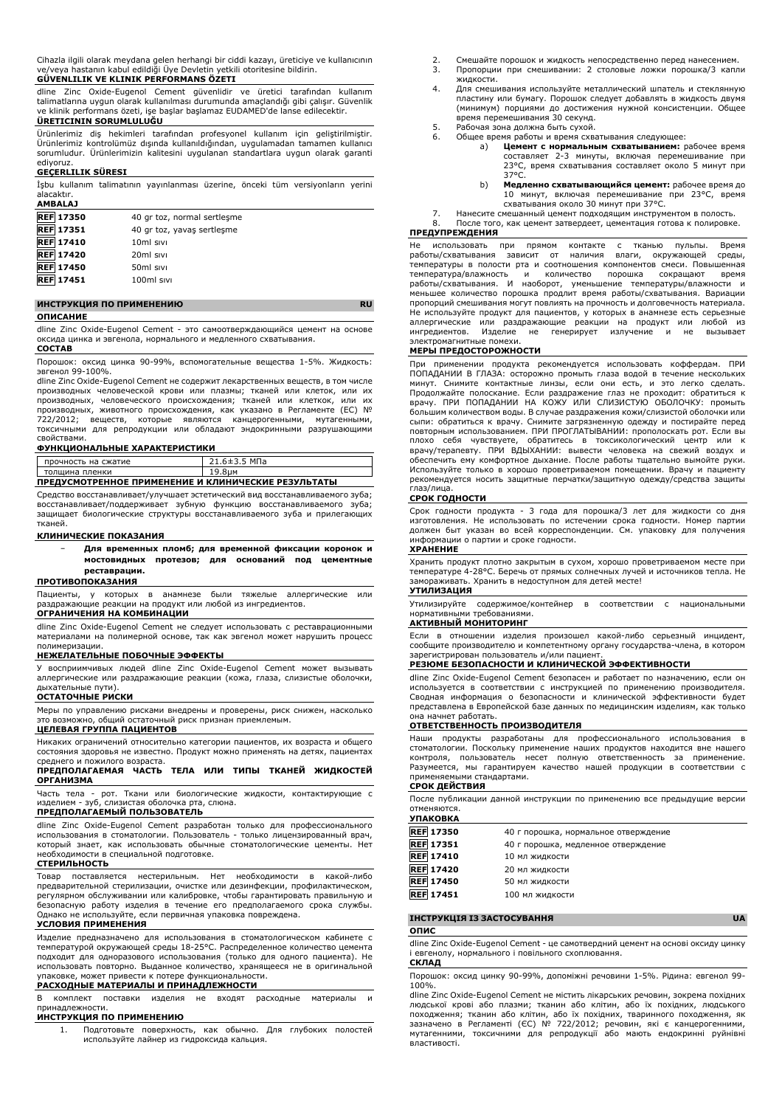Cihazla ilgili olarak meydana gelen herhangi bir ciddi kazayı, üreticiye ve kullanıcının ve/veya hastanın kabul edildiği Üye Devletin yetkili otoritesine bildirin. **GÜVENLILIK VE KLINIK PERFORMANS ÖZETI**

dline Zinc Oxide-Eugenol Cement güvenlidir ve üretici tarafından kullanım talimatlarına uygun olarak kullanılması durumunda amaçlandığı gibi çalışır. Güvenlik ve klinik performans özeti, işe başlar başlamaz EUDAMED'de lanse edilecektir.

# **ÜRETICININ SORUMLULUĞU**

Ürünlerimiz diş hekimleri tarafından profesyonel kullanım için geliştirilmiştir. Ürünlerimiz kontrolümüz dışında kullanıldığından, uygulamadan tamamen kullanıcı sorumludur. Ürünlerimizin kalitesini uygulanan standartlara uygun olarak garanti ediyoruz.

#### **GEÇERLILIK SÜRESI**

İşbu kullanım talimatının yayınlanması üzerine, önceki tüm versiyonların yerini alacaktır.

| <b>AMBALAJ</b>   |                             |  |
|------------------|-----------------------------|--|
| <b>REF 17350</b> | 40 gr toz, normal sertleşme |  |
| <b>REF 17351</b> | 40 gr toz, yavaş sertleşme  |  |
| <b>REF</b> 17410 | 10ml sivi                   |  |
| <b>REF</b> 17420 | 20 <sub>ml</sub> sivi       |  |
| <b>REF</b> 17450 | 50ml sivi                   |  |
| <b>REF</b> 17451 | 100ml sivi                  |  |
|                  |                             |  |

# **ИНСТРУКЦИЯ ПО ПРИМЕНЕНИЮ RU**

## **ОПИСАНИЕ**

dline Zinc Oxide-Eugenol Cement - это самоотверждающийся цемент на основе оксида цинка и эвгенола, нормального и медленного схватывания. **СОСТАВ**

Порошок: оксид цинка 90-99%, вспомогательные вещества 1-5%. Жидкость:

эвгенол 99-100%. dline Zinc Oxide-Eugenol Cement не содержит лекарственных веществ, в том числе производных человеческой крови или плазмы; тканей или клеток, или их производных, человеческого происхождения; тканей или клеткок, или их производных, животного происхождения, как указано в Регламенте (ЕС) № 722/2012; веществ, которые являются канцерогенными, мутагенными, токсичными для репродукции или обладают эндокринными разрушающими свойствами.

#### **ФУНКЦИОНАЛЬНЫЕ ХАРАКТЕРИСТИКИ**

| прочность на сжатие                                 | $21.6 \pm 3.5$ M <sub>Ta</sub> |  |
|-----------------------------------------------------|--------------------------------|--|
| толщина пленки                                      | 19.8um                         |  |
| ПРЕДУСМОТРЕННОЕ ПРИМЕНЕНИЕ И КЛИНИЧЕСКИЕ РЕЗУЛЬТАТЫ |                                |  |

Средство восстанавливает/улучшает эстетический вид восстанавливаемого зуба; восстанавливает/поддерживает зубную функцию восстанавливаемого зуба; защищает биологические структуры восстанавливаемого зуба и прилегающих тканей.

#### **КЛИНИЧЕСКИЕ ПОКАЗАНИЯ**

− **Для временных пломб; для временной фиксации коронок и мостовидных протезов; для оснований под цементные реставрации.**

# **ПРОТИВОПОКАЗАНИЯ**

Пациенты, у которых в анамнезе были тяжелые аллергические или раздражающие реакции на продукт или любой из ингредиентов.

# **ОГРАНИЧЕНИЯ НА КОМБИНАЦИИ**

dline Zinc Oxide-Eugenol Cement не следует использовать с реставрационными материалами на полимерной основе, так как эвгенол может нарушить процесс полимеризации.

#### **НЕЖЕЛАТЕЛЬНЫЕ ПОБОЧНЫЕ ЭФФЕКТЫ**

У восприимчивых людей dline Zinc Oxide-Eugenol Cement может вызывать аллергические или раздражающие реакции (кожа, глаза, слизистые оболочки, дыхательные пути).

# **ОСТАТОЧНЫЕ РИСКИ**

Меры по управлению рисками внедрены и проверены, риск снижен, насколько это возможно, общий остаточный риск признан приемлемым.

# **ЦЕЛЕВАЯ ГРУППА ПАЦИЕНТОВ**

Никаких ограничений относительно категории пациентов, их возраста и общего состояния здоровья не известно. Продукт можно применять на детях, пациентах среднего и пожилого возраста.

#### **ПРЕДПОЛАГАЕМАЯ ЧАСТЬ ТЕЛА ИЛИ ТИПЫ ТКАНЕЙ ЖИДКОСТЕЙ ОРГАНИЗМА**

Часть тела - рот. Ткани или биологические жидкости, контактирующие с изделием - зуб, слизистая оболочка рта, слюна.

# **ПРЕДПОЛАГАЕМЫЙ ПОЛЬЗОВАТЕЛЬ**

dline Zinc Oxide-Eugenol Cement разработан только для профессионального использования в стоматологии. Пользователь - только лицензированный врач, который знает, как использовать обычные стоматологические цементы. Нет необходимости в специальной подготовке.

# **СТЕРИЛЬНОСТЬ**

Товар поставляется нестерильным. Нет необходимости в какой-либо предварительной стерилизации, очистке или дезинфекции, профилактическом, регулярном обслуживании или калибровке, чтобы гарантировать правильную и безопасную работу изделия в течение его предполагаемого срока службы. Однако не используйте, если первичная упаковка повреждена.

# **УСЛОВИЯ ПРИМЕНЕНИЯ**

Изделие предназначено для использования в стоматологическом кабинете с температурой окружающей среды 18-25°C. Распределенное количество цемента подходит для одноразового использования (только для одного пациента). Не использовать повторно. Выданное количество, хранящееся не в оригинальной упаковке, может привести к потере функциональности.

# **РАСХОДНЫЕ МАТЕРИАЛЫ И ПРИНАДЛЕЖНОСТИ**

В комплект поставки изделия не входят расходные материалы и принадлежности.

# **ИНСТРУКЦИЯ ПО ПРИМЕНЕНИЮ**

1. Подготовьте поверхность, как обычно. Для глубоких полостей используйте лайнер из гидроксида кальция.

- 2. Смешайте порошок и жидкость непосредственно перед нанесением.<br>3. Пропорции при смешивании: 2 столовые дожки порошка/3 капл
- 3. Пропорции при смешивании: 2 столовые ложки порошка/3 капли жидкости.
- 4. Для смешивания используйте металлический шпатель и стеклянную пластину или бумагу. Порошок следует добавлять в жидкость двумя (минимум) порциями до достижения нужной консистенции. Общее время перемешивания 30 секунд.
- 5. Рабочая зона должна быть сухой.<br>6. Обшее время работы и время схв
	- Общее время работы и время схватывания следующее:<br>a) Цемент с нормальным схватыванием: р
		- a) **Цемент с нормальным схватыванием:** рабочее время составляет 2-3 минуты, включая перемешивание при 23°C, время схватывания составляет около 5 минут при 37°C.
		- b) **Медленно схватывающийся цемент:** рабочее время до 10 минут, включая перемешивание при 23°C, время схватывания около 30 минут при 37°C.
- 7. Нанесите смешанный цемент подходящим инструментом в полость. 8. После того, как цемент затвердеет, цементация готова к полировке.

# **ПРЕДУПРЕЖДЕНИЯ**

Не использовать при прямом контакте с тканью пульпы. Время работы/схватывания зависит от наличия влаги, окружающей среды, температуры в полости рта и соотношения компонентов смеси. Повышенная температура/влажность и количество порошка сокращают время работы/схватывания. И наоборот, уменьшение температуры/влажности и меньшее количество порошка продлит время работы/схватывания. Вариации пропорций смешивания могут повлиять на прочность и долговечность материала. Не используйте продукт для пациентов, у которых в анамнезе есть серьезные аллергические или раздражающие реакции на продукт или любой из ингредиентов. Изделие не генерирует излучение и не вызывает электромагнитные помехи.

# **МЕРЫ ПРЕДОСТОРОЖНОСТИ**

При применении продукта рекомендуется использовать коффердам. ПРИ ПОПАДАНИИ В ГЛАЗА: осторожно промыть глаза водой в течение нескольких минут. Снимите контактные линзы, если они есть, и это легко сделать. Продолжайте полоскание. Если раздражение глаз не проходит: обратиться к врачу. ПРИ ПОПАДАНИИ НА КОЖУ ИЛИ СЛИЗИСТУЮ ОБОЛОЧКУ: промыть большим количеством воды. В случае раздражения кожи/слизистой оболочки или сыпи: обратиться к врачу. Снимите загрязненную одежду и постирайте перед повторным использованием. ПРИ ПРОГЛАТЫВАНИИ: прополоскать рот. Если вы плохо себя чувствуете, обратитесь в токсикологический центр или к врачу/терапевту. ПРИ ВДЫХАНИИ: вывести человека на свежий воздух и<br>обеспечить ему комфортное дыхание. После работы тщательно вымойте руки.<br>Используйте только в хорошо проветриваемом помещении. Врачу и пациенту рекомендуется носить защитные перчатки/защитную одежду/средства защиты глаз/лица.

## **СРОК ГОДНОСТИ**

Срок годности продукта - 3 года для порошка/3 лет для жидкости со дня изготовления. Не использовать по истечении срока годности. Номер партии должен быт указан во всей корреспонденции. См. упаковку для получения информации о партии и сроке годности. **ХРАНЕНИЕ**

Хранить продукт плотно закрытым в сухом, хорошо проветриваемом месте при температуре 4-28°C. Беречь от прямых солнечных лучей и источников тепла. Не замораживать. Хранить в недоступном для детей месте!

#### **УТИЛИЗАЦИЯ**

Утилизируйте содержимое/контейнер в соответствии с национальными нормативными требованиями.

#### **АКТИВНЫЙ МОНИТОРИНГ**

Если в отношении изделия произошел какой-либо серьезный инцидент, сообщите производителю и компетентному органу государства-члена, в котором зарегистрирован пользователь и/или пациент.

## **РЕЗЮМЕ БЕЗОПАСНОСТИ И КЛИНИЧЕСКОЙ ЭФФЕКТИВНОСТИ**

dline Zinc Oxide-Eugenol Cement безопасен и работает по назначению, если он используется в соответствии с инструкцией по применению производителя. Сводная информация о безопасности и клинической эффективности будет представлена в Европейской базе данных по медицинским изделиям, как только она начнет работать.

## **ОТВЕТСТВЕННОСТЬ ПРОИЗВОДИТЕЛЯ**

Наши продукты разработаны для профессионального использования в стоматологии. Поскольку применение наших продуктов находится вне нашего контроля, пользователь несет полную ответственность за применение. Разумеется, мы гарантируем качество нашей продукции в соответствии с применяемыми стандартами.

# **СРОК ДЕЙСТВИЯ**

После публикации данной инструкции по применению все предыдущие версии отменяются. **УПАКОВКА**

| JIIANUDNA        |                                      |
|------------------|--------------------------------------|
| <b>REF 17350</b> | 40 г порошка, нормальное отверждение |
| <b>REF 17351</b> | 40 г порошка, медленное отверждение  |
| <b>REF</b> 17410 | 10 мл жидкости                       |
| <b>REF 17420</b> | 20 мл жидкости                       |
| <b>REF 17450</b> | 50 мл жидкости                       |
| <b>REF 17451</b> | 100 мл жидкости                      |

## **ІНСТРУКЦІЯ ІЗ ЗАСТОСУВАННЯ UA**

**ОПИС**

dline Zinc Oxide-Eugenol Cement - це самотвердний цемент на основі оксиду цинку і евгенолу, нормального і повільного схоплювання. **СКЛАД**

Порошок: оксид цинку 90-99%, допоміжні речовини 1-5%. Рідина: евгенол 99- 100%.

dline Zinc Oxide-Eugenol Cement не містить лікарських речовин, зокрема похідних людської крові або плазми; тканин або клітин, або їх похідних, людського походження; тканин або клітин, або їх похідних, тваринного походження, як<br>зазначено в Регламенті (ЄС) № 722/2012; речовин, які є канцерогенними,<br>мутагенними, токсичними для репродукції або мають ендокринні руйнівні властивості.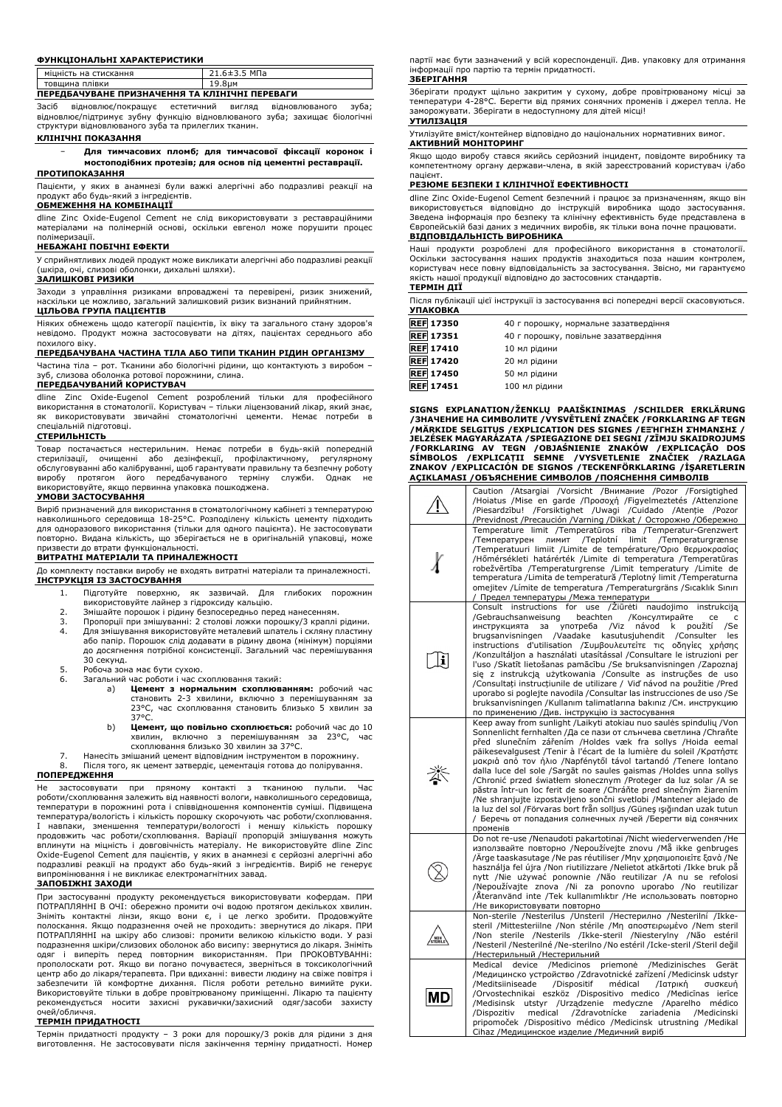#### **ФУНКЦІОНАЛЬНІ ХАРАКТЕРИСТИКИ**

| <b>\ СТИСКАННЯ</b><br><b>МІЦНІС</b><br>на<br>ть | МПа<br><b>44.045.</b><br>◡ |
|-------------------------------------------------|----------------------------|
| плівки<br>товшина                               | ⊥ し いしい                    |
|                                                 |                            |

# **ПЕРЕДБАЧУВАНЕ ПРИЗНАЧЕННЯ ТА КЛІНІЧНІ ПЕРЕВАГИ**

Засіб відновлює/покращує естетичний вигляд відновлюваного зуба; відновлює/підтримує зубну функцію відновлюваного зуба; захищає біологічні структури відновлюваного зуба та прилеглих тканин.

# **КЛІНІЧНІ ПОКАЗАННЯ**

− **Для тимчасових пломб; для тимчасової фіксації коронок і мостоподібних протезів; для основ під цементні реставрації. ПРОТИПОКАЗАННЯ**

Пацієнти, у яких в анамнезі були важкі алергічні або подразливі реакції на продукт або будь-який з інгредієнтів.

#### **ОБМЕЖЕННЯ НА КОМБІНАЦІЇ**

dline Zinc Oxide-Eugenol Cement не слід використовувати з реставраційними матеріалами на полімерній основі, оскільки евгенол може порушити процес полімеризації.

#### **НЕБАЖАНІ ПОБІЧНІ ЕФЕКТИ**

У сприйнятливих людей продукт може викликати алергічні або подразливі реакції (шкіра, очі, слизові оболонки, дихальні шляхи).

# **ЗАЛИШКОВІ РИЗИКИ**

Заходи з управління ризиками впроваджені та перевірені, ризик знижений, наскільки це можливо, загальний залишковий ризик визнаний прийнятним. **ЦІЛЬОВА ГРУПА ПАЦІЄНТІВ**

Ніяких обмежень щодо категорії пацієнтів, їх віку та загального стану здоров'я невідомо. Продукт можна застосовувати на дітях, пацієнтах середнього або похилого віку.

# **ПЕРЕДБАЧУВАНА ЧАСТИНА ТІЛА АБО ТИПИ ТКАНИН РІДИН ОРГАНІЗМУ**

Частина тіла – рот. Тканини або біологічні рідини, що контактують з виробом –

# зуб, слизова оболонка ротової порожнини, слина. **ПЕРЕДБАЧУВАНИЙ КОРИСТУВАЧ**

dline Zinc Oxide-Eugenol Cement розроблений тільки для професійного використання в стоматології. Користувач – тільки ліцензований лікар, який знає, як використовувати звичайні стоматологічні цементи. Немає потреби в спеціальній підготовці.

#### **СТЕРИЛЬНІСТЬ**

Товар постачається нестерильним. Немає потреби в будь-якій попередній стерилізації, очищенні або дезінфекції, профілактичному, регулярному обслуговуванні або калібруванні, щоб гарантувати правильну та безпечну роботу виробу протягом його передбачуваного терміну служби. Однак не використовуйте, якщо первинна упаковка пошкоджена. **УМОВИ ЗАСТОСУВАННЯ**

Виріб призначений для використання в стоматологічному кабінеті з температурою навколишнього середовища 18-25°C. Розподілену кількість цементу підходить для одноразового використання (тільки для одного пацієнта). Не застосовувати повторно. Видана кількість, що зберігається не в оригінальній упаковці, може призвести до втрати функціональності.

### **ВИТРАТНІ МАТЕРІАЛИ ТА ПРИНАЛЕЖНОСТІ**

До комплекту поставки виробу не входять витратні матеріали та приналежності. **ІНСТРУКЦІЯ ІЗ ЗАСТОСУВАННЯ**

- 1. Підготуйте поверхню, як зазвичай. Для глибоких порожнин використовуйте лайнер з гідроксиду кальцію.
- 
- 2. Змішайте порошок і рідину безпосередньо перед нанесенням.<br>3. Пропорції при змішуванні: 2 столові ложки порошку/3 краплі<br>4. Для змішування використовуйте металевий шпатель і скляну г 3. Пропорції при змішуванні: 2 столові ложки порошку/3 краплі рідини. 4. Для змішування використовуйте металевий шпатель і скляну пластину або папір. Порошок слід додавати в рідину двома (мінімум) порціями до досягнення потрібної консистенції. Загальний час перемішування 30 секунд.
- 5. Робоча зона має бути сухою.
	- Загальний час роботи і час схоплювання такий: a) **Цемент з нормальним схоплюванням:** робочий час
		- становить 2-3 хвилини, включно з перемішуванням за 23°C, час схоплювання становить близько 5 хвилин за 37°C. b) **Цемент, що повільно схоплюється:** робочий час до 10
		- хвилин, включно з перемішуванням за 23°C, час схоплювання близько 30 хвилин за 37°C.

7. Нанесіть змішаний цемент відповідним інструментом в порожнину.

Після того, як цемент затвердіє, цементація готова до полірування. **ПОПЕРЕДЖЕННЯ**

Не застосовувати при прямому контакті з тканиною пульпи. Час роботи/схоплювання залежить від наявності вологи, навколишнього середовища, температури в порожнині рота і співвідношення компонентів суміші. Підвищена температура/вологість і кількість порошку скорочують час роботи/схоплювання.<br>І навпаки, зменшення температури/вологості і меншу кількість порошку<br>продовжить час роботи/схоплювання. Варіації пропорцій змішуванн Oxide-Eugenol Cement для пацієнтів, у яких в анамнезі є серйозні алергічні або подразливі реакції на продукт або будь-який з інгредієнтів. Виріб не генерує випромінювання і не викликає електромагнітних завад.

## **ЗАПОБІЖНІ ЗАХОДИ**

При застосуванні продукту рекомендується використовувати кофердам. ПРИ ПОТРАПЛЯННІ В ОЧІ: обережно промити очі водою протягом декількох хвилин. Зніміть контактні лінзи, якщо вони є, і це легко зробити. Продовжуйте полоскання. Якщо подразнення очей не проходить: звернутися до лікаря. ПРИ ПОТРАПЛЯННІ на шкіру або слизові: промити великою кількістю води. У разі подразнення шкіри/слизових оболонок або висипу: звернутися до лікаря. Зніміть одяг і виперіть перед повторним використанням. При ПРОКОВТУВАННі: прополоскати рот. Якщо ви погано почуваєтеся, зверніться в токсикологічний центр або до лікаря/терапевта. При вдиханні: вивести людину на свіже повітря і забезпечити їй комфортне дихання. Після роботи ретельно вимийте руки. Використовуйте тільки в добре провітрюваному приміщенні. Лікарю та пацієнту рекомендується носити захисні рукавички/захисний одяг/засоби захисту очей/обличчя.

#### **ТЕРМІН ПРИДАТНОСТІ**

Термін придатності продукту – 3 роки для порошку/3 років для рідини з дня виготовлення. Не застосовувати після закінчення терміну придатності. Номер партії має бути зазначений у всій кореспонденції. Див. упаковку для отримання інформації про партію та термін придатності. **ЗБЕРІГАННЯ**

Зберігати продукт щільно закритим у сухому, добре провітрюваному місці за температури 4-28°C. Берегти від прямих сонячних променів і джерел тепла. Не заморожувати. Зберігати в недоступному для дітей місці! **УТИЛІЗАЦІЯ**

Утилізуйте вміст/контейнер відповідно до національних нормативних вимог. **АКТИВНИЙ МОНІТОРИНГ**

Якщо щодо виробу стався якийсь серйозний інцидент, повідомте виробнику та компетентному органу держави-члена, в якій зареєстрований користувач і/або

#### пацієнт. **РЕЗЮМЕ БЕЗПЕКИ І КЛІНІЧНОЇ ЕФЕКТИВНОСТІ**

dline Zinc Oxide-Eugenol Cement безпечний і працює за призначенням, якщо він використовується відповідно до інструкцій виробника щодо застосування. Зведена інформація про безпеку та клінічну ефективність буде представлена в Європейській базі даних з медичних виробів, як тільки вона почне працювати. **ВІДПОВІДАЛЬНІСТЬ ВИРОБНИКА**

Наші продукти розроблені для професійного використання в стоматології. Оскільки застосування наших продуктів знаходиться поза нашим контролем, користувач несе повну відповідальність за застосування. Звісно, ми гарантуємо якість нашої продукції відповідно до застосовних стандартів.

# **ТЕРМІН ДІЇ**

Після публікації цієї інструкції із застосування всі попередні версії скасовуються. **УПАКОВКА**

| REFI 17350       | 40 г порошку, нормальне зазатвердіння |
|------------------|---------------------------------------|
| <b>REF 17351</b> | 40 г порошку, повільне зазатвердіння  |
| <b>REF 17410</b> | 10 мл рідини                          |
| <b>REF 17420</b> | 20 мл рідини                          |
| <b>REF 17450</b> | 50 мл рідини                          |
| <b>REF 17451</b> | 100 мл рідини                         |

**SIGNS EXPLANATION/ŽENKLŲ PAAIŠKINIMAS /SCHILDER ERKLÄRUNG** /ЗНАЧЕНИЕ НА СИМВОЛИТЕ /VYSVETLENI ZNACEK /FORKLARING AF TEGN<br>/МÄRKIDE SELGITUS /ЕХРLICATION DES SIGNES /ЕΞ'НГНΣН ZHMANΣHΣ /<br>JELZÉSEK MAGYARÁZATA /SPIEGAZIONE DEI SEGNI /ZĪMJU SKAIDROJUMS /FORKLARING AV TEGN /OBJASNIENIE ZNAKOW /EXPLICAÇAO DOS<br>SÍMBOLOS /EXPLICAȚII SEMNE /VYSVETLENIE ZNAČIEK /RAZLAGA<br>ZNAKOV /EXPLICACIÓN DE SIGNOS /TECKENFÖRKLARING /İŞARETLERIN<br>AÇIKLAMASI /ОБЪЯСНЕНИЕ СИМВОЛОВ /ПОЯСНЕННЯ СИМВ

|     | Caution /Atsargiai /Vorsicht /Внимание /Pozor /Forsigtighed<br>/Hoiatus /Mise en garde /Προσοχή /Figyelmeztetés /Attenzione<br>/Piesardzību! /Forsiktighet /Uwagi /Cuidado /Atenție<br>/Pozor<br>/Previdnost /Precaución /Varning /Dikkat / Осторожно /Обережно                                                                                                                                                                                                                                                                                                                                                                                                                                                                                                                                                                     |
|-----|-------------------------------------------------------------------------------------------------------------------------------------------------------------------------------------------------------------------------------------------------------------------------------------------------------------------------------------------------------------------------------------------------------------------------------------------------------------------------------------------------------------------------------------------------------------------------------------------------------------------------------------------------------------------------------------------------------------------------------------------------------------------------------------------------------------------------------------|
|     | Temperature limit /Temperatūros riba /Temperatur-Grenzwert<br>/Teplotní limit /Temperaturgrænse<br>/Температурен<br>ЛИМИТ<br>Temperatuuri limiit /Limite de température/Όριο θερμοκρασίας<br>/Hőmérsékleti határérték /Limite di temperatura /Temperatūras<br>robežvērtība /Temperaturgrense /Limit temperatury /Limite de<br>temperatura /Limita de temperatură /Teplotný limit /Temperaturna<br>omejitev / Límite de temperatura / Temperaturgräns / Sıcaklık Sınırı<br>/ Предел температуры /Межа температури                                                                                                                                                                                                                                                                                                                    |
| E   | Consult instructions for use /Ziūrėti<br>naudojimo instrukciją<br>beachten<br>/Консултирайте<br>/Gebrauchsanweisung<br>ce<br>c<br>инструкцията<br>за<br>употреба<br>/Viz<br>návod k<br>použití<br>/Se<br>brugsanvisningen<br>/Vaadake<br>kasutusjuhendit<br>/Consulter<br>les<br>instructions d'utilisation /Συμβουλευτείτε τις οδηγίες χρήσης<br>/Konzultáljon a használati utasítással /Consultare le istruzioni per<br>l'uso /Skatīt lietošanas pamācību /Se bruksanvisningen /Zapoznaj<br>się z instrukcją użytkowania / Consulte as instruções de uso<br>/Consultați instrucțiunile de utilizare / Viď návod na použitie /Pred<br>uporabo si poglejte navodila / Consultar las instrucciones de uso / Se<br>bruksanvisningen /Kullanım talimatlarına bakınız /См. инструкцию<br>по применению /Див. інструкцію із застосування |
| 类   | Keep away from sunlight /Laikyti atokiau nuo saulės spindulių /Von<br>Sonnenlicht fernhalten /Да се пази от слънчева светлина /Chrañte<br>před slunečním zářením /Holdes væk fra sollys /Hoida eemal<br>päikesevalgusest /Tenir à l'écart de la lumière du soleil /KpɑTn̥στε<br>μακριά από τον ήλιο /Napfénytől távol tartandó /Tenere lontano<br>dalla luce del sole /Sargāt no saules gaismas /Holdes unna sollys<br>/Chronić przed światłem słonecznym /Proteger da luz solar /A se<br>păstra într-un loc ferit de soare /Chráňte pred slnečným žiarením<br>/Ne shranjujte izpostavljeno sončni svetlobi /Mantener alejado de<br>la luz del sol /Förvaras bort från solljus /Güneş ışığından uzak tutun<br>/ Беречь от попадания солнечных лучей /Берегти від сонячних<br>променів                                               |
|     | Do not re-use /Nenaudoti pakartotinai /Nicht wiederverwenden /He<br>използвайте повторно /Nepoužívejte znovu /Må ikke genbruges<br>Ärge taaskasutage /Ne pas réutiliser /Μην χρησιμοποιείτε ξανά /Ne<br>használja fel újra /Non riutilizzare /Nelietot atkārtoti /Ikke bruk pă<br>nytt /Nie używać ponownie /Não reutilizar /A nu se refolosi<br>/Nepoužívajte znova /Ni za ponovno uporabo /No reutilizar<br>/Äteranvänd inte /Tek kullanımlıktır /Не использовать повторно<br>/Не використовувати повторно                                                                                                                                                                                                                                                                                                                        |
| NON | Non-sterile /Nesterilus /Unsteril /Нестерилно /Nesterilní /Ikke-<br>steril /Mittesteriilne /Non stérile /Mn anooteipwużvo /Nem steril<br>/Non sterile /Nesterils /Ikke-steril /Niesterylny /Não estéril<br>/Nesteril /Nesterilné /Ne-sterilno /No estéril /Icke-steril /Steril değil<br>/Нестерильный /Нестерильний                                                                                                                                                                                                                                                                                                                                                                                                                                                                                                                 |
| ΜD  | device<br>/Medicinos<br>priemonė<br>/Medizinisches<br>Medical<br>Gerät<br>/Медицинско устройство /Zdravotnické zařízení /Medicinsk udstyr<br>/Meditsiiniseade<br>/Dispositif<br>médical<br>/Ιατρική<br>συσκευή<br>/Orvostechnikai eszköz /Dispositivo medico /Medicīnas<br>ierīce<br>/Medisinsk<br>utstyr /Urządzenie medyczne /Aparelho<br>médico<br>/Zdravotnícke<br>medical<br>zariadenia<br>/Medicinski<br>/Dispozitiv<br>pripomoček /Dispositivo médico /Medicinsk utrustning /Medikal<br>Cihaz /Медицинское изделие /Медичний виріб                                                                                                                                                                                                                                                                                           |